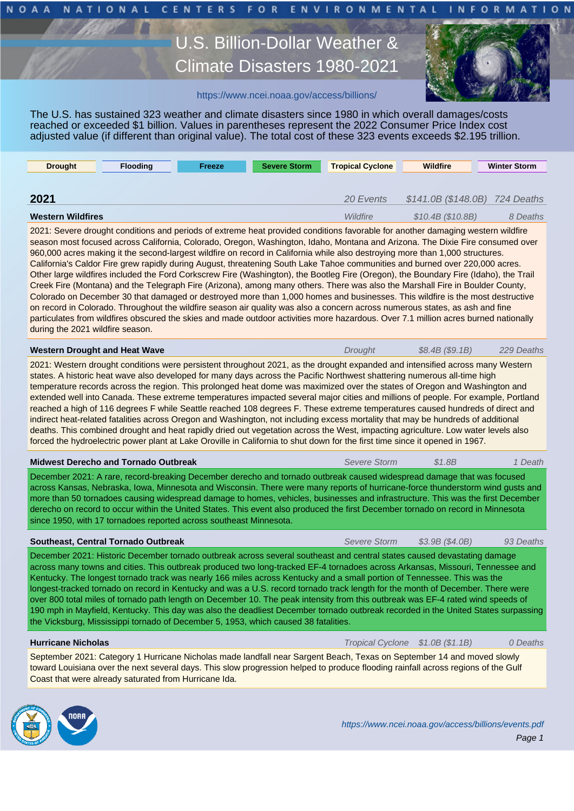# U.S. Billion-Dollar Weather Weather Weather Weather Weather Weather Weather Weather Weather Weather Weather We Climate Disasters 1980-2021



### https://www.ncei.noaa.gov/access/billions/

The U.S. has sustained 323 weather and climate disasters since 1980 in which overall damages/costs reached or exceeded \$1 billion. Values in parentheses represent the 2022 Consumer Price Index cost adjusted value (if different than orig[inal value\). The total cost of these 323](https://www.ncei.noaa.gov/access/billions/) events exceeds \$2.195 trillion.

| <b>Drought</b>           | <b>Flooding</b> | Freeze | <b>Severe Storm</b> | <b>Tropical Cyclone</b> | <b>Wildfire</b>                | <b>Winter Storm</b> |
|--------------------------|-----------------|--------|---------------------|-------------------------|--------------------------------|---------------------|
|                          |                 |        |                     |                         |                                |                     |
| 2021                     |                 |        |                     | 20 Events               | $$141.0B ($148.0B)$ 724 Deaths |                     |
| <b>Western Wildfires</b> |                 |        |                     | Wildfire                | \$10.4B (\$10.8B)              | 8 Deaths            |

2021: Severe drought conditions and periods of extreme heat provided conditions favorable for another damaging western wildfire season most focused across California, Colorado, Oregon, Washington, Idaho, Montana and Arizona. The Dixie Fire consumed over 960,000 acres making it the second-largest wildfire on record in California while also destroying more than 1,000 structures. California's Caldor Fire grew rapidly during August, threatening South Lake Tahoe communities and burned over 220,000 acres. Other large wildfires included the Ford Corkscrew Fire (Washington), the Bootleg Fire (Oregon), the Boundary Fire (Idaho), the Trail Creek Fire (Montana) and the Telegraph Fire (Arizona), among many others. There was also the Marshall Fire in Boulder County, Colorado on December 30 that damaged or destroyed more than 1,000 homes and businesses. This wildfire is the most destructive on record in Colorado. Throughout the wildfire season air quality was also a concern across numerous states, as ash and fine particulates from wildfires obscured the skies and made outdoor activities more hazardous. Over 7.1 million acres burned nationally during the 2021 wildfire season.

| $$8.4B$ (\$9.1B)<br>229 Deaths<br>Western Drought and Heat Wave<br>Drought |
|----------------------------------------------------------------------------|
|----------------------------------------------------------------------------|

2021: Western drought conditions were persistent throughout 2021, as the drought expanded and intensified across many Western states. A historic heat wave also developed for many days across the Pacific Northwest shattering numerous all-time high temperature records across the region. This prolonged heat dome was maximized over the states of Oregon and Washington and extended well into Canada. These extreme temperatures impacted several major cities and millions of people. For example, Portland reached a high of 116 degrees F while Seattle reached 108 degrees F. These extreme temperatures caused hundreds of direct and indirect heat-related fatalities across Oregon and Washington, not including excess mortality that may be hundreds of additional deaths. This combined drought and heat rapidly dried out vegetation across the West, impacting agriculture. Low water levels also forced the hydroelectric power plant at Lake Oroville in California to shut down for the first time since it opened in 1967.

#### **Midwest Derecho and Tornado Outbreak** Severe Storm \$1.8B 1 Death

December 2021: A rare, record-breaking December derecho and tornado outbreak caused widespread damage that was focused across Kansas, Nebraska, Iowa, Minnesota and Wisconsin. There were many reports of hurricane-force thunderstorm wind gusts and more than 50 tornadoes causing widespread damage to homes, vehicles, businesses and infrastructure. This was the first December derecho on record to occur within the United States. This event also produced the first December tornado on record in Minnesota since 1950, with 17 tornadoes reported across southeast Minnesota.

| Southeast, Central Tornado Outbreak                                                                                               | Severe Storm | \$3.9B(S4.0B) | 93 Deaths |
|-----------------------------------------------------------------------------------------------------------------------------------|--------------|---------------|-----------|
| December 2021: Historic December tornado outbreak across several southeast and central states caused devastating damage           |              |               |           |
| across many towns and cities. This outbreak produced two long-tracked EF-4 tornadoes across Arkansas, Missouri, Tennessee and     |              |               |           |
| Kentucky. The longest tornado track was nearly 166 miles across Kentucky and a small portion of Tennessee. This was the           |              |               |           |
| longest-tracked tornado on record in Kentucky and was a U.S. record tornado track length for the month of December. There were    |              |               |           |
| over 800 total miles of tornado path length on December 10. The peak intensity from this outbreak was EF-4 rated wind speeds of   |              |               |           |
| 190 mph in Mayfield, Kentucky. This day was also the deadliest December tornado outbreak recorded in the United States surpassing |              |               |           |
| the Vicksburg, Mississippi tornado of December 5, 1953, which caused 38 fatalities.                                               |              |               |           |

**Hurricane Nicholas Transfer Community Community Community Community Community Cyclone \$1.0B (\$1.1B)** 0 Deaths

September 2021: Category 1 Hurricane Nicholas made landfall near Sargent Beach, Texas on September 14 and moved slowly toward Louisiana over the next several days. This slow progression helped to produce flooding rainfall across regions of the Gulf Coast that were already saturated from Hurricane Ida.

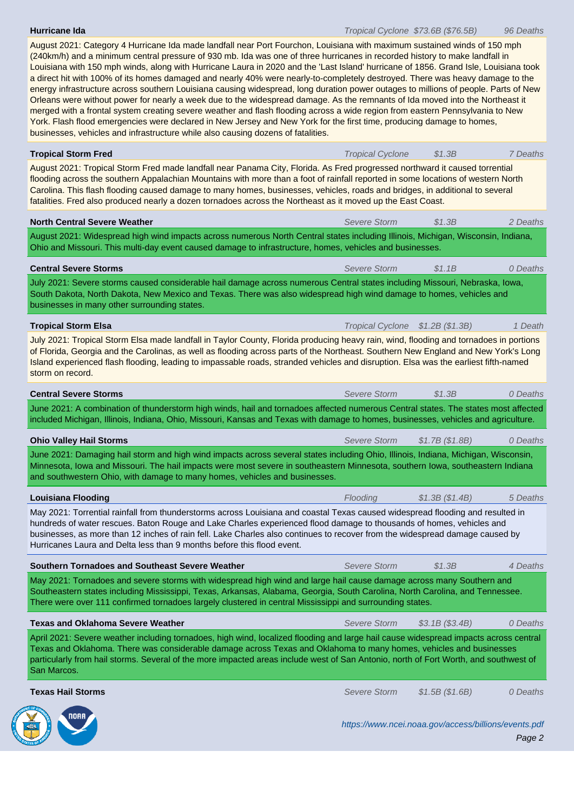August 2021: Category 4 Hurricane Ida made landfall near Port Fourchon, Louisiana with maximum sustained winds of 150 mph (240km/h) and a minimum central pressure of 930 mb. Ida was one of three hurricanes in recorded history to make landfall in Louisiana with 150 mph winds, along with Hurricane Laura in 2020 and the 'Last Island' hurricane of 1856. Grand Isle, Louisiana took a direct hit with 100% of its homes damaged and nearly 40% were nearly-to-completely destroyed. There was heavy damage to the energy infrastructure across southern Louisiana causing widespread, long duration power outages to millions of people. Parts of New Orleans were without power for nearly a week due to the widespread damage. As the remnants of Ida moved into the Northeast it merged with a frontal system creating severe weather and flash flooding across a wide region from eastern Pennsylvania to New York. Flash flood emergencies were declared in New Jersey and New York for the first time, producing damage to homes, businesses, vehicles and infrastructure while also causing dozens of fatalities.

| <b>Tropical Storm Fred</b>                                                                                                                                                                                                                                                                                                                                                                                                                                                                                     | <b>Tropical Cyclone</b>          | \$1.3B                                               | 7 Deaths |  |  |  |  |
|----------------------------------------------------------------------------------------------------------------------------------------------------------------------------------------------------------------------------------------------------------------------------------------------------------------------------------------------------------------------------------------------------------------------------------------------------------------------------------------------------------------|----------------------------------|------------------------------------------------------|----------|--|--|--|--|
| August 2021: Tropical Storm Fred made landfall near Panama City, Florida. As Fred progressed northward it caused torrential<br>flooding across the southern Appalachian Mountains with more than a foot of rainfall reported in some locations of western North<br>Carolina. This flash flooding caused damage to many homes, businesses, vehicles, roads and bridges, in additional to several<br>fatalities. Fred also produced nearly a dozen tornadoes across the Northeast as it moved up the East Coast. |                                  |                                                      |          |  |  |  |  |
| <b>North Central Severe Weather</b>                                                                                                                                                                                                                                                                                                                                                                                                                                                                            | Severe Storm                     | \$1.3B                                               | 2 Deaths |  |  |  |  |
| August 2021: Widespread high wind impacts across numerous North Central states including Illinois, Michigan, Wisconsin, Indiana,<br>Ohio and Missouri. This multi-day event caused damage to infrastructure, homes, vehicles and businesses.                                                                                                                                                                                                                                                                   |                                  |                                                      |          |  |  |  |  |
| <b>Central Severe Storms</b>                                                                                                                                                                                                                                                                                                                                                                                                                                                                                   | Severe Storm                     | \$1.1B                                               | 0 Deaths |  |  |  |  |
| July 2021: Severe storms caused considerable hail damage across numerous Central states including Missouri, Nebraska, Iowa,<br>South Dakota, North Dakota, New Mexico and Texas. There was also widespread high wind damage to homes, vehicles and<br>businesses in many other surrounding states.                                                                                                                                                                                                             |                                  |                                                      |          |  |  |  |  |
| <b>Tropical Storm Elsa</b>                                                                                                                                                                                                                                                                                                                                                                                                                                                                                     | Tropical Cyclone \$1.2B (\$1.3B) |                                                      | 1 Death  |  |  |  |  |
| July 2021: Tropical Storm Elsa made landfall in Taylor County, Florida producing heavy rain, wind, flooding and tornadoes in portions<br>of Florida, Georgia and the Carolinas, as well as flooding across parts of the Northeast. Southern New England and New York's Long<br>Island experienced flash flooding, leading to impassable roads, stranded vehicles and disruption. Elsa was the earliest fifth-named<br>storm on record.                                                                         |                                  |                                                      |          |  |  |  |  |
| <b>Central Severe Storms</b>                                                                                                                                                                                                                                                                                                                                                                                                                                                                                   | Severe Storm                     | \$1.3B                                               | 0 Deaths |  |  |  |  |
| June 2021: A combination of thunderstorm high winds, hail and tornadoes affected numerous Central states. The states most affected<br>included Michigan, Illinois, Indiana, Ohio, Missouri, Kansas and Texas with damage to homes, businesses, vehicles and agriculture.                                                                                                                                                                                                                                       |                                  |                                                      |          |  |  |  |  |
| <b>Ohio Valley Hail Storms</b>                                                                                                                                                                                                                                                                                                                                                                                                                                                                                 | Severe Storm                     | \$1.7B (\$1.8B)                                      | 0 Deaths |  |  |  |  |
| June 2021: Damaging hail storm and high wind impacts across several states including Ohio, Illinois, Indiana, Michigan, Wisconsin,<br>Minnesota, Iowa and Missouri. The hail impacts were most severe in southeastern Minnesota, southern Iowa, southeastern Indiana<br>and southwestern Ohio, with damage to many homes, vehicles and businesses.                                                                                                                                                             |                                  |                                                      |          |  |  |  |  |
| <b>Louisiana Flooding</b>                                                                                                                                                                                                                                                                                                                                                                                                                                                                                      | Flooding                         | \$1.3B(S1.4B)                                        | 5 Deaths |  |  |  |  |
| May 2021: Torrential rainfall from thunderstorms across Louisiana and coastal Texas caused widespread flooding and resulted in<br>hundreds of water rescues. Baton Rouge and Lake Charles experienced flood damage to thousands of homes, vehicles and<br>businesses, as more than 12 inches of rain fell. Lake Charles also continues to recover from the widespread damage caused by<br>Hurricanes Laura and Delta less than 9 months before this flood event.                                               |                                  |                                                      |          |  |  |  |  |
| Southern Tornadoes and Southeast Severe Weather                                                                                                                                                                                                                                                                                                                                                                                                                                                                | Severe Storm                     | \$1.3B                                               | 4 Deaths |  |  |  |  |
| May 2021: Tornadoes and severe storms with widespread high wind and large hail cause damage across many Southern and<br>Southeastern states including Mississippi, Texas, Arkansas, Alabama, Georgia, South Carolina, North Carolina, and Tennessee.<br>There were over 111 confirmed tornadoes largely clustered in central Mississippi and surrounding states.                                                                                                                                               |                                  |                                                      |          |  |  |  |  |
| <b>Texas and Oklahoma Severe Weather</b>                                                                                                                                                                                                                                                                                                                                                                                                                                                                       | <b>Severe Storm</b>              | \$3.1B (\$3.4B)                                      | 0 Deaths |  |  |  |  |
| April 2021: Severe weather including tornadoes, high wind, localized flooding and large hail cause widespread impacts across central<br>Texas and Oklahoma. There was considerable damage across Texas and Oklahoma to many homes, vehicles and businesses<br>particularly from hail storms. Several of the more impacted areas include west of San Antonio, north of Fort Worth, and southwest of<br>San Marcos.                                                                                              |                                  |                                                      |          |  |  |  |  |
| <b>Texas Hail Storms</b>                                                                                                                                                                                                                                                                                                                                                                                                                                                                                       | <b>Severe Storm</b>              | \$1.5B (\$1.6B)                                      | 0 Deaths |  |  |  |  |
|                                                                                                                                                                                                                                                                                                                                                                                                                                                                                                                |                                  | https://www.ncei.noaa.gov/access/billions/events.pdf | Page 2   |  |  |  |  |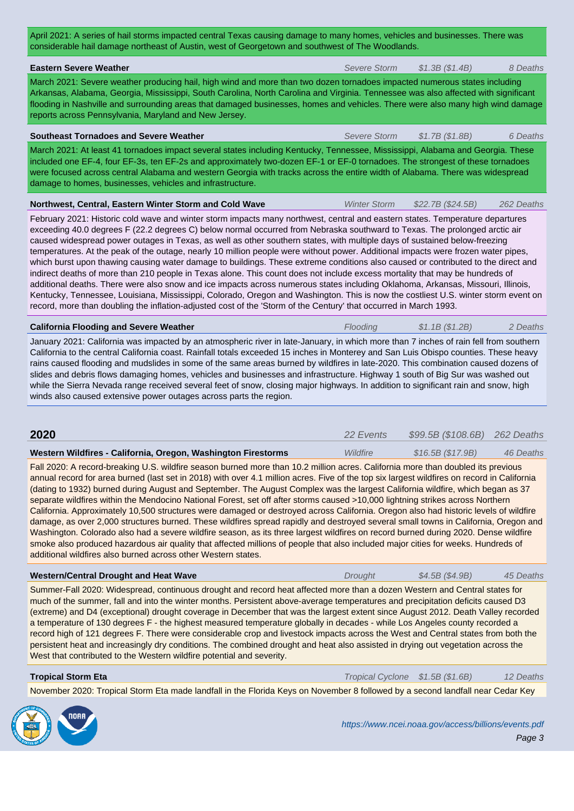| שהסומטומטוס המודממים מטרווטעטרטו זומטווון, איסטרטו שטטוקטנטאוו מהם סטמוואיסטרטר דהס ללטטעומהמט                                                                                                                                                                                                                                                                                                                                                                                                                                                                                                                                                                                                                                                                                                                                                                                                                                                                                                                                                                                                                                                                                                     |                     |                                                      |            |  |  |  |  |  |
|----------------------------------------------------------------------------------------------------------------------------------------------------------------------------------------------------------------------------------------------------------------------------------------------------------------------------------------------------------------------------------------------------------------------------------------------------------------------------------------------------------------------------------------------------------------------------------------------------------------------------------------------------------------------------------------------------------------------------------------------------------------------------------------------------------------------------------------------------------------------------------------------------------------------------------------------------------------------------------------------------------------------------------------------------------------------------------------------------------------------------------------------------------------------------------------------------|---------------------|------------------------------------------------------|------------|--|--|--|--|--|
| <b>Eastern Severe Weather</b>                                                                                                                                                                                                                                                                                                                                                                                                                                                                                                                                                                                                                                                                                                                                                                                                                                                                                                                                                                                                                                                                                                                                                                      | Severe Storm        | \$1.3B (\$1.4B)                                      | 8 Deaths   |  |  |  |  |  |
| March 2021: Severe weather producing hail, high wind and more than two dozen tornadoes impacted numerous states including<br>Arkansas, Alabama, Georgia, Mississippi, South Carolina, North Carolina and Virginia. Tennessee was also affected with significant<br>flooding in Nashville and surrounding areas that damaged businesses, homes and vehicles. There were also many high wind damage<br>reports across Pennsylvania, Maryland and New Jersey.                                                                                                                                                                                                                                                                                                                                                                                                                                                                                                                                                                                                                                                                                                                                         |                     |                                                      |            |  |  |  |  |  |
| <b>Southeast Tornadoes and Severe Weather</b>                                                                                                                                                                                                                                                                                                                                                                                                                                                                                                                                                                                                                                                                                                                                                                                                                                                                                                                                                                                                                                                                                                                                                      | Severe Storm        | \$1.7B (\$1.8B)                                      | 6 Deaths   |  |  |  |  |  |
| March 2021: At least 41 tornadoes impact several states including Kentucky, Tennessee, Mississippi, Alabama and Georgia. These<br>included one EF-4, four EF-3s, ten EF-2s and approximately two-dozen EF-1 or EF-0 tornadoes. The strongest of these tornadoes<br>were focused across central Alabama and western Georgia with tracks across the entire width of Alabama. There was widespread<br>damage to homes, businesses, vehicles and infrastructure.                                                                                                                                                                                                                                                                                                                                                                                                                                                                                                                                                                                                                                                                                                                                       |                     |                                                      |            |  |  |  |  |  |
| Northwest, Central, Eastern Winter Storm and Cold Wave                                                                                                                                                                                                                                                                                                                                                                                                                                                                                                                                                                                                                                                                                                                                                                                                                                                                                                                                                                                                                                                                                                                                             | <b>Winter Storm</b> | \$22.7B (\$24.5B)                                    | 262 Deaths |  |  |  |  |  |
| February 2021: Historic cold wave and winter storm impacts many northwest, central and eastern states. Temperature departures<br>exceeding 40.0 degrees F (22.2 degrees C) below normal occurred from Nebraska southward to Texas. The prolonged arctic air<br>caused widespread power outages in Texas, as well as other southern states, with multiple days of sustained below-freezing<br>temperatures. At the peak of the outage, nearly 10 million people were without power. Additional impacts were frozen water pipes,<br>which burst upon thawing causing water damage to buildings. These extreme conditions also caused or contributed to the direct and<br>indirect deaths of more than 210 people in Texas alone. This count does not include excess mortality that may be hundreds of<br>additional deaths. There were also snow and ice impacts across numerous states including Oklahoma, Arkansas, Missouri, Illinois,<br>Kentucky, Tennessee, Louisiana, Mississippi, Colorado, Oregon and Washington. This is now the costliest U.S. winter storm event on<br>record, more than doubling the inflation-adjusted cost of the 'Storm of the Century' that occurred in March 1993. |                     |                                                      |            |  |  |  |  |  |
| <b>California Flooding and Severe Weather</b>                                                                                                                                                                                                                                                                                                                                                                                                                                                                                                                                                                                                                                                                                                                                                                                                                                                                                                                                                                                                                                                                                                                                                      | Flooding            | \$1.1B(S1.2B)                                        | 2 Deaths   |  |  |  |  |  |
| California to the central California coast. Rainfall totals exceeded 15 inches in Monterey and San Luis Obispo counties. These heavy<br>rains caused flooding and mudslides in some of the same areas burned by wildfires in late-2020. This combination caused dozens of<br>slides and debris flows damaging homes, vehicles and businesses and infrastructure. Highway 1 south of Big Sur was washed out<br>while the Sierra Nevada range received several feet of snow, closing major highways. In addition to significant rain and snow, high<br>winds also caused extensive power outages across parts the region.                                                                                                                                                                                                                                                                                                                                                                                                                                                                                                                                                                            |                     |                                                      |            |  |  |  |  |  |
| 2020                                                                                                                                                                                                                                                                                                                                                                                                                                                                                                                                                                                                                                                                                                                                                                                                                                                                                                                                                                                                                                                                                                                                                                                               | 22 Events           | \$99.5B (\$108.6B)                                   | 262 Deaths |  |  |  |  |  |
| Western Wildfires - California, Oregon, Washington Firestorms                                                                                                                                                                                                                                                                                                                                                                                                                                                                                                                                                                                                                                                                                                                                                                                                                                                                                                                                                                                                                                                                                                                                      | Wildfire            | \$16.5B (\$17.9B)                                    | 46 Deaths  |  |  |  |  |  |
| Fall 2020: A record-breaking U.S. wildfire season burned more than 10.2 million acres. California more than doubled its previous<br>annual record for area burned (last set in 2018) with over 4.1 million acres. Five of the top six largest wildfires on record in California<br>(dating to 1932) burned during August and September. The August Complex was the largest California wildfire, which began as 37<br>separate wildfires within the Mendocino National Forest, set off after storms caused >10,000 lightning strikes across Northern<br>California. Approximately 10,500 structures were damaged or destroyed across California. Oregon also had historic levels of wildfire<br>damage, as over 2,000 structures burned. These wildfires spread rapidly and destroyed several small towns in California, Oregon and<br>Washington. Colorado also had a severe wildfire season, as its three largest wildfires on record burned during 2020. Dense wildfire<br>smoke also produced hazardous air quality that affected millions of people that also included major cities for weeks. Hundreds of<br>additional wildfires also burned across other Western states.                    |                     |                                                      |            |  |  |  |  |  |
| <b>Western/Central Drought and Heat Wave</b>                                                                                                                                                                                                                                                                                                                                                                                                                                                                                                                                                                                                                                                                                                                                                                                                                                                                                                                                                                                                                                                                                                                                                       | Drought             | \$4.5B (\$4.9B)                                      | 45 Deaths  |  |  |  |  |  |
| Summer-Fall 2020: Widespread, continuous drought and record heat affected more than a dozen Western and Central states for<br>much of the summer, fall and into the winter months. Persistent above-average temperatures and precipitation deficits caused D3<br>(extreme) and D4 (exceptional) drought coverage in December that was the largest extent since August 2012. Death Valley recorded<br>a temperature of 130 degrees F - the highest measured temperature globally in decades - while Los Angeles county recorded a<br>record high of 121 degrees F. There were considerable crop and livestock impacts across the West and Central states from both the<br>persistent heat and increasingly dry conditions. The combined drought and heat also assisted in drying out vegetation across the<br>West that contributed to the Western wildfire potential and severity.                                                                                                                                                                                                                                                                                                                 |                     |                                                      |            |  |  |  |  |  |
| <b>Tropical Storm Eta</b>                                                                                                                                                                                                                                                                                                                                                                                                                                                                                                                                                                                                                                                                                                                                                                                                                                                                                                                                                                                                                                                                                                                                                                          |                     | Tropical Cyclone \$1.5B (\$1.6B)                     | 12 Deaths  |  |  |  |  |  |
| November 2020: Tropical Storm Eta made landfall in the Florida Keys on November 8 followed by a second landfall near Cedar Key                                                                                                                                                                                                                                                                                                                                                                                                                                                                                                                                                                                                                                                                                                                                                                                                                                                                                                                                                                                                                                                                     |                     |                                                      |            |  |  |  |  |  |
|                                                                                                                                                                                                                                                                                                                                                                                                                                                                                                                                                                                                                                                                                                                                                                                                                                                                                                                                                                                                                                                                                                                                                                                                    |                     | https://www.ncei.noaa.gov/access/billions/events.pdf | Page 3     |  |  |  |  |  |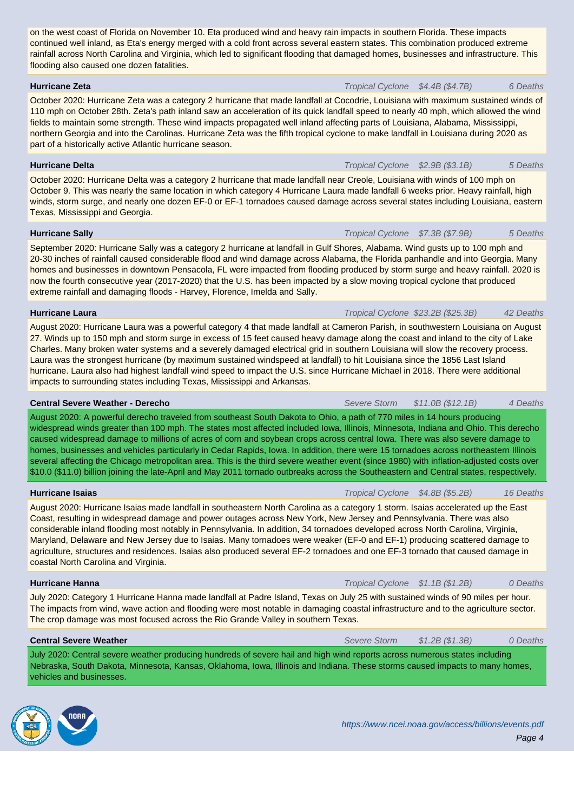rainfall across North Carolina and Virginia, which led to significant flooding that damaged homes, businesses and infrastructure. This flooding also caused one dozen fatalities.

#### **Hurricane Zeta Transfer 2012 Hurricane Zeta 6** Deaths

October 2020: Hurricane Zeta was a category 2 hurricane that made landfall at Cocodrie, Louisiana with maximum sustained winds of 110 mph on October 28th. Zeta's path inland saw an acceleration of its quick landfall speed to nearly 40 mph, which allowed the wind fields to maintain some strength. These wind impacts propagated well inland affecting parts of Louisiana, Alabama, Mississippi, northern Georgia and into the Carolinas. Hurricane Zeta was the fifth tropical cyclone to make landfall in Louisiana during 2020 as part of a historically active Atlantic hurricane season.

#### **Hurricane Delta** 5 Deaths **Hurricane Delta** Transfer Cyclone \$2.9B (\$3.1B) 5 Deaths

October 2020: Hurricane Delta was a category 2 hurricane that made landfall near Creole, Louisiana with winds of 100 mph on October 9. This was nearly the same location in which category 4 Hurricane Laura made landfall 6 weeks prior. Heavy rainfall, high winds, storm surge, and nearly one dozen EF-0 or EF-1 tornadoes caused damage across several states including Louisiana, eastern Texas, Mississippi and Georgia.

# **Hurricane Sally** 5 Deaths **Transfer Community Community Community Cyclone 37.3B (\$7.9B) 5 Deaths**

September 2020: Hurricane Sally was a category 2 hurricane at landfall in Gulf Shores, Alabama. Wind gusts up to 100 mph and 20-30 inches of rainfall caused considerable flood and wind damage across Alabama, the Florida panhandle and into Georgia. Many homes and businesses in downtown Pensacola, FL were impacted from flooding produced by storm surge and heavy rainfall. 2020 is now the fourth consecutive year (2017-2020) that the U.S. has been impacted by a slow moving tropical cyclone that produced extreme rainfall and damaging floods - Harvey, Florence, Imelda and Sally.

# **Hurricane Laura All and Structure Control Cyclone S23.2B (\$25.3B)** 42 Deaths

August 2020: Hurricane Laura was a powerful category 4 that made landfall at Cameron Parish, in southwestern Louisiana on August 27. Winds up to 150 mph and storm surge in excess of 15 feet caused heavy damage along the coast and inland to the city of Lake Charles. Many broken water systems and a severely damaged electrical grid in southern Louisiana will slow the recovery process. Laura was the strongest hurricane (by maximum sustained windspeed at landfall) to hit Louisiana since the 1856 Last Island hurricane. Laura also had highest landfall wind speed to impact the U.S. since Hurricane Michael in 2018. There were additional impacts to surrounding states including Texas, Mississippi and Arkansas.

# **Central Severe Weather - Derecho** Severe Storm \$11.0B (\$12.1B) 4 Deaths

August 2020: A powerful derecho traveled from southeast South Dakota to Ohio, a path of 770 miles in 14 hours producing widespread winds greater than 100 mph. The states most affected included Iowa, Illinois, Minnesota, Indiana and Ohio. This derecho caused widespread damage to millions of acres of corn and soybean crops across central Iowa. There was also severe damage to homes, businesses and vehicles particularly in Cedar Rapids, Iowa. In addition, there were 15 tornadoes across northeastern Illinois several affecting the Chicago metropolitan area. This is the third severe weather event (since 1980) with inflation-adjusted costs over \$10.0 (\$11.0) billion joining the late-April and May 2011 tornado outbreaks across the Southeastern and Central states, respectively.

# **Hurricane Isaias Hurricane Isaias Transfer Community Community Community Community Cyclone \$4.8B (\$5.2B) 16 Deaths**

August 2020: Hurricane Isaias made landfall in southeastern North Carolina as a category 1 storm. Isaias accelerated up the East Coast, resulting in widespread damage and power outages across New York, New Jersey and Pennsylvania. There was also considerable inland flooding most notably in Pennsylvania. In addition, 34 tornadoes developed across North Carolina, Virginia, Maryland, Delaware and New Jersey due to Isaias. Many tornadoes were weaker (EF-0 and EF-1) producing scattered damage to agriculture, structures and residences. Isaias also produced several EF-2 tornadoes and one EF-3 tornado that caused damage in coastal North Carolina and Virginia.

# **Hurricane Hanna Transfer Exercise 20 August 2012 12:33 Transfer Exercise 20 August 2012 12:33 Transfer Cyclone \$1.1B (\$1.2B) 0 Deaths**

July 2020: Category 1 Hurricane Hanna made landfall at Padre Island, Texas on July 25 with sustained winds of 90 miles per hour. The impacts from wind, wave action and flooding were most notable in damaging coastal infrastructure and to the agriculture sector. The crop damage was most focused across the Rio Grande Valley in southern Texas.

### **Central Severe Weather**  $O$  Deaths **Central Severe Storm**  $$1.2B ($1.3B)$   $O$  Deaths

July 2020: Central severe weather producing hundreds of severe hail and high wind reports across numerous states including Nebraska, South Dakota, Minnesota, Kansas, Oklahoma, Iowa, Illinois and Indiana. These storms caused impacts to many homes, vehicles and businesses.

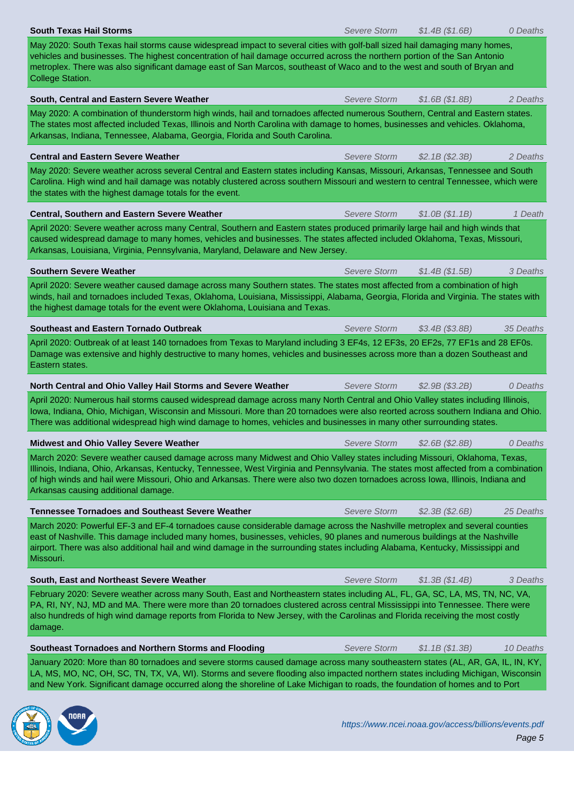| vehicles and businesses. The highest concentration of hail damage occurred across the northern portion of the San Antonio<br>metroplex. There was also significant damage east of San Marcos, southeast of Waco and to the west and south of Bryan and<br><b>College Station.</b>                                                                                                                                                         |                     |                 |           |
|-------------------------------------------------------------------------------------------------------------------------------------------------------------------------------------------------------------------------------------------------------------------------------------------------------------------------------------------------------------------------------------------------------------------------------------------|---------------------|-----------------|-----------|
| South, Central and Eastern Severe Weather                                                                                                                                                                                                                                                                                                                                                                                                 | <b>Severe Storm</b> | \$1.6B(S1.8B)   | 2 Deaths  |
| May 2020: A combination of thunderstorm high winds, hail and tornadoes affected numerous Southern, Central and Eastern states.<br>The states most affected included Texas, Illinois and North Carolina with damage to homes, businesses and vehicles. Oklahoma,<br>Arkansas, Indiana, Tennessee, Alabama, Georgia, Florida and South Carolina.                                                                                            |                     |                 |           |
| <b>Central and Eastern Severe Weather</b>                                                                                                                                                                                                                                                                                                                                                                                                 | <b>Severe Storm</b> | \$2.1B (\$2.3B) | 2 Deaths  |
| May 2020: Severe weather across several Central and Eastern states including Kansas, Missouri, Arkansas, Tennessee and South<br>Carolina. High wind and hail damage was notably clustered across southern Missouri and western to central Tennessee, which were<br>the states with the highest damage totals for the event.                                                                                                               |                     |                 |           |
| Central, Southern and Eastern Severe Weather                                                                                                                                                                                                                                                                                                                                                                                              | <b>Severe Storm</b> | \$1.0B(S1.1B)   | 1 Death   |
| April 2020: Severe weather across many Central, Southern and Eastern states produced primarily large hail and high winds that<br>caused widespread damage to many homes, vehicles and businesses. The states affected included Oklahoma, Texas, Missouri,<br>Arkansas, Louisiana, Virginia, Pennsylvania, Maryland, Delaware and New Jersey.                                                                                              |                     |                 |           |
| <b>Southern Severe Weather</b>                                                                                                                                                                                                                                                                                                                                                                                                            | <b>Severe Storm</b> | \$1.4B (\$1.5B) | 3 Deaths  |
| April 2020: Severe weather caused damage across many Southern states. The states most affected from a combination of high<br>winds, hail and tornadoes included Texas, Oklahoma, Louisiana, Mississippi, Alabama, Georgia, Florida and Virginia. The states with<br>the highest damage totals for the event were Oklahoma, Louisiana and Texas.                                                                                           |                     |                 |           |
| <b>Southeast and Eastern Tornado Outbreak</b>                                                                                                                                                                                                                                                                                                                                                                                             | <b>Severe Storm</b> | \$3.4B (\$3.8B) | 35 Deaths |
| April 2020: Outbreak of at least 140 tornadoes from Texas to Maryland including 3 EF4s, 12 EF3s, 20 EF2s, 77 EF1s and 28 EF0s.<br>Damage was extensive and highly destructive to many homes, vehicles and businesses across more than a dozen Southeast and<br>Eastern states.                                                                                                                                                            |                     |                 |           |
| North Central and Ohio Valley Hail Storms and Severe Weather                                                                                                                                                                                                                                                                                                                                                                              | <b>Severe Storm</b> | \$2.9B (\$3.2B) | 0 Deaths  |
| April 2020: Numerous hail storms caused widespread damage across many North Central and Ohio Valley states including Illinois,<br>lowa, Indiana, Ohio, Michigan, Wisconsin and Missouri. More than 20 tornadoes were also reorted across southern Indiana and Ohio.<br>There was additional widespread high wind damage to homes, vehicles and businesses in many other surrounding states.                                               |                     |                 |           |
| Midwest and Ohio Valley Severe Weather                                                                                                                                                                                                                                                                                                                                                                                                    | Severe Storm        | \$2.6B (\$2.8B) | 0 Deaths  |
| March 2020: Severe weather caused damage across many Midwest and Ohio Valley states including Missouri, Oklahoma, Texas,<br>Illinois, Indiana, Ohio, Arkansas, Kentucky, Tennessee, West Virginia and Pennsylvania. The states most affected from a combination<br>of high winds and hail were Missouri, Ohio and Arkansas. There were also two dozen tornadoes across lowa, Illinois, Indiana and<br>Arkansas causing additional damage. |                     |                 |           |
| <b>Tennessee Tornadoes and Southeast Severe Weather</b>                                                                                                                                                                                                                                                                                                                                                                                   | Severe Storm        | \$2.3B (\$2.6B) | 25 Deaths |
| March 2020: Powerful EF-3 and EF-4 tornadoes cause considerable damage across the Nashville metroplex and several counties<br>east of Nashville. This damage included many homes, businesses, vehicles, 90 planes and numerous buildings at the Nashville<br>airport. There was also additional hail and wind damage in the surrounding states including Alabama, Kentucky, Mississippi and<br>Missouri.                                  |                     |                 |           |
| South, East and Northeast Severe Weather                                                                                                                                                                                                                                                                                                                                                                                                  | Severe Storm        | \$1.3B (\$1.4B) | 3 Deaths  |
| February 2020: Severe weather across many South, East and Northeastern states including AL, FL, GA, SC, LA, MS, TN, NC, VA,<br>PA, RI, NY, NJ, MD and MA. There were more than 20 tornadoes clustered across central Mississippi into Tennessee. There were<br>also hundreds of high wind damage reports from Florida to New Jersey, with the Carolinas and Florida receiving the most costly<br>damage.                                  |                     |                 |           |
| Southeast Tornadoes and Northern Storms and Flooding                                                                                                                                                                                                                                                                                                                                                                                      | Severe Storm        | \$1.1B (\$1.3B) | 10 Deaths |
| January 2020: More than 80 tornadoes and severe storms caused damage across many southeastern states (AL, AR, GA, IL, IN, KY,<br>LA, MS, MO, NC, OH, SC, TN, TX, VA, WI). Storms and severe flooding also impacted northern states including Michigan, Wisconsin<br>and New York. Significant damage occurred along the shoreline of Lake Michigan to roads, the foundation of homes and to Port                                          |                     |                 |           |

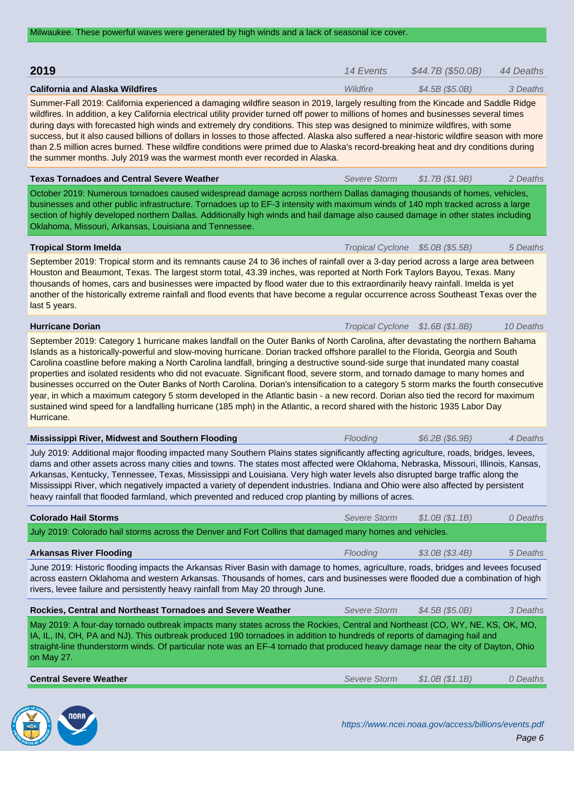**2019 14 Events \$44.7B (\$50.0B)** 44 Deaths **California and Alaska Wildfires California and Alaska Wildfire** \$4.5B (\$5.0B) 3 Deaths Summer-Fall 2019: California experienced a damaging wildfire season in 2019, largely resulting from the Kincade and Saddle Ridge wildfires. In addition, a key California electrical utility provider turned off power to millions of homes and businesses several times during days with forecasted high winds and extremely dry conditions. This step was designed to minimize wildfires, with some success, but it also caused billions of dollars in losses to those affected. Alaska also suffered a near-historic wildfire season with more than 2.5 million acres burned. These wildfire conditions were primed due to Alaska's record-breaking heat and dry conditions during the summer months. July 2019 was the warmest month ever recorded in Alaska. **Texas Tornadoes and Central Severe Weather** Severe Storm \$1.7B (\$1.9B) 2 Deaths October 2019: Numerous tornadoes caused widespread damage across northern Dallas damaging thousands of homes, vehicles, businesses and other public infrastructure. Tornadoes up to EF-3 intensity with maximum winds of 140 mph tracked across a large section of highly developed northern Dallas. Additionally high winds and hail damage also caused damage in other states including Oklahoma, Missouri, Arkansas, Louisiana and Tennessee. **Tropical Storm Imelda** Transfer Transfer Transfer Transfer Transfer Transfer Transfer Transfer Transfer Transfer Transfer Transfer Transfer Transfer Transfer Transfer Transfer Transfer Transfer Transfer Transfer Transfer September 2019: Tropical storm and its remnants cause 24 to 36 inches of rainfall over a 3-day period across a large area between Houston and Beaumont, Texas. The largest storm total, 43.39 inches, was reported at North Fork Taylors Bayou, Texas. Many thousands of homes, cars and businesses were impacted by flood water due to this extraordinarily heavy rainfall. Imelda is yet another of the historically extreme rainfall and flood events that have become a regular occurrence across Southeast Texas over the last 5 years. **Hurricane Dorian** 10 Deaths **Hurricane Dorian** 10 Deaths **Transfer Cyclone 31.6B (\$1.8B)** 10 Deaths September 2019: Category 1 hurricane makes landfall on the Outer Banks of North Carolina, after devastating the northern Bahama Islands as a historically-powerful and slow-moving hurricane. Dorian tracked offshore parallel to the Florida, Georgia and South Carolina coastline before making a North Carolina landfall, bringing a destructive sound-side surge that inundated many coastal properties and isolated residents who did not evacuate. Significant flood, severe storm, and tornado damage to many homes and businesses occurred on the Outer Banks of North Carolina. Dorian's intensification to a category 5 storm marks the fourth consecutive year, in which a maximum category 5 storm developed in the Atlantic basin - a new record. Dorian also tied the record for maximum sustained wind speed for a landfalling hurricane (185 mph) in the Atlantic, a record shared with the historic 1935 Labor Day Hurricane. **Mississippi River, Midwest and Southern Flooding** Flooding Flooding \$6.2B (\$6.9B) 4 Deaths July 2019: Additional major flooding impacted many Southern Plains states significantly affecting agriculture, roads, bridges, levees, dams and other assets across many cities and towns. The states most affected were Oklahoma, Nebraska, Missouri, Illinois, Kansas, Arkansas, Kentucky, Tennessee, Texas, Mississippi and Louisiana. Very high water levels also disrupted barge traffic along the Mississippi River, which negatively impacted a variety of dependent industries. Indiana and Ohio were also affected by persistent heavy rainfall that flooded farmland, which prevented and reduced crop planting by millions of acres. **Colorado Hail Storms**  $\bullet$  Deaths **Severe Storm**  $\bullet$  **Severe Storm**  $\bullet$  1.0B (\$1.1B) 0 Deaths July 2019: Colorado hail storms across the Denver and Fort Collins that damaged many homes and vehicles.

June 2019: Historic flooding impacts the Arkansas River Basin with damage to homes, agriculture, roads, bridges and levees focused across eastern Oklahoma and western Arkansas. Thousands of homes, cars and businesses were flooded due a combination of high rivers, levee failure and persistently heavy rainfall from May 20 through June.

**Arkansas River Flooding** Flooding **Flooding Flooding** 5 Deaths **Flooding** 5 Deaths

| Rockies, Central and Northeast Tornadoes and Severe Weather                                                                                                                                                                                                                                                                                                                                                 | Severe Storm | $$4.5B$ (\$5.0B) | 3 Deaths |
|-------------------------------------------------------------------------------------------------------------------------------------------------------------------------------------------------------------------------------------------------------------------------------------------------------------------------------------------------------------------------------------------------------------|--------------|------------------|----------|
| May 2019: A four-day tornado outbreak impacts many states across the Rockies, Central and Northeast (CO, WY, NE, KS, OK, MO,<br>IA, IL, IN, OH, PA and NJ). This outbreak produced 190 tornadoes in addition to hundreds of reports of damaging hail and<br>straight-line thunderstorm winds. Of particular note was an EF-4 tornado that produced heavy damage near the city of Dayton, Ohio<br>on May 27. |              |                  |          |
| <b>Central Severe Weather</b>                                                                                                                                                                                                                                                                                                                                                                               | Severe Storm | \$1.0B(S1.1B)    | 0 Deaths |

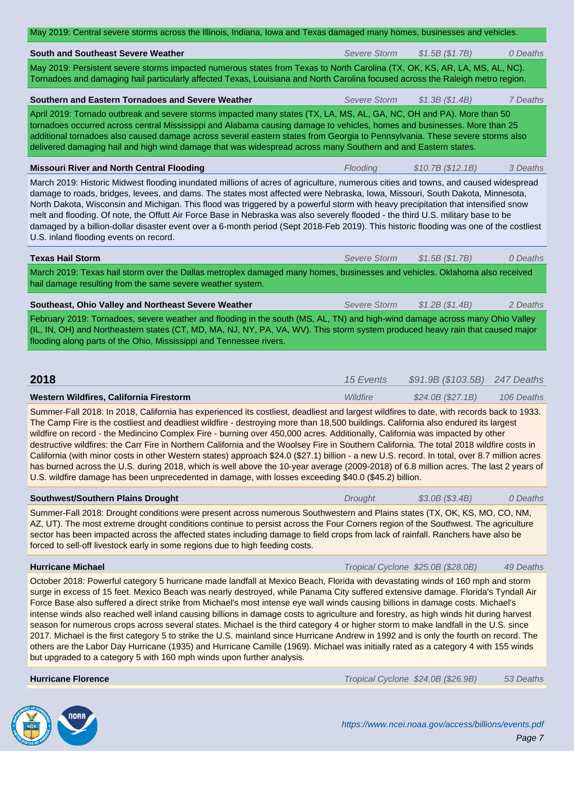|                                                                                                                                                                                                                                                                                                                                                                                                                                                                                                                                                                                                                                                                                                                                                                                                                                                                                                                                                                                                                                                  | <b>Severe Storm</b> | \$1.5B (\$1.7B)                    | 0 Deaths   |
|--------------------------------------------------------------------------------------------------------------------------------------------------------------------------------------------------------------------------------------------------------------------------------------------------------------------------------------------------------------------------------------------------------------------------------------------------------------------------------------------------------------------------------------------------------------------------------------------------------------------------------------------------------------------------------------------------------------------------------------------------------------------------------------------------------------------------------------------------------------------------------------------------------------------------------------------------------------------------------------------------------------------------------------------------|---------------------|------------------------------------|------------|
| May 2019: Persistent severe storms impacted numerous states from Texas to North Carolina (TX, OK, KS, AR, LA, MS, AL, NC).<br>Tornadoes and damaging hail particularly affected Texas, Louisiana and North Carolina focused across the Raleigh metro region.                                                                                                                                                                                                                                                                                                                                                                                                                                                                                                                                                                                                                                                                                                                                                                                     |                     |                                    |            |
| Southern and Eastern Tornadoes and Severe Weather                                                                                                                                                                                                                                                                                                                                                                                                                                                                                                                                                                                                                                                                                                                                                                                                                                                                                                                                                                                                | <b>Severe Storm</b> | \$1.3B (\$1.4B)                    | 7 Deaths   |
| April 2019: Tornado outbreak and severe storms impacted many states (TX, LA, MS, AL, GA, NC, OH and PA). More than 50<br>tornadoes occurred across central Mississippi and Alabama causing damage to vehicles, homes and businesses. More than 25<br>additional tornadoes also caused damage across several eastern states from Georgia to Pennsylvania. These severe storms also<br>delivered damaging hail and high wind damage that was widespread across many Southern and and Eastern states.                                                                                                                                                                                                                                                                                                                                                                                                                                                                                                                                               |                     |                                    |            |
| <b>Missouri River and North Central Flooding</b>                                                                                                                                                                                                                                                                                                                                                                                                                                                                                                                                                                                                                                                                                                                                                                                                                                                                                                                                                                                                 | Flooding            | \$10.7B (\$12.1B)                  | 3 Deaths   |
| March 2019: Historic Midwest flooding inundated millions of acres of agriculture, numerous cities and towns, and caused widespread<br>damage to roads, bridges, levees, and dams. The states most affected were Nebraska, Iowa, Missouri, South Dakota, Minnesota,<br>North Dakota, Wisconsin and Michigan. This flood was triggered by a powerful storm with heavy precipitation that intensified snow<br>melt and flooding. Of note, the Offutt Air Force Base in Nebraska was also severely flooded - the third U.S. military base to be<br>damaged by a billion-dollar disaster event over a 6-month period (Sept 2018-Feb 2019). This historic flooding was one of the costliest<br>U.S. inland flooding events on record.                                                                                                                                                                                                                                                                                                                  |                     |                                    |            |
| <b>Texas Hail Storm</b>                                                                                                                                                                                                                                                                                                                                                                                                                                                                                                                                                                                                                                                                                                                                                                                                                                                                                                                                                                                                                          | <b>Severe Storm</b> | \$1.5B (\$1.7B)                    | 0 Deaths   |
| March 2019: Texas hail storm over the Dallas metroplex damaged many homes, businesses and vehicles. Oklahoma also received<br>hail damage resulting from the same severe weather system.                                                                                                                                                                                                                                                                                                                                                                                                                                                                                                                                                                                                                                                                                                                                                                                                                                                         |                     |                                    |            |
| Southeast, Ohio Valley and Northeast Severe Weather                                                                                                                                                                                                                                                                                                                                                                                                                                                                                                                                                                                                                                                                                                                                                                                                                                                                                                                                                                                              | Severe Storm        | \$1.2B (\$1.4B)                    | 2 Deaths   |
| February 2019: Tornadoes, severe weather and flooding in the south (MS, AL, TN) and high-wind damage across many Ohio Valley<br>(IL, IN, OH) and Northeastern states (CT, MD, MA, NJ, NY, PA, VA, WV). This storm system produced heavy rain that caused major<br>flooding along parts of the Ohio, Mississippi and Tennessee rivers.                                                                                                                                                                                                                                                                                                                                                                                                                                                                                                                                                                                                                                                                                                            |                     |                                    |            |
|                                                                                                                                                                                                                                                                                                                                                                                                                                                                                                                                                                                                                                                                                                                                                                                                                                                                                                                                                                                                                                                  |                     |                                    |            |
| 2018                                                                                                                                                                                                                                                                                                                                                                                                                                                                                                                                                                                                                                                                                                                                                                                                                                                                                                                                                                                                                                             | 15 Events           | \$91.9B (\$103.5B) 247 Deaths      |            |
| Western Wildfires, California Firestorm                                                                                                                                                                                                                                                                                                                                                                                                                                                                                                                                                                                                                                                                                                                                                                                                                                                                                                                                                                                                          | Wildfire            | \$24.0B (\$27.1B)                  | 106 Deaths |
| Summer-Fall 2018: In 2018, California has experienced its costliest, deadliest and largest wildfires to date, with records back to 1933.<br>The Camp Fire is the costliest and deadliest wildfire - destroying more than 18,500 buildings. California also endured its largest<br>wildfire on record - the Medincino Complex Fire - burning over 450,000 acres. Additionally, California was impacted by other<br>destructive wildfires: the Carr Fire in Northern California and the Woolsey Fire in Southern California. The total 2018 wildfire costs in<br>California (with minor costs in other Western states) approach \$24.0 (\$27.1) billion - a new U.S. record. In total, over 8.7 million acres<br>has burned across the U.S. during 2018, which is well above the 10-year average (2009-2018) of 6.8 million acres. The last 2 years of<br>U.S. wildfire damage has been unprecedented in damage, with losses exceeding \$40.0 (\$45.2) billion.                                                                                    |                     |                                    |            |
|                                                                                                                                                                                                                                                                                                                                                                                                                                                                                                                                                                                                                                                                                                                                                                                                                                                                                                                                                                                                                                                  |                     |                                    |            |
| Southwest/Southern Plains Drought<br>Summer-Fall 2018: Drought conditions were present across numerous Southwestern and Plains states (TX, OK, KS, MO, CO, NM,<br>AZ, UT). The most extreme drought conditions continue to persist across the Four Corners region of the Southwest. The agriculture<br>sector has been impacted across the affected states including damage to field crops from lack of rainfall. Ranchers have also be<br>forced to sell-off livestock early in some regions due to high feeding costs.                                                                                                                                                                                                                                                                                                                                                                                                                                                                                                                         | Drought             | \$3.0B (\$3.4B)                    | 0 Deaths   |
| <b>Hurricane Michael</b>                                                                                                                                                                                                                                                                                                                                                                                                                                                                                                                                                                                                                                                                                                                                                                                                                                                                                                                                                                                                                         |                     | Tropical Cyclone \$25.0B (\$28.0B) | 49 Deaths  |
| October 2018: Powerful category 5 hurricane made landfall at Mexico Beach, Florida with devastating winds of 160 mph and storm<br>surge in excess of 15 feet. Mexico Beach was nearly destroyed, while Panama City suffered extensive damage. Florida's Tyndall Air<br>Force Base also suffered a direct strike from Michael's most intense eye wall winds causing billions in damage costs. Michael's<br>intense winds also reached well inland causing billions in damage costs to agriculture and forestry, as high winds hit during harvest<br>season for numerous crops across several states. Michael is the third category 4 or higher storm to make landfall in the U.S. since<br>2017. Michael is the first category 5 to strike the U.S. mainland since Hurricane Andrew in 1992 and is only the fourth on record. The<br>others are the Labor Day Hurricane (1935) and Hurricane Camille (1969). Michael was initially rated as a category 4 with 155 winds<br>but upgraded to a category 5 with 160 mph winds upon further analysis. |                     |                                    |            |
| <b>Hurricane Florence</b>                                                                                                                                                                                                                                                                                                                                                                                                                                                                                                                                                                                                                                                                                                                                                                                                                                                                                                                                                                                                                        |                     | Tropical Cyclone \$24.0B (\$26.9B) | 53 Deaths  |

ROOM NO. **C** 

https://www.ncei.noaa.gov/access/billions/events.pdf Page 7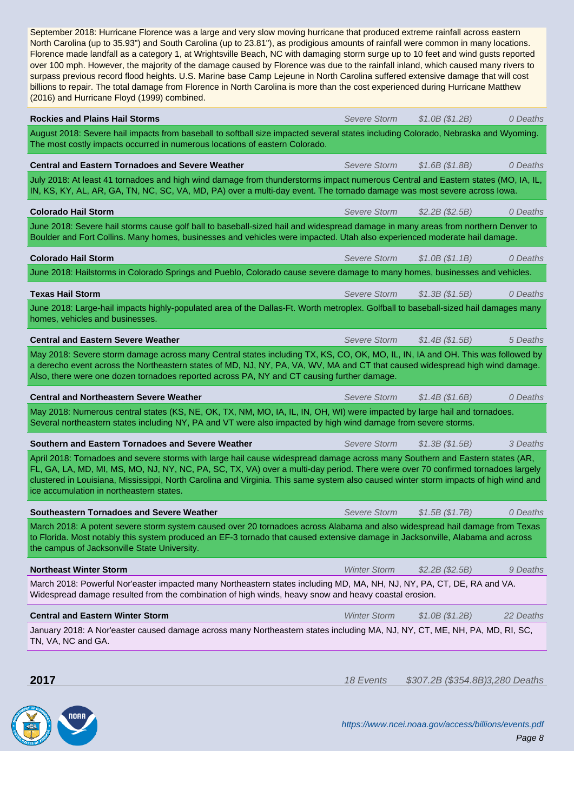| Florence made landfall as a category 1, at Wrightsville Beach, NC with damaging storm surge up to 10 feet and wind gusts reported<br>over 100 mph. However, the majority of the damage caused by Florence was due to the rainfall inland, which caused many rivers to<br>surpass previous record flood heights. U.S. Marine base Camp Lejeune in North Carolina suffered extensive damage that will cost<br>billions to repair. The total damage from Florence in North Carolina is more than the cost experienced during Hurricane Matthew<br>(2016) and Hurricane Floyd (1999) combined. |                     |                                 |           |
|--------------------------------------------------------------------------------------------------------------------------------------------------------------------------------------------------------------------------------------------------------------------------------------------------------------------------------------------------------------------------------------------------------------------------------------------------------------------------------------------------------------------------------------------------------------------------------------------|---------------------|---------------------------------|-----------|
| <b>Rockies and Plains Hail Storms</b>                                                                                                                                                                                                                                                                                                                                                                                                                                                                                                                                                      | Severe Storm        | \$1.0B (\$1.2B)                 | 0 Deaths  |
| August 2018: Severe hail impacts from baseball to softball size impacted several states including Colorado, Nebraska and Wyoming.<br>The most costly impacts occurred in numerous locations of eastern Colorado.                                                                                                                                                                                                                                                                                                                                                                           |                     |                                 |           |
| <b>Central and Eastern Tornadoes and Severe Weather</b>                                                                                                                                                                                                                                                                                                                                                                                                                                                                                                                                    | <b>Severe Storm</b> | \$1.6B (\$1.8B)                 | 0 Deaths  |
| July 2018: At least 41 tornadoes and high wind damage from thunderstorms impact numerous Central and Eastern states (MO, IA, IL,<br>IN, KS, KY, AL, AR, GA, TN, NC, SC, VA, MD, PA) over a multi-day event. The tornado damage was most severe across lowa.                                                                                                                                                                                                                                                                                                                                |                     |                                 |           |
| <b>Colorado Hail Storm</b>                                                                                                                                                                                                                                                                                                                                                                                                                                                                                                                                                                 | Severe Storm        | \$2.2B (\$2.5B)                 | 0 Deaths  |
| June 2018: Severe hail storms cause golf ball to baseball-sized hail and widespread damage in many areas from northern Denver to<br>Boulder and Fort Collins. Many homes, businesses and vehicles were impacted. Utah also experienced moderate hail damage.                                                                                                                                                                                                                                                                                                                               |                     |                                 |           |
| <b>Colorado Hail Storm</b>                                                                                                                                                                                                                                                                                                                                                                                                                                                                                                                                                                 | Severe Storm        | \$1.0B (\$1.1B)                 | 0 Deaths  |
| June 2018: Hailstorms in Colorado Springs and Pueblo, Colorado cause severe damage to many homes, businesses and vehicles.                                                                                                                                                                                                                                                                                                                                                                                                                                                                 |                     |                                 |           |
| <b>Texas Hail Storm</b>                                                                                                                                                                                                                                                                                                                                                                                                                                                                                                                                                                    | <b>Severe Storm</b> | \$1.3B (\$1.5B)                 | 0 Deaths  |
| June 2018: Large-hail impacts highly-populated area of the Dallas-Ft. Worth metroplex. Golfball to baseball-sized hail damages many<br>homes, vehicles and businesses.                                                                                                                                                                                                                                                                                                                                                                                                                     |                     |                                 |           |
| <b>Central and Eastern Severe Weather</b>                                                                                                                                                                                                                                                                                                                                                                                                                                                                                                                                                  | <b>Severe Storm</b> | \$1.4B (\$1.5B)                 | 5 Deaths  |
| May 2018: Severe storm damage across many Central states including TX, KS, CO, OK, MO, IL, IN, IA and OH. This was followed by<br>a derecho event across the Northeastern states of MD, NJ, NY, PA, VA, WV, MA and CT that caused widespread high wind damage.<br>Also, there were one dozen tornadoes reported across PA, NY and CT causing further damage.                                                                                                                                                                                                                               |                     |                                 |           |
| <b>Central and Northeastern Severe Weather</b>                                                                                                                                                                                                                                                                                                                                                                                                                                                                                                                                             | Severe Storm        | \$1.4B (\$1.6B)                 | 0 Deaths  |
| May 2018: Numerous central states (KS, NE, OK, TX, NM, MO, IA, IL, IN, OH, WI) were impacted by large hail and tornadoes.<br>Several northeastern states including NY, PA and VT were also impacted by high wind damage from severe storms.                                                                                                                                                                                                                                                                                                                                                |                     |                                 |           |
| Southern and Eastern Tornadoes and Severe Weather                                                                                                                                                                                                                                                                                                                                                                                                                                                                                                                                          | Severe Storm        | \$1.3B (\$1.5B)                 | 3 Deaths  |
| April 2018: Tornadoes and severe storms with large hail cause widespread damage across many Southern and Eastern states (AR,<br>FL, GA, LA, MD, MI, MS, MO, NJ, NY, NC, PA, SC, TX, VA) over a multi-day period. There were over 70 confirmed tornadoes largely<br>clustered in Louisiana, Mississippi, North Carolina and Virginia. This same system also caused winter storm impacts of high wind and<br>ice accumulation in northeastern states.                                                                                                                                        |                     |                                 |           |
| <b>Southeastern Tornadoes and Severe Weather</b>                                                                                                                                                                                                                                                                                                                                                                                                                                                                                                                                           | <b>Severe Storm</b> | \$1.5B (\$1.7B)                 | 0 Deaths  |
| March 2018: A potent severe storm system caused over 20 tornadoes across Alabama and also widespread hail damage from Texas<br>to Florida. Most notably this system produced an EF-3 tornado that caused extensive damage in Jacksonville, Alabama and across<br>the campus of Jacksonville State University.                                                                                                                                                                                                                                                                              |                     |                                 |           |
| <b>Northeast Winter Storm</b>                                                                                                                                                                                                                                                                                                                                                                                                                                                                                                                                                              | <b>Winter Storm</b> | \$2.2B (\$2.5B)                 | 9 Deaths  |
| March 2018: Powerful Nor'easter impacted many Northeastern states including MD, MA, NH, NJ, NY, PA, CT, DE, RA and VA.<br>Widespread damage resulted from the combination of high winds, heavy snow and heavy coastal erosion.                                                                                                                                                                                                                                                                                                                                                             |                     |                                 |           |
| <b>Central and Eastern Winter Storm</b>                                                                                                                                                                                                                                                                                                                                                                                                                                                                                                                                                    | <b>Winter Storm</b> | \$1.0B (\$1.2B)                 | 22 Deaths |
| January 2018: A Nor'easter caused damage across many Northeastern states including MA, NJ, NY, CT, ME, NH, PA, MD, RI, SC,<br>TN, VA, NC and GA.                                                                                                                                                                                                                                                                                                                                                                                                                                           |                     |                                 |           |
| 2017                                                                                                                                                                                                                                                                                                                                                                                                                                                                                                                                                                                       | 18 Events           | \$307.2B (\$354.8B)3,280 Deaths |           |

NORR

https://www.ncei.noaa.gov/access/billions/events.pdf Page 8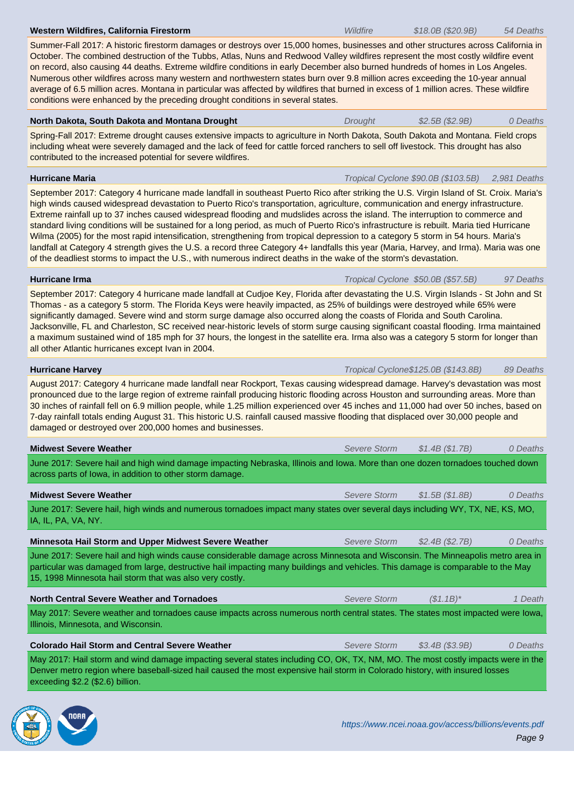October. The combined destruction of the Tubbs, Atlas, Nuns and Redwood Valley wildfires represent the most costly wildfire event on record, also causing 44 deaths. Extreme wildfire conditions in early December also burned hundreds of homes in Los Angeles. Numerous other wildfires across many western and northwestern states burn over 9.8 million acres exceeding the 10-year annual average of 6.5 million acres. Montana in particular was affected by wildfires that burned in excess of 1 million acres. These wildfire conditions were enhanced by the preceding drought conditions in several states.

Summer-Fall 2017: A historic firestorm damages or destroys over 15,000 homes, businesses and other structures across California in

| North Dakota, South Dakota and Montana Drought          |  |  | <b>Drought</b> | \$2.5B (\$2.9B) | 0 Deaths |
|---------------------------------------------------------|--|--|----------------|-----------------|----------|
| $\sim$ $\sim$ $\sim$ $\sim$ $\sim$ $\sim$ $\sim$ $\sim$ |  |  |                |                 |          |

Spring-Fall 2017: Extreme drought causes extensive impacts to agriculture in North Dakota, South Dakota and Montana. Field crops including wheat were severely damaged and the lack of feed for cattle forced ranchers to sell off livestock. This drought has also contributed to the increased potential for severe wildfires.

**Hurricane Maria** Tropical Cyclone \$90.0B (\$103.5B) 2,981 Deaths

September 2017: Category 4 hurricane made landfall in southeast Puerto Rico after striking the U.S. Virgin Island of St. Croix. Maria's high winds caused widespread devastation to Puerto Rico's transportation, agriculture, communication and energy infrastructure. Extreme rainfall up to 37 inches caused widespread flooding and mudslides across the island. The interruption to commerce and standard living conditions will be sustained for a long period, as much of Puerto Rico's infrastructure is rebuilt. Maria tied Hurricane Wilma (2005) for the most rapid intensification, strengthening from tropical depression to a category 5 storm in 54 hours. Maria's landfall at Category 4 strength gives the U.S. a record three Category 4+ landfalls this year (Maria, Harvey, and Irma). Maria was one of the deadliest storms to impact the U.S., with numerous indirect deaths in the wake of the storm's devastation.

# **Hurricane Irma** Tropical Cyclone \$50.0B (\$57.5B) 97 Deaths

September 2017: Category 4 hurricane made landfall at Cudjoe Key, Florida after devastating the U.S. Virgin Islands - St John and St Thomas - as a category 5 storm. The Florida Keys were heavily impacted, as 25% of buildings were destroyed while 65% were significantly damaged. Severe wind and storm surge damage also occurred along the coasts of Florida and South Carolina. Jacksonville, FL and Charleston, SC received near-historic levels of storm surge causing significant coastal flooding. Irma maintained a maximum sustained wind of 185 mph for 37 hours, the longest in the satellite era. Irma also was a category 5 storm for longer than all other Atlantic hurricanes except Ivan in 2004.

**Hurricane Harvey** 89 Deaths and the United States of Tropical Cyclone\$125.0B (\$143.8B) 89 Deaths August 2017: Category 4 hurricane made landfall near Rockport, Texas causing widespread damage. Harvey's devastation was most pronounced due to the large region of extreme rainfall producing historic flooding across Houston and surrounding areas. More than 30 inches of rainfall fell on 6.9 million people, while 1.25 million experienced over 45 inches and 11,000 had over 50 inches, based on 7-day rainfall totals ending August 31. This historic U.S. rainfall caused massive flooding that displaced over 30,000 people and damaged or destroyed over 200,000 homes and businesses.

| <b>Midwest Severe Weather</b>                                                                                                                                                                                                                                                                                                | Severe Storm | \$1.4B (\$1.7B)  | 0 Deaths |
|------------------------------------------------------------------------------------------------------------------------------------------------------------------------------------------------------------------------------------------------------------------------------------------------------------------------------|--------------|------------------|----------|
| June 2017: Severe hail and high wind damage impacting Nebraska, Illinois and lowa. More than one dozen tornadoes touched down<br>across parts of lowa, in addition to other storm damage.                                                                                                                                    |              |                  |          |
| <b>Midwest Severe Weather</b>                                                                                                                                                                                                                                                                                                | Severe Storm | \$1.5B(S1.8B)    | 0 Deaths |
| June 2017: Severe hail, high winds and numerous tornadoes impact many states over several days including WY, TX, NE, KS, MO,<br>IA, IL, PA, VA, NY.                                                                                                                                                                          |              |                  |          |
| <b>Minnesota Hail Storm and Upper Midwest Severe Weather</b>                                                                                                                                                                                                                                                                 | Severe Storm | \$2.4B (\$2.7B)  | 0 Deaths |
| June 2017: Severe hail and high winds cause considerable damage across Minnesota and Wisconsin. The Minneapolis metro area in<br>particular was damaged from large, destructive hail impacting many buildings and vehicles. This damage is comparable to the May<br>15, 1998 Minnesota hail storm that was also very costly. |              |                  |          |
| <b>North Central Severe Weather and Tornadoes</b>                                                                                                                                                                                                                                                                            | Severe Storm | $(S1.1B)^*$      | 1 Death  |
| May 2017: Severe weather and tornadoes cause impacts across numerous north central states. The states most impacted were lowa,<br>Illinois, Minnesota, and Wisconsin.                                                                                                                                                        |              |                  |          |
| <b>Colorado Hail Storm and Central Severe Weather</b>                                                                                                                                                                                                                                                                        | Severe Storm | $$3.4B$ (\$3.9B) | 0 Deaths |
| May 2017: Hail storm and wind damage impacting several states including CO, OK, TX, NM, MO. The most costly impacts were in the<br>Denver metro region where baseball-sized hail caused the most expensive hail storm in Colorado history, with insured losses                                                               |              |                  |          |



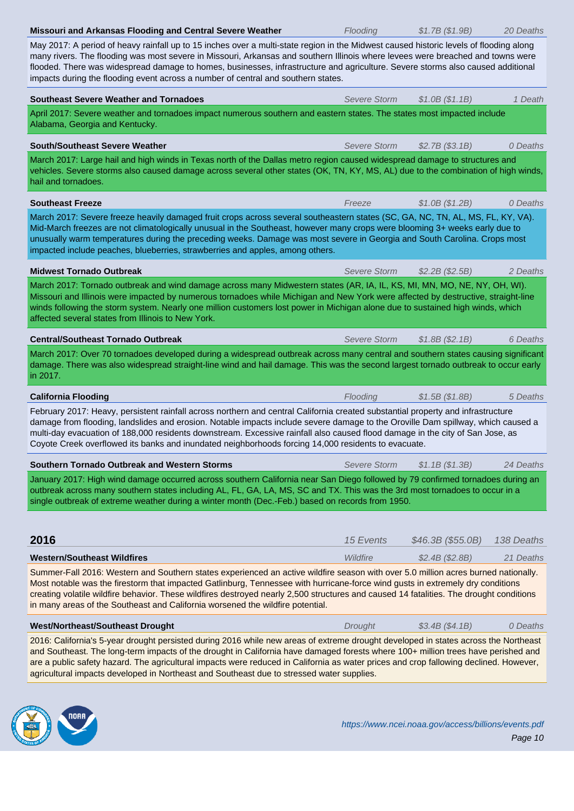May 2017: A period of heavy rainfall up to 15 inches over a multi-state region in the Midwest caused historic levels of flooding along many rivers. The flooding was most severe in Missouri, Arkansas and southern Illinois where levees were breached and towns were flooded. There was widespread damage to homes, businesses, infrastructure and agriculture. Severe storms also caused additional impacts during the flooding event across a number of central and southern states.

| <b>Southeast Severe Weather and Tornadoes</b>                                                                                                                                                                                                                                                                                                                                                                                                                                                                  | Severe Storm | \$1.0B(S1.1B)     | 1 Death    |  |  |  |  |
|----------------------------------------------------------------------------------------------------------------------------------------------------------------------------------------------------------------------------------------------------------------------------------------------------------------------------------------------------------------------------------------------------------------------------------------------------------------------------------------------------------------|--------------|-------------------|------------|--|--|--|--|
| April 2017: Severe weather and tornadoes impact numerous southern and eastern states. The states most impacted include<br>Alabama, Georgia and Kentucky.                                                                                                                                                                                                                                                                                                                                                       |              |                   |            |  |  |  |  |
| South/Southeast Severe Weather                                                                                                                                                                                                                                                                                                                                                                                                                                                                                 | Severe Storm | \$2.7B(S3.1B)     | 0 Deaths   |  |  |  |  |
| March 2017: Large hail and high winds in Texas north of the Dallas metro region caused widespread damage to structures and<br>vehicles. Severe storms also caused damage across several other states (OK, TN, KY, MS, AL) due to the combination of high winds,<br>hail and tornadoes.                                                                                                                                                                                                                         |              |                   |            |  |  |  |  |
| <b>Southeast Freeze</b>                                                                                                                                                                                                                                                                                                                                                                                                                                                                                        | Freeze       | \$1.0B (\$1.2B)   | 0 Deaths   |  |  |  |  |
| March 2017: Severe freeze heavily damaged fruit crops across several southeastern states (SC, GA, NC, TN, AL, MS, FL, KY, VA).<br>Mid-March freezes are not climatologically unusual in the Southeast, however many crops were blooming 3+ weeks early due to<br>unusually warm temperatures during the preceding weeks. Damage was most severe in Georgia and South Carolina. Crops most<br>impacted include peaches, blueberries, strawberries and apples, among others.                                     |              |                   |            |  |  |  |  |
| <b>Midwest Tornado Outbreak</b>                                                                                                                                                                                                                                                                                                                                                                                                                                                                                | Severe Storm | \$2.2B (\$2.5B)   | 2 Deaths   |  |  |  |  |
| March 2017: Tornado outbreak and wind damage across many Midwestern states (AR, IA, IL, KS, MI, MN, MO, NE, NY, OH, WI).<br>Missouri and Illinois were impacted by numerous tornadoes while Michigan and New York were affected by destructive, straight-line<br>winds following the storm system. Nearly one million customers lost power in Michigan alone due to sustained high winds, which<br>affected several states from Illinois to New York.                                                          |              |                   |            |  |  |  |  |
| <b>Central/Southeast Tornado Outbreak</b>                                                                                                                                                                                                                                                                                                                                                                                                                                                                      | Severe Storm | \$1.8B (\$2.1B)   | 6 Deaths   |  |  |  |  |
| March 2017: Over 70 tornadoes developed during a widespread outbreak across many central and southern states causing significant<br>damage. There was also widespread straight-line wind and hail damage. This was the second largest tornado outbreak to occur early<br>in 2017.                                                                                                                                                                                                                              |              |                   |            |  |  |  |  |
| <b>California Flooding</b>                                                                                                                                                                                                                                                                                                                                                                                                                                                                                     | Flooding     | \$1.5B(S1.8B)     | 5 Deaths   |  |  |  |  |
| February 2017: Heavy, persistent rainfall across northern and central California created substantial property and infrastructure<br>damage from flooding, landslides and erosion. Notable impacts include severe damage to the Oroville Dam spillway, which caused a<br>multi-day evacuation of 188,000 residents downstream. Excessive rainfall also caused flood damage in the city of San Jose, as<br>Coyote Creek overflowed its banks and inundated neighborhoods forcing 14,000 residents to evacuate.   |              |                   |            |  |  |  |  |
| Southern Tornado Outbreak and Western Storms                                                                                                                                                                                                                                                                                                                                                                                                                                                                   | Severe Storm | \$1.1B (\$1.3B)   | 24 Deaths  |  |  |  |  |
| January 2017: High wind damage occurred across southern California near San Diego followed by 79 confirmed tornadoes during an<br>outbreak across many southern states including AL, FL, GA, LA, MS, SC and TX. This was the 3rd most tornadoes to occur in a<br>single outbreak of extreme weather during a winter month (Dec.-Feb.) based on records from 1950.                                                                                                                                              |              |                   |            |  |  |  |  |
| 2016                                                                                                                                                                                                                                                                                                                                                                                                                                                                                                           | 15 Events    | \$46.3B (\$55.0B) | 138 Deaths |  |  |  |  |
| <b>Western/Southeast Wildfires</b>                                                                                                                                                                                                                                                                                                                                                                                                                                                                             | Wildfire     | \$2.4B (\$2.8B)   | 21 Deaths  |  |  |  |  |
| Summer-Fall 2016: Western and Southern states experienced an active wildfire season with over 5.0 million acres burned nationally.<br>Most notable was the firestorm that impacted Gatlinburg, Tennessee with hurricane-force wind gusts in extremely dry conditions<br>creating volatile wildfire behavior. These wildfires destroyed nearly 2,500 structures and caused 14 fatalities. The drought conditions<br>in many areas of the Southeast and California worsened the wildfire potential.              |              |                   |            |  |  |  |  |
| <b>West/Northeast/Southeast Drought</b>                                                                                                                                                                                                                                                                                                                                                                                                                                                                        | Drought      | \$3.4B (\$4.1B)   | 0 Deaths   |  |  |  |  |
| 2016: California's 5-year drought persisted during 2016 while new areas of extreme drought developed in states across the Northeast<br>and Southeast. The long-term impacts of the drought in California have damaged forests where 100+ million trees have perished and<br>are a public safety hazard. The agricultural impacts were reduced in California as water prices and crop fallowing declined. However,<br>agricultural impacts developed in Northeast and Southeast due to stressed water supplies. |              |                   |            |  |  |  |  |

NORR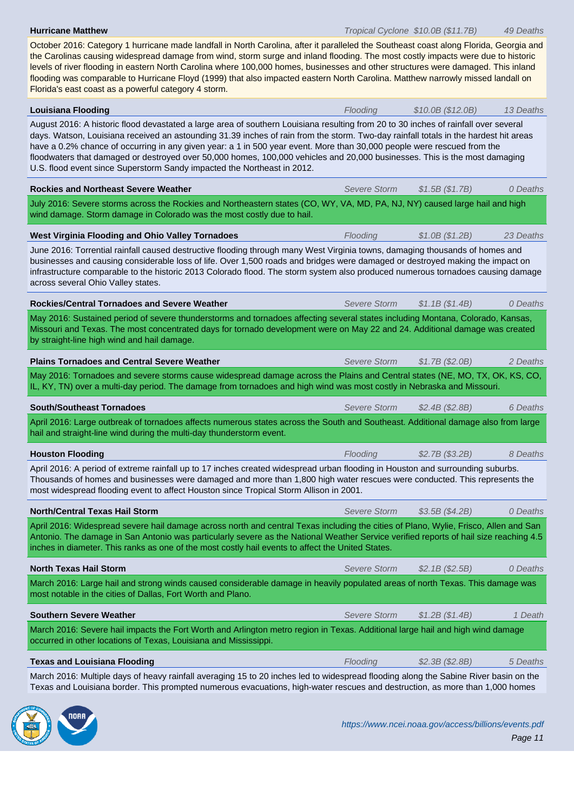the Carolinas causing widespread damage from wind, storm surge and inland flooding. The most costly impacts were due to historic levels of river flooding in eastern North Carolina where 100,000 homes, businesses and other structures were damaged. This inland flooding was comparable to Hurricane Floyd (1999) that also impacted eastern North Carolina. Matthew narrowly missed landall on Florida's east coast as a powerful category 4 storm.

October 2016: Category 1 hurricane made landfall in North Carolina, after it paralleled the Southeast coast along Florida, Georgia and

**Louisiana Flooding** Flooding **Flooding Flooding 510.0B** (\$12.0B) 13 Deaths August 2016: A historic flood devastated a large area of southern Louisiana resulting from 20 to 30 inches of rainfall over several days. Watson, Louisiana received an astounding 31.39 inches of rain from the storm. Two-day rainfall totals in the hardest hit areas have a 0.2% chance of occurring in any given year: a 1 in 500 year event. More than 30,000 people were rescued from the floodwaters that damaged or destroyed over 50,000 homes, 100,000 vehicles and 20,000 businesses. This is the most damaging U.S. flood event since Superstorm Sandy impacted the Northeast in 2012. **Rockies and Northeast Severe Weather** Severe Storm \$1.5B (\$1.7B) 0 Deaths July 2016: Severe storms across the Rockies and Northeastern states (CO, WY, VA, MD, PA, NJ, NY) caused large hail and high wind damage. Storm damage in Colorado was the most costly due to hail. **West Virginia Flooding and Ohio Valley Tornadoes** Flooding Flooding \$1.0B (\$1.2B) 23 Deaths June 2016: Torrential rainfall caused destructive flooding through many West Virginia towns, damaging thousands of homes and businesses and causing considerable loss of life. Over 1,500 roads and bridges were damaged or destroyed making the impact on infrastructure comparable to the historic 2013 Colorado flood. The storm system also produced numerous tornadoes causing damage across several Ohio Valley states. **Rockies/Central Tornadoes and Severe Weather** Severe Storm \$1.1B (\$1.4B) 0 Deaths May 2016: Sustained period of severe thunderstorms and tornadoes affecting several states including Montana, Colorado, Kansas, Missouri and Texas. The most concentrated days for tornado development were on May 22 and 24. Additional damage was created by straight-line high wind and hail damage. **Plains Tornadoes and Central Severe Weather** Severe Storm \$1.7B (\$2.0B) 2 Deaths May 2016: Tornadoes and severe storms cause widespread damage across the Plains and Central states (NE, MO, TX, OK, KS, CO, IL, KY, TN) over a multi-day period. The damage from tornadoes and high wind was most costly in Nebraska and Missouri. **South/Southeast Tornadoes Severe Storm**  $$2.4B ($2.8B)$  6 Deaths April 2016: Large outbreak of tornadoes affects numerous states across the South and Southeast. Additional damage also from large hail and straight-line wind during the multi-day thunderstorm event. **Houston Flooding** 8 Deaths **Flooding** 8 Deaths **Flooding** 52.7B (\$3.2B) 8 Deaths April 2016: A period of extreme rainfall up to 17 inches created widespread urban flooding in Houston and surrounding suburbs. Thousands of homes and businesses were damaged and more than 1,800 high water rescues were conducted. This represents the most widespread flooding event to affect Houston since Tropical Storm Allison in 2001. **North/Central Texas Hail Storm**  $\bullet$  Deaths April 2016: Widespread severe hail damage across north and central Texas including the cities of Plano, Wylie, Frisco, Allen and San Antonio. The damage in San Antonio was particularly severe as the National Weather Service verified reports of hail size reaching 4.5 inches in diameter. This ranks as one of the most costly hail events to affect the United States. **North Texas Hail Storm**  $\qquad 0$  Deaths March 2016: Large hail and strong winds caused considerable damage in heavily populated areas of north Texas. This damage was most notable in the cities of Dallas, Fort Worth and Plano. **Southern Severe Weather** Severe Storm \$1.2B (\$1.4B) 1 Death March 2016: Severe hail impacts the Fort Worth and Arlington metro region in Texas. Additional large hail and high wind damage occurred in other locations of Texas, Louisiana and Mississippi. **Texas and Louisiana Flooding** Flooding **Flooding** Flooding \$2.3B (\$2.8B) 5 Deaths March 2016: Multiple days of heavy rainfall averaging 15 to 20 inches led to widespread flooding along the Sabine River basin on the Texas and Louisiana border. This prompted numerous evacuations, high-water rescues and destruction, as more than 1,000 homes

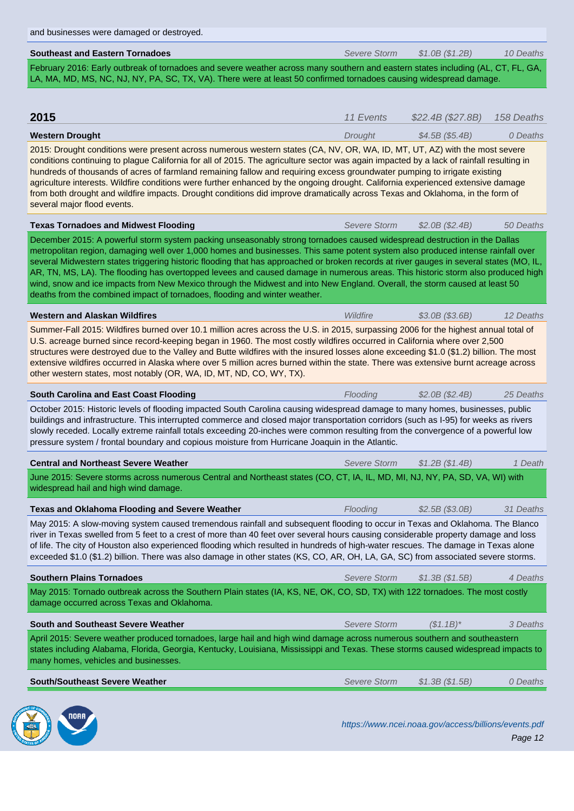| <b>Southeast and Eastern Tornadoes</b>                                                                                                                                                                                                                                                                                                                                                                                                                                                                                                                                                                                                                                                                                                                | Severe Storm        | \$1.0B (\$1.2B)   | 10 Deaths  |  |
|-------------------------------------------------------------------------------------------------------------------------------------------------------------------------------------------------------------------------------------------------------------------------------------------------------------------------------------------------------------------------------------------------------------------------------------------------------------------------------------------------------------------------------------------------------------------------------------------------------------------------------------------------------------------------------------------------------------------------------------------------------|---------------------|-------------------|------------|--|
| February 2016: Early outbreak of tornadoes and severe weather across many southern and eastern states including (AL, CT, FL, GA,<br>LA, MA, MD, MS, NC, NJ, NY, PA, SC, TX, VA). There were at least 50 confirmed tornadoes causing widespread damage.                                                                                                                                                                                                                                                                                                                                                                                                                                                                                                |                     |                   |            |  |
|                                                                                                                                                                                                                                                                                                                                                                                                                                                                                                                                                                                                                                                                                                                                                       |                     |                   |            |  |
| 2015                                                                                                                                                                                                                                                                                                                                                                                                                                                                                                                                                                                                                                                                                                                                                  | 11 Events           | \$22.4B (\$27.8B) | 158 Deaths |  |
| <b>Western Drought</b>                                                                                                                                                                                                                                                                                                                                                                                                                                                                                                                                                                                                                                                                                                                                | Drought             | \$4.5B (\$5.4B)   | 0 Deaths   |  |
| 2015: Drought conditions were present across numerous western states (CA, NV, OR, WA, ID, MT, UT, AZ) with the most severe<br>conditions continuing to plague California for all of 2015. The agriculture sector was again impacted by a lack of rainfall resulting in<br>hundreds of thousands of acres of farmland remaining fallow and requiring excess groundwater pumping to irrigate existing<br>agriculture interests. Wildfire conditions were further enhanced by the ongoing drought. California experienced extensive damage<br>from both drought and wildfire impacts. Drought conditions did improve dramatically across Texas and Oklahoma, in the form of<br>several major flood events.                                               |                     |                   |            |  |
| <b>Texas Tornadoes and Midwest Flooding</b>                                                                                                                                                                                                                                                                                                                                                                                                                                                                                                                                                                                                                                                                                                           | Severe Storm        | \$2.0B (\$2.4B)   | 50 Deaths  |  |
| December 2015: A powerful storm system packing unseasonably strong tornadoes caused widespread destruction in the Dallas<br>metropolitan region, damaging well over 1,000 homes and businesses. This same potent system also produced intense rainfall over<br>several Midwestern states triggering historic flooding that has approached or broken records at river gauges in several states (MO, IL,<br>AR, TN, MS, LA). The flooding has overtopped levees and caused damage in numerous areas. This historic storm also produced high<br>wind, snow and ice impacts from New Mexico through the Midwest and into New England. Overall, the storm caused at least 50<br>deaths from the combined impact of tornadoes, flooding and winter weather. |                     |                   |            |  |
| <b>Western and Alaskan Wildfires</b>                                                                                                                                                                                                                                                                                                                                                                                                                                                                                                                                                                                                                                                                                                                  | Wildfire            | \$3.0B (\$3.6B)   | 12 Deaths  |  |
| Summer-Fall 2015: Wildfires burned over 10.1 million acres across the U.S. in 2015, surpassing 2006 for the highest annual total of<br>U.S. acreage burned since record-keeping began in 1960. The most costly wildfires occurred in California where over 2,500<br>structures were destroyed due to the Valley and Butte wildfires with the insured losses alone exceeding \$1.0 (\$1.2) billion. The most<br>extensive wildfires occurred in Alaska where over 5 million acres burned within the state. There was extensive burnt acreage across<br>other western states, most notably (OR, WA, ID, MT, ND, CO, WY, TX).                                                                                                                            |                     |                   |            |  |
| <b>South Carolina and East Coast Flooding</b>                                                                                                                                                                                                                                                                                                                                                                                                                                                                                                                                                                                                                                                                                                         | Flooding            | \$2.0B (\$2.4B)   | 25 Deaths  |  |
| October 2015: Historic levels of flooding impacted South Carolina causing widespread damage to many homes, businesses, public<br>buildings and infrastructure. This interrupted commerce and closed major transportation corridors (such as I-95) for weeks as rivers<br>slowly receded. Locally extreme rainfall totals exceeding 20-inches were common resulting from the convergence of a powerful low<br>pressure system / frontal boundary and copious moisture from Hurricane Joaquin in the Atlantic.                                                                                                                                                                                                                                          |                     |                   |            |  |
| <b>Central and Northeast Severe Weather</b>                                                                                                                                                                                                                                                                                                                                                                                                                                                                                                                                                                                                                                                                                                           | Severe Storm        | \$1.2B (\$1.4B)   | 1 Death    |  |
| June 2015: Severe storms across numerous Central and Northeast states (CO, CT, IA, IL, MD, MI, NJ, NY, PA, SD, VA, WI) with<br>widespread hail and high wind damage.                                                                                                                                                                                                                                                                                                                                                                                                                                                                                                                                                                                  |                     |                   |            |  |
| <b>Texas and Oklahoma Flooding and Severe Weather</b>                                                                                                                                                                                                                                                                                                                                                                                                                                                                                                                                                                                                                                                                                                 | Flooding            | \$2.5B (\$3.0B)   | 31 Deaths  |  |
| May 2015: A slow-moving system caused tremendous rainfall and subsequent flooding to occur in Texas and Oklahoma. The Blanco<br>river in Texas swelled from 5 feet to a crest of more than 40 feet over several hours causing considerable property damage and loss<br>of life. The city of Houston also experienced flooding which resulted in hundreds of high-water rescues. The damage in Texas alone<br>exceeded \$1.0 (\$1.2) billion. There was also damage in other states (KS, CO, AR, OH, LA, GA, SC) from associated severe storms.                                                                                                                                                                                                        |                     |                   |            |  |
| <b>Southern Plains Tornadoes</b>                                                                                                                                                                                                                                                                                                                                                                                                                                                                                                                                                                                                                                                                                                                      | <b>Severe Storm</b> | \$1.3B (\$1.5B)   | 4 Deaths   |  |
| May 2015: Tornado outbreak across the Southern Plain states (IA, KS, NE, OK, CO, SD, TX) with 122 tornadoes. The most costly<br>damage occurred across Texas and Oklahoma.                                                                                                                                                                                                                                                                                                                                                                                                                                                                                                                                                                            |                     |                   |            |  |
| <b>South and Southeast Severe Weather</b>                                                                                                                                                                                                                                                                                                                                                                                                                                                                                                                                                                                                                                                                                                             | <b>Severe Storm</b> | $($1.1B)^*$       | 3 Deaths   |  |
| April 2015: Severe weather produced tornadoes, large hail and high wind damage across numerous southern and southeastern<br>states including Alabama, Florida, Georgia, Kentucky, Louisiana, Mississippi and Texas. These storms caused widespread impacts to<br>many homes, vehicles and businesses.                                                                                                                                                                                                                                                                                                                                                                                                                                                 |                     |                   |            |  |
| <b>South/Southeast Severe Weather</b>                                                                                                                                                                                                                                                                                                                                                                                                                                                                                                                                                                                                                                                                                                                 | <b>Severe Storm</b> | \$1.3B (\$1.5B)   | 0 Deaths   |  |
|                                                                                                                                                                                                                                                                                                                                                                                                                                                                                                                                                                                                                                                                                                                                                       |                     |                   |            |  |

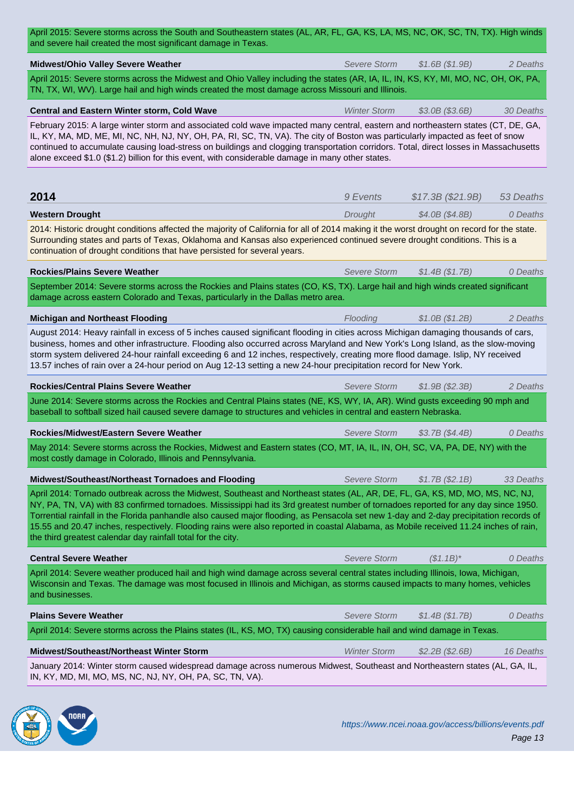| <b>Midwest/Ohio Valley Severe Weather</b>                                                                                                                                                                                                                                                                                                                                                                                                                                                                                                                                                                            | Severe Storm        | \$1.6B (\$1.9B)   | 2 Deaths  |
|----------------------------------------------------------------------------------------------------------------------------------------------------------------------------------------------------------------------------------------------------------------------------------------------------------------------------------------------------------------------------------------------------------------------------------------------------------------------------------------------------------------------------------------------------------------------------------------------------------------------|---------------------|-------------------|-----------|
| April 2015: Severe storms across the Midwest and Ohio Valley including the states (AR, IA, IL, IN, KS, KY, MI, MO, NC, OH, OK, PA,<br>TN, TX, WI, WV). Large hail and high winds created the most damage across Missouri and Illinois.                                                                                                                                                                                                                                                                                                                                                                               |                     |                   |           |
| Central and Eastern Winter storm, Cold Wave                                                                                                                                                                                                                                                                                                                                                                                                                                                                                                                                                                          | <b>Winter Storm</b> | $$3.0B$ (\$3.6B)  | 30 Deaths |
| February 2015: A large winter storm and associated cold wave impacted many central, eastern and northeastern states (CT, DE, GA,<br>IL, KY, MA, MD, ME, MI, NC, NH, NJ, NY, OH, PA, RI, SC, TN, VA). The city of Boston was particularly impacted as feet of snow<br>continued to accumulate causing load-stress on buildings and clogging transportation corridors. Total, direct losses in Massachusetts<br>alone exceed \$1.0 (\$1.2) billion for this event, with considerable damage in many other states.                                                                                                      |                     |                   |           |
|                                                                                                                                                                                                                                                                                                                                                                                                                                                                                                                                                                                                                      |                     |                   |           |
| 2014                                                                                                                                                                                                                                                                                                                                                                                                                                                                                                                                                                                                                 | 9 Events            | \$17.3B (\$21.9B) | 53 Deaths |
| <b>Western Drought</b>                                                                                                                                                                                                                                                                                                                                                                                                                                                                                                                                                                                               | Drought             | \$4.0B (\$4.8B)   | 0 Deaths  |
| 2014: Historic drought conditions affected the majority of California for all of 2014 making it the worst drought on record for the state.<br>Surrounding states and parts of Texas, Oklahoma and Kansas also experienced continued severe drought conditions. This is a<br>continuation of drought conditions that have persisted for several years.                                                                                                                                                                                                                                                                |                     |                   |           |
| <b>Rockies/Plains Severe Weather</b>                                                                                                                                                                                                                                                                                                                                                                                                                                                                                                                                                                                 | Severe Storm        | \$1.4B (\$1.7B)   | 0 Deaths  |
| September 2014: Severe storms across the Rockies and Plains states (CO, KS, TX). Large hail and high winds created significant<br>damage across eastern Colorado and Texas, particularly in the Dallas metro area.                                                                                                                                                                                                                                                                                                                                                                                                   |                     |                   |           |
| <b>Michigan and Northeast Flooding</b>                                                                                                                                                                                                                                                                                                                                                                                                                                                                                                                                                                               | Flooding            | \$1.0B (\$1.2B)   | 2 Deaths  |
| August 2014: Heavy rainfall in excess of 5 inches caused significant flooding in cities across Michigan damaging thousands of cars,<br>business, homes and other infrastructure. Flooding also occurred across Maryland and New York's Long Island, as the slow-moving<br>storm system delivered 24-hour rainfall exceeding 6 and 12 inches, respectively, creating more flood damage. Islip, NY received<br>13.57 inches of rain over a 24-hour period on Aug 12-13 setting a new 24-hour precipitation record for New York.                                                                                        |                     |                   |           |
| <b>Rockies/Central Plains Severe Weather</b>                                                                                                                                                                                                                                                                                                                                                                                                                                                                                                                                                                         | Severe Storm        | \$1.9B (\$2.3B)   | 2 Deaths  |
| June 2014: Severe storms across the Rockies and Central Plains states (NE, KS, WY, IA, AR). Wind gusts exceeding 90 mph and<br>baseball to softball sized hail caused severe damage to structures and vehicles in central and eastern Nebraska.                                                                                                                                                                                                                                                                                                                                                                      |                     |                   |           |
| Rockies/Midwest/Eastern Severe Weather                                                                                                                                                                                                                                                                                                                                                                                                                                                                                                                                                                               | Severe Storm        | \$3.7B (\$4.4B)   | 0 Deaths  |
| May 2014: Severe storms across the Rockies, Midwest and Eastern states (CO, MT, IA, IL, IN, OH, SC, VA, PA, DE, NY) with the<br>most costly damage in Colorado, Illinois and Pennsylvania.                                                                                                                                                                                                                                                                                                                                                                                                                           |                     |                   |           |
| Midwest/Southeast/Northeast Tornadoes and Flooding                                                                                                                                                                                                                                                                                                                                                                                                                                                                                                                                                                   | <b>Severe Storm</b> | \$1.7B (\$2.1B)   | 33 Deaths |
| April 2014: Tornado outbreak across the Midwest, Southeast and Northeast states (AL, AR, DE, FL, GA, KS, MD, MO, MS, NC, NJ,<br>NY, PA, TN, VA) with 83 confirmed tornadoes. Mississippi had its 3rd greatest number of tornadoes reported for any day since 1950.<br>Torrential rainfall in the Florida panhandle also caused major flooding, as Pensacola set new 1-day and 2-day precipitation records of<br>15.55 and 20.47 inches, respectively. Flooding rains were also reported in coastal Alabama, as Mobile received 11.24 inches of rain,<br>the third greatest calendar day rainfall total for the city. |                     |                   |           |
| <b>Central Severe Weather</b>                                                                                                                                                                                                                                                                                                                                                                                                                                                                                                                                                                                        | <b>Severe Storm</b> | $($1.1B)^*$       | 0 Deaths  |
| April 2014: Severe weather produced hail and high wind damage across several central states including Illinois, Iowa, Michigan,<br>Wisconsin and Texas. The damage was most focused in Illinois and Michigan, as storms caused impacts to many homes, vehicles<br>and businesses.                                                                                                                                                                                                                                                                                                                                    |                     |                   |           |
| <b>Plains Severe Weather</b>                                                                                                                                                                                                                                                                                                                                                                                                                                                                                                                                                                                         | Severe Storm        | \$1.4B (\$1.7B)   | 0 Deaths  |
| April 2014: Severe storms across the Plains states (IL, KS, MO, TX) causing considerable hail and wind damage in Texas.                                                                                                                                                                                                                                                                                                                                                                                                                                                                                              |                     |                   |           |
| Midwest/Southeast/Northeast Winter Storm                                                                                                                                                                                                                                                                                                                                                                                                                                                                                                                                                                             | <b>Winter Storm</b> | \$2.2B (\$2.6B)   | 16 Deaths |
| January 2014: Winter storm caused widespread damage across numerous Midwest, Southeast and Northeastern states (AL, GA, IL,<br>IN, KY, MD, MI, MO, MS, NC, NJ, NY, OH, PA, SC, TN, VA).                                                                                                                                                                                                                                                                                                                                                                                                                              |                     |                   |           |

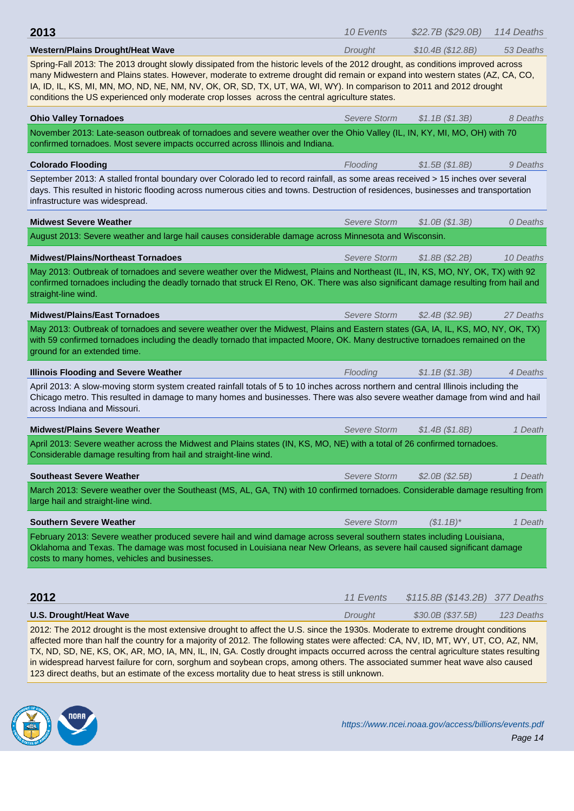| <b>Western/Plains Drought/Heat Wave</b>                                                                                                                                                                                                                                                                                                                                                                                                                                                    | Drought             | \$10.4B (\$12.8B)   | 53 Deaths  |  |
|--------------------------------------------------------------------------------------------------------------------------------------------------------------------------------------------------------------------------------------------------------------------------------------------------------------------------------------------------------------------------------------------------------------------------------------------------------------------------------------------|---------------------|---------------------|------------|--|
| Spring-Fall 2013: The 2013 drought slowly dissipated from the historic levels of the 2012 drought, as conditions improved across<br>many Midwestern and Plains states. However, moderate to extreme drought did remain or expand into western states (AZ, CA, CO,<br>IA, ID, IL, KS, MI, MN, MO, ND, NE, NM, NV, OK, OR, SD, TX, UT, WA, WI, WY). In comparison to 2011 and 2012 drought<br>conditions the US experienced only moderate crop losses across the central agriculture states. |                     |                     |            |  |
| <b>Ohio Valley Tornadoes</b>                                                                                                                                                                                                                                                                                                                                                                                                                                                               | <b>Severe Storm</b> | \$1.1B (\$1.3B)     | 8 Deaths   |  |
| November 2013: Late-season outbreak of tornadoes and severe weather over the Ohio Valley (IL, IN, KY, MI, MO, OH) with 70<br>confirmed tornadoes. Most severe impacts occurred across Illinois and Indiana.                                                                                                                                                                                                                                                                                |                     |                     |            |  |
| <b>Colorado Flooding</b>                                                                                                                                                                                                                                                                                                                                                                                                                                                                   | Flooding            | \$1.5B (\$1.8B)     | 9 Deaths   |  |
| September 2013: A stalled frontal boundary over Colorado led to record rainfall, as some areas received > 15 inches over several<br>days. This resulted in historic flooding across numerous cities and towns. Destruction of residences, businesses and transportation<br>infrastructure was widespread.                                                                                                                                                                                  |                     |                     |            |  |
| <b>Midwest Severe Weather</b>                                                                                                                                                                                                                                                                                                                                                                                                                                                              | <b>Severe Storm</b> | \$1.0B (\$1.3B)     | 0 Deaths   |  |
| August 2013: Severe weather and large hail causes considerable damage across Minnesota and Wisconsin.                                                                                                                                                                                                                                                                                                                                                                                      |                     |                     |            |  |
| <b>Midwest/Plains/Northeast Tornadoes</b>                                                                                                                                                                                                                                                                                                                                                                                                                                                  | <b>Severe Storm</b> | \$1.8B(S2.2B)       | 10 Deaths  |  |
| May 2013: Outbreak of tornadoes and severe weather over the Midwest, Plains and Northeast (IL, IN, KS, MO, NY, OK, TX) with 92<br>confirmed tornadoes including the deadly tornado that struck El Reno, OK. There was also significant damage resulting from hail and<br>straight-line wind.                                                                                                                                                                                               |                     |                     |            |  |
| <b>Midwest/Plains/East Tornadoes</b>                                                                                                                                                                                                                                                                                                                                                                                                                                                       | <b>Severe Storm</b> | \$2.4B (\$2.9B)     | 27 Deaths  |  |
| May 2013: Outbreak of tornadoes and severe weather over the Midwest, Plains and Eastern states (GA, IA, IL, KS, MO, NY, OK, TX)<br>with 59 confirmed tornadoes including the deadly tornado that impacted Moore, OK. Many destructive tornadoes remained on the<br>ground for an extended time.                                                                                                                                                                                            |                     |                     |            |  |
| <b>Illinois Flooding and Severe Weather</b>                                                                                                                                                                                                                                                                                                                                                                                                                                                | Flooding            | \$1.1B (\$1.3B)     | 4 Deaths   |  |
| April 2013: A slow-moving storm system created rainfall totals of 5 to 10 inches across northern and central Illinois including the<br>Chicago metro. This resulted in damage to many homes and businesses. There was also severe weather damage from wind and hail<br>across Indiana and Missouri.                                                                                                                                                                                        |                     |                     |            |  |
| <b>Midwest/Plains Severe Weather</b>                                                                                                                                                                                                                                                                                                                                                                                                                                                       | <b>Severe Storm</b> | \$1.4B (\$1.8B)     | 1 Death    |  |
| April 2013: Severe weather across the Midwest and Plains states (IN, KS, MO, NE) with a total of 26 confirmed tornadoes.<br>Considerable damage resulting from hail and straight-line wind.                                                                                                                                                                                                                                                                                                |                     |                     |            |  |
| <b>Southeast Severe Weather</b>                                                                                                                                                                                                                                                                                                                                                                                                                                                            | Severe Storm        | \$2.0B (\$2.5B)     | 1 Death    |  |
| March 2013: Severe weather over the Southeast (MS, AL, GA, TN) with 10 confirmed tornadoes. Considerable damage resulting from<br>large hail and straight-line wind.                                                                                                                                                                                                                                                                                                                       |                     |                     |            |  |
| <b>Southern Severe Weather</b>                                                                                                                                                                                                                                                                                                                                                                                                                                                             | <b>Severe Storm</b> | $($1.1B)^*$         | 1 Death    |  |
| February 2013: Severe weather produced severe hail and wind damage across several southern states including Louisiana,<br>Oklahoma and Texas. The damage was most focused in Louisiana near New Orleans, as severe hail caused significant damage<br>costs to many homes, vehicles and businesses.                                                                                                                                                                                         |                     |                     |            |  |
| 2012                                                                                                                                                                                                                                                                                                                                                                                                                                                                                       | 11 Events           | \$115.8B (\$143.2B) | 377 Deaths |  |
| <b>U.S. Drought/Heat Wave</b>                                                                                                                                                                                                                                                                                                                                                                                                                                                              | Drought             | \$30.0B (\$37.5B)   | 123 Deaths |  |

2012: The 2012 drought is the most extensive drought to affect the U.S. since the 1930s. Moderate to extreme drought conditions affected more than half the country for a majority of 2012. The following states were affected: CA, NV, ID, MT, WY, UT, CO, AZ, NM, TX, ND, SD, NE, KS, OK, AR, MO, IA, MN, IL, IN, GA. Costly drought impacts occurred across the central agriculture states resulting in widespread harvest failure for corn, sorghum and soybean crops, among others. The associated summer heat wave also caused 123 direct deaths, but an estimate of the excess mortality due to heat stress is still unknown.

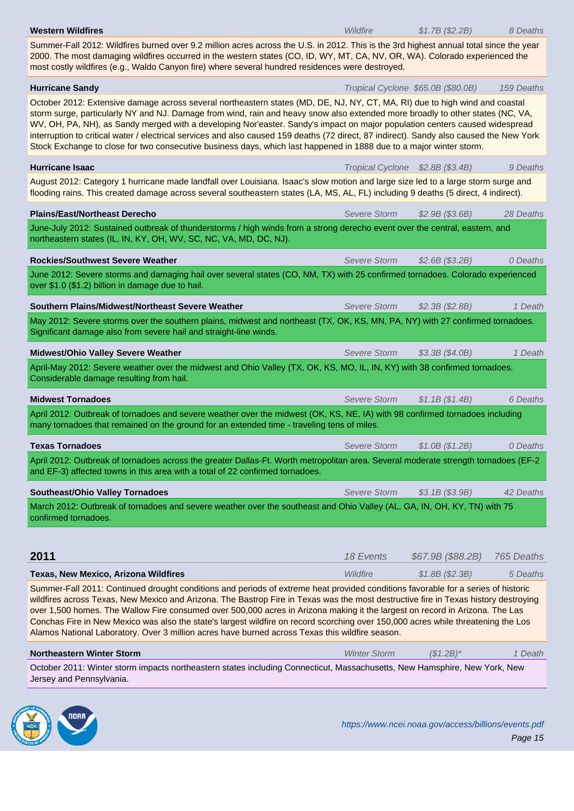Summer-Fall 2012: Wildfires burned over 9.2 million acres across the U.S. in 2012. This is the 3rd highest annual total since the year 2000. The most damaging wildfires occurred in the western states (CO, ID, WY, MT, CA, NV, OR, WA). Colorado experienced the most costly wildfires (e.g., Waldo Canyon fire) where several hundred residences were destroyed.

**Hurricane Sandy Hurricane Sandy** 159 Deaths **Transfer Community Community Cyclone 365.0B (\$80.0B) 159 Deaths** October 2012: Extensive damage across several northeastern states (MD, DE, NJ, NY, CT, MA, RI) due to high wind and coastal storm surge, particularly NY and NJ. Damage from wind, rain and heavy snow also extended more broadly to other states (NC, VA, WV, OH, PA, NH), as Sandy merged with a developing Nor'easter. Sandy's impact on major population centers caused widespread interruption to critical water / electrical services and also caused 159 deaths (72 direct, 87 indirect). Sandy also caused the New York Stock Exchange to close for two consecutive business days, which last happened in 1888 due to a major winter storm. **Hurricane Isaac** 9 Deaths **All and Transfer Cyclone 32.8B (\$3.4B)** 9 Deaths August 2012: Category 1 hurricane made landfall over Louisiana. Isaac's slow motion and large size led to a large storm surge and flooding rains. This created damage across several southeastern states (LA, MS, AL, FL) including 9 deaths (5 direct, 4 indirect). **Plains/East/Northeast Derecho** Severe Storm \$2.9B (\$3.6B) 28 Deaths June-July 2012: Sustained outbreak of thunderstorms / high winds from a strong derecho event over the central, eastern, and northeastern states (IL, IN, KY, OH, WV, SC, NC, VA, MD, DC, NJ). **Rockies/Southwest Severe Weather** Network Severe Storm \$2.6B (\$3.2B) 0 Deaths June 2012: Severe storms and damaging hail over several states (CO, NM, TX) with 25 confirmed tornadoes. Colorado experienced over \$1.0 (\$1.2) billion in damage due to hail. **Southern Plains/Midwest/Northeast Severe Weather** Severe Storm \$2.3B (\$2.8B) 1 Death May 2012: Severe storms over the southern plains, midwest and northeast (TX, OK, KS, MN, PA, NY) with 27 confirmed tornadoes. Significant damage also from severe hail and straight-line winds. **Midwest/Ohio Valley Severe Weather** Severe Storm \$3.3B (\$4.0B) 1 Death April-May 2012: Severe weather over the midwest and Ohio Valley (TX, OK, KS, MO, IL, IN, KY) with 38 confirmed tornadoes. Considerable damage resulting from hail. **Midwest Tornadoes** 6 Deaths 3 2014 1 2014 1 2014 1 2014 1 2014 1 2014 1 2014 1 2014 1 2014 1 2014 1 2014 1 2014 1 2014 1 2014 1 2014 1 2014 1 2014 1 2014 1 2014 1 2014 1 2014 1 2014 1 2014 1 2014 1 2014 1 2014 1 2014 1 20 April 2012: Outbreak of tornadoes and severe weather over the midwest (OK, KS, NE, IA) with 98 confirmed tornadoes including many tornadoes that remained on the ground for an extended time - traveling tens of miles. **Texas Tornadoes** and Severe Storm  $$1.0B ($1.2B)$  0 Deaths April 2012: Outbreak of tornadoes across the greater Dallas-Ft. Worth metropolitan area. Several moderate strength tornadoes (EF-2 and EF-3) affected towns in this area with a total of 22 confirmed tornadoes. **Southeast/Ohio Valley Tornadoes**  $Severe Storm$  \$3.1B (\$3.9B) 42 Deaths March 2012: Outbreak of tornadoes and severe weather over the southeast and Ohio Valley (AL, GA, IN, OH, KY, TN) with 75 confirmed tornadoes. **2011 2011 18 Events** \$67.9B (\$88.2B) 765 Deaths **Texas, New Mexico, Arizona Wildfires** Microsoft Mildfire *Wildfire* \$1.8B (\$2.3B) 5 Deaths Summer-Fall 2011: Continued drought conditions and periods of extreme heat provided conditions favorable for a series of historic wildfires across Texas, New Mexico and Arizona. The Bastrop Fire in Texas was the most destructive fire in Texas history destroying over 1,500 homes. The Wallow Fire consumed over 500,000 acres in Arizona making it the largest on record in Arizona. The Las Conchas Fire in New Mexico was also the state's largest wildfire on record scorching over 150,000 acres while threatening the Los Alamos National Laboratory. Over 3 million acres have burned across Texas this wildfire season. **Northeastern Winter Storm <b>Northeastern Winter Storm** (\$1.2B)\* 1 Death

October 2011: Winter storm impacts northeastern states including Connecticut, Massachusetts, New Hamsphire, New York, New Jersey and Pennsylvania.

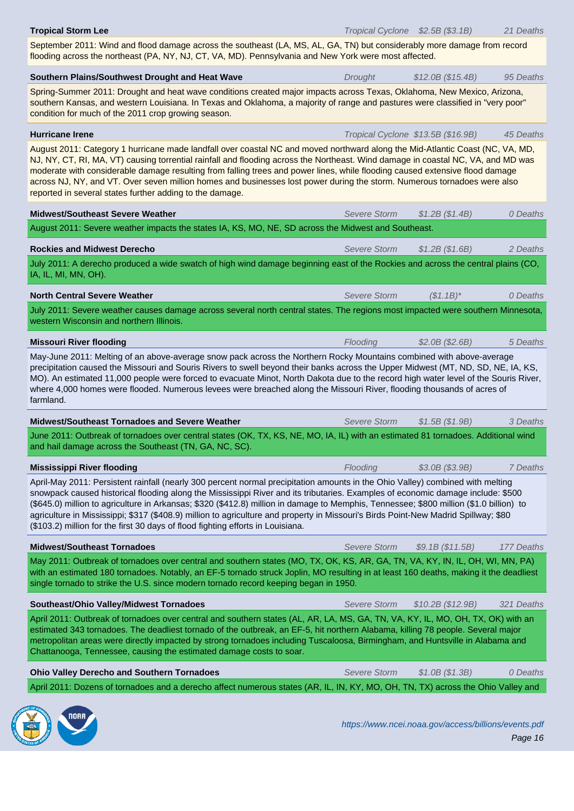September 2011: Wind and flood damage across the southeast (LA, MS, AL, GA, TN) but considerably more damage from record flooding across the northeast (PA, NY, NJ, CT, VA, MD). Pennsylvania and New York were most affected.

| Southern Plains/Southwest Drought and Heat Wave                                                                                                                                                                                                                                                                                                                                                                                                                                                                                                                                                                                        | Drought             | \$12.0B (\$15.4B)                  | 95 Deaths  |
|----------------------------------------------------------------------------------------------------------------------------------------------------------------------------------------------------------------------------------------------------------------------------------------------------------------------------------------------------------------------------------------------------------------------------------------------------------------------------------------------------------------------------------------------------------------------------------------------------------------------------------------|---------------------|------------------------------------|------------|
| Spring-Summer 2011: Drought and heat wave conditions created major impacts across Texas, Oklahoma, New Mexico, Arizona,<br>southern Kansas, and western Louisiana. In Texas and Oklahoma, a majority of range and pastures were classified in "very poor"<br>condition for much of the 2011 crop growing season.                                                                                                                                                                                                                                                                                                                       |                     |                                    |            |
| <b>Hurricane Irene</b>                                                                                                                                                                                                                                                                                                                                                                                                                                                                                                                                                                                                                 |                     | Tropical Cyclone \$13.5B (\$16.9B) | 45 Deaths  |
| August 2011: Category 1 hurricane made landfall over coastal NC and moved northward along the Mid-Atlantic Coast (NC, VA, MD,<br>NJ, NY, CT, RI, MA, VT) causing torrential rainfall and flooding across the Northeast. Wind damage in coastal NC, VA, and MD was<br>moderate with considerable damage resulting from falling trees and power lines, while flooding caused extensive flood damage<br>across NJ, NY, and VT. Over seven million homes and businesses lost power during the storm. Numerous tornadoes were also<br>reported in several states further adding to the damage.                                              |                     |                                    |            |
| <b>Midwest/Southeast Severe Weather</b>                                                                                                                                                                                                                                                                                                                                                                                                                                                                                                                                                                                                | <b>Severe Storm</b> | \$1.2B (\$1.4B)                    | 0 Deaths   |
| August 2011: Severe weather impacts the states IA, KS, MO, NE, SD across the Midwest and Southeast.                                                                                                                                                                                                                                                                                                                                                                                                                                                                                                                                    |                     |                                    |            |
| <b>Rockies and Midwest Derecho</b>                                                                                                                                                                                                                                                                                                                                                                                                                                                                                                                                                                                                     | Severe Storm        | \$1.2B (\$1.6B)                    | 2 Deaths   |
| July 2011: A derecho produced a wide swatch of high wind damage beginning east of the Rockies and across the central plains (CO,<br>IA, IL, MI, MN, OH).                                                                                                                                                                                                                                                                                                                                                                                                                                                                               |                     |                                    |            |
| <b>North Central Severe Weather</b>                                                                                                                                                                                                                                                                                                                                                                                                                                                                                                                                                                                                    | Severe Storm        | $(S1.1B)^*$                        | 0 Deaths   |
| July 2011: Severe weather causes damage across several north central states. The regions most impacted were southern Minnesota,<br>western Wisconsin and northern Illinois.                                                                                                                                                                                                                                                                                                                                                                                                                                                            |                     |                                    |            |
| <b>Missouri River flooding</b>                                                                                                                                                                                                                                                                                                                                                                                                                                                                                                                                                                                                         | Flooding            | \$2.0B (\$2.6B)                    | 5 Deaths   |
| precipitation caused the Missouri and Souris Rivers to swell beyond their banks across the Upper Midwest (MT, ND, SD, NE, IA, KS,<br>MO). An estimated 11,000 people were forced to evacuate Minot, North Dakota due to the record high water level of the Souris River,<br>where 4,000 homes were flooded. Numerous levees were breached along the Missouri River, flooding thousands of acres of<br>farmland.                                                                                                                                                                                                                        |                     |                                    |            |
| <b>Midwest/Southeast Tornadoes and Severe Weather</b>                                                                                                                                                                                                                                                                                                                                                                                                                                                                                                                                                                                  | Severe Storm        | \$1.5B (\$1.9B)                    | 3 Deaths   |
| June 2011: Outbreak of tornadoes over central states (OK, TX, KS, NE, MO, IA, IL) with an estimated 81 tornadoes. Additional wind<br>and hail damage across the Southeast (TN, GA, NC, SC).                                                                                                                                                                                                                                                                                                                                                                                                                                            |                     |                                    |            |
| <b>Mississippi River flooding</b>                                                                                                                                                                                                                                                                                                                                                                                                                                                                                                                                                                                                      | Flooding            | \$3.0B (\$3.9B)                    | 7 Deaths   |
| April-May 2011: Persistent rainfall (nearly 300 percent normal precipitation amounts in the Ohio Valley) combined with melting<br>snowpack caused historical flooding along the Mississippi River and its tributaries. Examples of economic damage include: \$500<br>(\$645.0) million to agriculture in Arkansas; \$320 (\$412.8) million in damage to Memphis, Tennessee; \$800 million (\$1.0 billion) to<br>agriculture in Mississippi; \$317 (\$408.9) million to agriculture and property in Missouri's Birds Point-New Madrid Spillway; \$80<br>(\$103.2) million for the first 30 days of flood fighting efforts in Louisiana. |                     |                                    |            |
| <b>Midwest/Southeast Tornadoes</b>                                                                                                                                                                                                                                                                                                                                                                                                                                                                                                                                                                                                     | Severe Storm        | \$9.1B (\$11.5B)                   | 177 Deaths |
| May 2011: Outbreak of tornadoes over central and southern states (MO, TX, OK, KS, AR, GA, TN, VA, KY, IN, IL, OH, WI, MN, PA)<br>with an estimated 180 tornadoes. Notably, an EF-5 tornado struck Joplin, MO resulting in at least 160 deaths, making it the deadliest<br>single tornado to strike the U.S. since modern tornado record keeping began in 1950.                                                                                                                                                                                                                                                                         |                     |                                    |            |
| Southeast/Ohio Valley/Midwest Tornadoes                                                                                                                                                                                                                                                                                                                                                                                                                                                                                                                                                                                                | <b>Severe Storm</b> | \$10.2B (\$12.9B)                  | 321 Deaths |
| April 2011: Outbreak of tornadoes over central and southern states (AL, AR, LA, MS, GA, TN, VA, KY, IL, MO, OH, TX, OK) with an<br>estimated 343 tornadoes. The deadliest tornado of the outbreak, an EF-5, hit northern Alabama, killing 78 people. Several major<br>metropolitan areas were directly impacted by strong tornadoes including Tuscaloosa, Birmingham, and Huntsville in Alabama and<br>Chattanooga, Tennessee, causing the estimated damage costs to soar.                                                                                                                                                             |                     |                                    |            |
| <b>Ohio Valley Derecho and Southern Tornadoes</b>                                                                                                                                                                                                                                                                                                                                                                                                                                                                                                                                                                                      | <b>Severe Storm</b> | \$1.0B (\$1.3B)                    | 0 Deaths   |
| April 2011: Dozens of tornadoes and a derecho affect numerous states (AR, IL, IN, KY, MO, OH, TN, TX) across the Ohio Valley and                                                                                                                                                                                                                                                                                                                                                                                                                                                                                                       |                     |                                    |            |

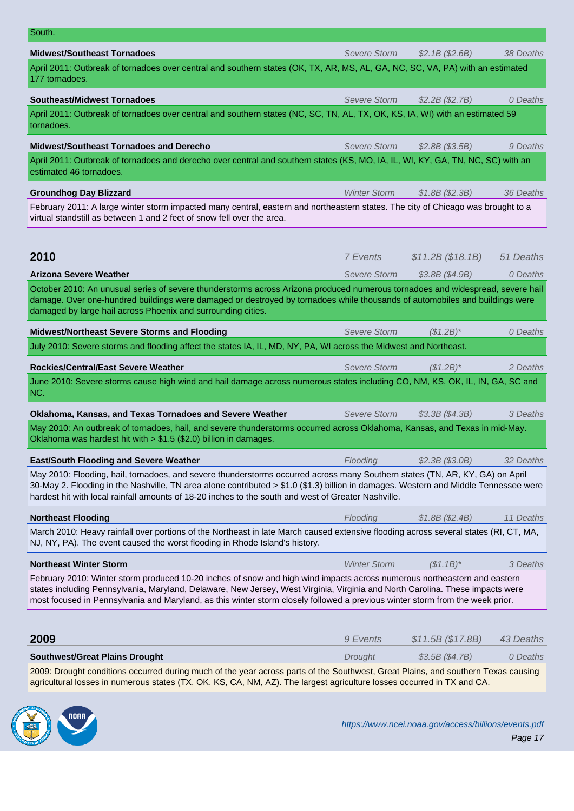| <b>Midwest/Southeast Tornadoes</b>                                                                                                                                                                                                                                                                                                                                                         | <b>Severe Storm</b> | \$2.1B (\$2.6B)   | 38 Deaths |
|--------------------------------------------------------------------------------------------------------------------------------------------------------------------------------------------------------------------------------------------------------------------------------------------------------------------------------------------------------------------------------------------|---------------------|-------------------|-----------|
| April 2011: Outbreak of tornadoes over central and southern states (OK, TX, AR, MS, AL, GA, NC, SC, VA, PA) with an estimated<br>177 tornadoes.                                                                                                                                                                                                                                            |                     |                   |           |
| <b>Southeast/Midwest Tornadoes</b>                                                                                                                                                                                                                                                                                                                                                         | Severe Storm        | \$2.2B (\$2.7B)   | 0 Deaths  |
| April 2011: Outbreak of tornadoes over central and southern states (NC, SC, TN, AL, TX, OK, KS, IA, WI) with an estimated 59<br>tornadoes.                                                                                                                                                                                                                                                 |                     |                   |           |
| <b>Midwest/Southeast Tornadoes and Derecho</b>                                                                                                                                                                                                                                                                                                                                             | Severe Storm        | \$2.8B (\$3.5B)   | 9 Deaths  |
| April 2011: Outbreak of tornadoes and derecho over central and southern states (KS, MO, IA, IL, WI, KY, GA, TN, NC, SC) with an<br>estimated 46 tornadoes.                                                                                                                                                                                                                                 |                     |                   |           |
| <b>Groundhog Day Blizzard</b>                                                                                                                                                                                                                                                                                                                                                              | <b>Winter Storm</b> | \$1.8B (\$2.3B)   | 36 Deaths |
| February 2011: A large winter storm impacted many central, eastern and northeastern states. The city of Chicago was brought to a<br>virtual standstill as between 1 and 2 feet of snow fell over the area.                                                                                                                                                                                 |                     |                   |           |
| 2010                                                                                                                                                                                                                                                                                                                                                                                       | 7 Events            | \$11.2B (\$18.1B) | 51 Deaths |
| <b>Arizona Severe Weather</b>                                                                                                                                                                                                                                                                                                                                                              | <b>Severe Storm</b> | \$3.8B (\$4.9B)   | 0 Deaths  |
| October 2010: An unusual series of severe thunderstorms across Arizona produced numerous tornadoes and widespread, severe hail<br>damage. Over one-hundred buildings were damaged or destroyed by tornadoes while thousands of automobiles and buildings were<br>damaged by large hail across Phoenix and surrounding cities.                                                              |                     |                   |           |
| Midwest/Northeast Severe Storms and Flooding                                                                                                                                                                                                                                                                                                                                               | <b>Severe Storm</b> | $($1.2B)^*$       | 0 Deaths  |
| July 2010: Severe storms and flooding affect the states IA, IL, MD, NY, PA, WI across the Midwest and Northeast.                                                                                                                                                                                                                                                                           |                     |                   |           |
| <b>Rockies/Central/East Severe Weather</b>                                                                                                                                                                                                                                                                                                                                                 | Severe Storm        | $($1.2B)^*$       | 2 Deaths  |
| June 2010: Severe storms cause high wind and hail damage across numerous states including CO, NM, KS, OK, IL, IN, GA, SC and<br>NC.                                                                                                                                                                                                                                                        |                     |                   |           |
| Oklahoma, Kansas, and Texas Tornadoes and Severe Weather                                                                                                                                                                                                                                                                                                                                   | <b>Severe Storm</b> | \$3.3B (\$4.3B)   | 3 Deaths  |
| May 2010: An outbreak of tornadoes, hail, and severe thunderstorms occurred across Oklahoma, Kansas, and Texas in mid-May.<br>Oklahoma was hardest hit with $> $1.5$ (\$2.0) billion in damages.                                                                                                                                                                                           |                     |                   |           |
| <b>East/South Flooding and Severe Weather</b>                                                                                                                                                                                                                                                                                                                                              | Flooding            | $$2.3B$ (\$3.0B)  | 32 Deaths |
| May 2010: Flooding, hail, tornadoes, and severe thunderstorms occurred across many Southern states (TN, AR, KY, GA) on April<br>30-May 2. Flooding in the Nashville, TN area alone contributed > \$1.0 (\$1.3) billion in damages. Western and Middle Tennessee were<br>hardest hit with local rainfall amounts of 18-20 inches to the south and west of Greater Nashville.                |                     |                   |           |
| <b>Northeast Flooding</b>                                                                                                                                                                                                                                                                                                                                                                  | Flooding            | \$1.8B (\$2.4B)   | 11 Deaths |
| March 2010: Heavy rainfall over portions of the Northeast in late March caused extensive flooding across several states (RI, CT, MA,<br>NJ, NY, PA). The event caused the worst flooding in Rhode Island's history.                                                                                                                                                                        |                     |                   |           |
| <b>Northeast Winter Storm</b>                                                                                                                                                                                                                                                                                                                                                              | <b>Winter Storm</b> | $($1.1B)^*$       | 3 Deaths  |
| February 2010: Winter storm produced 10-20 inches of snow and high wind impacts across numerous northeastern and eastern<br>states including Pennsylvania, Maryland, Delaware, New Jersey, West Virginia, Virginia and North Carolina. These impacts were<br>most focused in Pennsylvania and Maryland, as this winter storm closely followed a previous winter storm from the week prior. |                     |                   |           |
| 2009                                                                                                                                                                                                                                                                                                                                                                                       | 9 Events            | \$11.5B (\$17.8B) | 43 Deaths |
| <b>Southwest/Great Plains Drought</b>                                                                                                                                                                                                                                                                                                                                                      | Drought             | \$3.5B (\$4.7B)   | 0 Deaths  |
| 2009: Drought conditions occurred during much of the year across parts of the Southwest, Great Plains, and southern Texas causing<br>agricultural losses in numerous states (TX, OK, KS, CA, NM, AZ). The largest agriculture losses occurred in TX and CA.                                                                                                                                |                     |                   |           |
|                                                                                                                                                                                                                                                                                                                                                                                            |                     |                   |           |

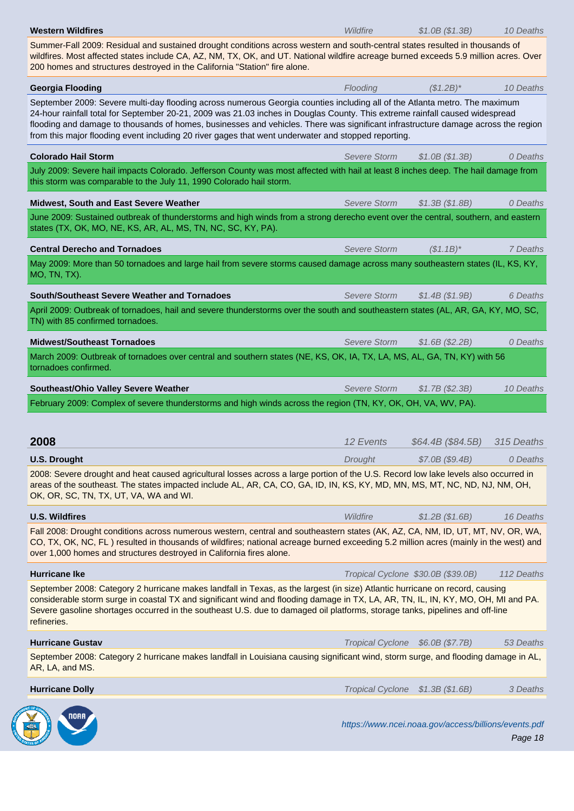Summer-Fall 2009: Residual and sustained drought conditions across western and south-central states resulted in thousands of wildfires. Most affected states include CA, AZ, NM, TX, OK, and UT. National wildfire acreage burned exceeds 5.9 million acres. Over 200 homes and structures destroyed in the California "Station" fire alone.

| <b>Georgia Flooding</b>                                                                                                                                                                                                                                                                                                                                                                                                                                                                                | Flooding            | $($1.2B)^*$                                          | 10 Deaths  |  |
|--------------------------------------------------------------------------------------------------------------------------------------------------------------------------------------------------------------------------------------------------------------------------------------------------------------------------------------------------------------------------------------------------------------------------------------------------------------------------------------------------------|---------------------|------------------------------------------------------|------------|--|
| September 2009: Severe multi-day flooding across numerous Georgia counties including all of the Atlanta metro. The maximum<br>24-hour rainfall total for September 20-21, 2009 was 21.03 inches in Douglas County. This extreme rainfall caused widespread<br>flooding and damage to thousands of homes, businesses and vehicles. There was significant infrastructure damage across the region<br>from this major flooding event including 20 river gages that went underwater and stopped reporting. |                     |                                                      |            |  |
| <b>Colorado Hail Storm</b>                                                                                                                                                                                                                                                                                                                                                                                                                                                                             | <b>Severe Storm</b> | \$1.0B (\$1.3B)                                      | 0 Deaths   |  |
| July 2009: Severe hail impacts Colorado. Jefferson County was most affected with hail at least 8 inches deep. The hail damage from<br>this storm was comparable to the July 11, 1990 Colorado hail storm.                                                                                                                                                                                                                                                                                              |                     |                                                      |            |  |
| Midwest, South and East Severe Weather                                                                                                                                                                                                                                                                                                                                                                                                                                                                 | <b>Severe Storm</b> | \$1.3B (\$1.8B)                                      | 0 Deaths   |  |
| June 2009: Sustained outbreak of thunderstorms and high winds from a strong derecho event over the central, southern, and eastern<br>states (TX, OK, MO, NE, KS, AR, AL, MS, TN, NC, SC, KY, PA).                                                                                                                                                                                                                                                                                                      |                     |                                                      |            |  |
| <b>Central Derecho and Tornadoes</b>                                                                                                                                                                                                                                                                                                                                                                                                                                                                   | <b>Severe Storm</b> | $($1.1B)^*$                                          | 7 Deaths   |  |
| May 2009: More than 50 tornadoes and large hail from severe storms caused damage across many southeastern states (IL, KS, KY,<br>MO, TN, TX).                                                                                                                                                                                                                                                                                                                                                          |                     |                                                      |            |  |
| South/Southeast Severe Weather and Tornadoes                                                                                                                                                                                                                                                                                                                                                                                                                                                           | Severe Storm        | \$1.4B (\$1.9B)                                      | 6 Deaths   |  |
| April 2009: Outbreak of tornadoes, hail and severe thunderstorms over the south and southeastern states (AL, AR, GA, KY, MO, SC,<br>TN) with 85 confirmed tornadoes.                                                                                                                                                                                                                                                                                                                                   |                     |                                                      |            |  |
| <b>Midwest/Southeast Tornadoes</b>                                                                                                                                                                                                                                                                                                                                                                                                                                                                     | <b>Severe Storm</b> | \$1.6B (\$2.2B)                                      | 0 Deaths   |  |
| March 2009: Outbreak of tornadoes over central and southern states (NE, KS, OK, IA, TX, LA, MS, AL, GA, TN, KY) with 56<br>tornadoes confirmed.                                                                                                                                                                                                                                                                                                                                                        |                     |                                                      |            |  |
| Southeast/Ohio Valley Severe Weather                                                                                                                                                                                                                                                                                                                                                                                                                                                                   | <b>Severe Storm</b> | \$1.7B (\$2.3B)                                      | 10 Deaths  |  |
| February 2009: Complex of severe thunderstorms and high winds across the region (TN, KY, OK, OH, VA, WV, PA).                                                                                                                                                                                                                                                                                                                                                                                          |                     |                                                      |            |  |
|                                                                                                                                                                                                                                                                                                                                                                                                                                                                                                        |                     |                                                      |            |  |
| 2008                                                                                                                                                                                                                                                                                                                                                                                                                                                                                                   | 12 Events           | \$64.4B (\$84.5B)                                    | 315 Deaths |  |
| <b>U.S. Drought</b>                                                                                                                                                                                                                                                                                                                                                                                                                                                                                    | Drought             | \$7.0B (\$9.4B)                                      | 0 Deaths   |  |
| 2008: Severe drought and heat caused agricultural losses across a large portion of the U.S. Record low lake levels also occurred in<br>areas of the southeast. The states impacted include AL, AR, CA, CO, GA, ID, IN, KS, KY, MD, MN, MS, MT, NC, ND, NJ, NM, OH,<br>OK, OR, SC, TN, TX, UT, VA, WA and WI.                                                                                                                                                                                           |                     |                                                      |            |  |
| <b>U.S. Wildfires</b>                                                                                                                                                                                                                                                                                                                                                                                                                                                                                  | Wildfire            | \$1.2B (\$1.6B)                                      | 16 Deaths  |  |
| Fall 2008: Drought conditions across numerous western, central and southeastern states (AK, AZ, CA, NM, ID, UT, MT, NV, OR, WA,<br>CO, TX, OK, NC, FL) resulted in thousands of wildfires; national acreage burned exceeding 5.2 million acres (mainly in the west) and<br>over 1,000 homes and structures destroyed in California fires alone.                                                                                                                                                        |                     |                                                      |            |  |
| <b>Hurricane Ike</b>                                                                                                                                                                                                                                                                                                                                                                                                                                                                                   |                     | Tropical Cyclone \$30.0B (\$39.0B)                   | 112 Deaths |  |
| September 2008: Category 2 hurricane makes landfall in Texas, as the largest (in size) Atlantic hurricane on record, causing<br>considerable storm surge in coastal TX and significant wind and flooding damage in TX, LA, AR, TN, IL, IN, KY, MO, OH, MI and PA.<br>Severe gasoline shortages occurred in the southeast U.S. due to damaged oil platforms, storage tanks, pipelines and off-line<br>refineries.                                                                                       |                     |                                                      |            |  |
| <b>Hurricane Gustav</b>                                                                                                                                                                                                                                                                                                                                                                                                                                                                                |                     | Tropical Cyclone \$6.0B (\$7.7B)                     | 53 Deaths  |  |
| September 2008: Category 2 hurricane makes landfall in Louisiana causing significant wind, storm surge, and flooding damage in AL,<br>AR, LA, and MS.                                                                                                                                                                                                                                                                                                                                                  |                     |                                                      |            |  |
| <b>Hurricane Dolly</b>                                                                                                                                                                                                                                                                                                                                                                                                                                                                                 |                     | Tropical Cyclone \$1.3B (\$1.6B)                     | 3 Deaths   |  |
|                                                                                                                                                                                                                                                                                                                                                                                                                                                                                                        |                     | https://www.ncei.noaa.gov/access/billions/events.pdf | Page 18    |  |

**CALL OF BUSIC**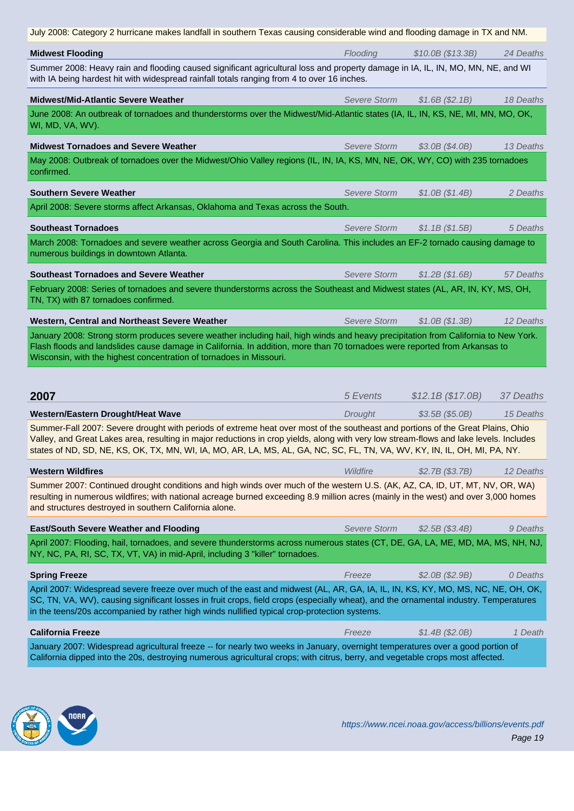| <b>Midwest Flooding</b>                                                                                                                                                                                                                                                                                                                                                                                                                     | Flooding            | \$10.0B (\$13.3B) | 24 Deaths |  |
|---------------------------------------------------------------------------------------------------------------------------------------------------------------------------------------------------------------------------------------------------------------------------------------------------------------------------------------------------------------------------------------------------------------------------------------------|---------------------|-------------------|-----------|--|
| Summer 2008: Heavy rain and flooding caused significant agricultural loss and property damage in IA, IL, IN, MO, MN, NE, and WI<br>with IA being hardest hit with widespread rainfall totals ranging from 4 to over 16 inches.                                                                                                                                                                                                              |                     |                   |           |  |
| Midwest/Mid-Atlantic Severe Weather                                                                                                                                                                                                                                                                                                                                                                                                         | <b>Severe Storm</b> | \$1.6B(S2.1B)     | 18 Deaths |  |
| June 2008: An outbreak of tornadoes and thunderstorms over the Midwest/Mid-Atlantic states (IA, IL, IN, KS, NE, MI, MN, MO, OK,<br>WI, MD, VA, WV).                                                                                                                                                                                                                                                                                         |                     |                   |           |  |
| <b>Midwest Tornadoes and Severe Weather</b>                                                                                                                                                                                                                                                                                                                                                                                                 | <b>Severe Storm</b> | \$3.0B (\$4.0B)   | 13 Deaths |  |
| May 2008: Outbreak of tornadoes over the Midwest/Ohio Valley regions (IL, IN, IA, KS, MN, NE, OK, WY, CO) with 235 tornadoes<br>confirmed.                                                                                                                                                                                                                                                                                                  |                     |                   |           |  |
| <b>Southern Severe Weather</b>                                                                                                                                                                                                                                                                                                                                                                                                              | <b>Severe Storm</b> | \$1.0B (\$1.4B)   | 2 Deaths  |  |
| April 2008: Severe storms affect Arkansas, Oklahoma and Texas across the South.                                                                                                                                                                                                                                                                                                                                                             |                     |                   |           |  |
| <b>Southeast Tornadoes</b>                                                                                                                                                                                                                                                                                                                                                                                                                  | <b>Severe Storm</b> | \$1.1B (\$1.5B)   | 5 Deaths  |  |
| March 2008: Tornadoes and severe weather across Georgia and South Carolina. This includes an EF-2 tornado causing damage to<br>numerous buildings in downtown Atlanta.                                                                                                                                                                                                                                                                      |                     |                   |           |  |
| <b>Southeast Tornadoes and Severe Weather</b>                                                                                                                                                                                                                                                                                                                                                                                               | Severe Storm        | \$1.2B (\$1.6B)   | 57 Deaths |  |
| February 2008: Series of tornadoes and severe thunderstorms across the Southeast and Midwest states (AL, AR, IN, KY, MS, OH,<br>TN, TX) with 87 tornadoes confirmed.                                                                                                                                                                                                                                                                        |                     |                   |           |  |
| Western, Central and Northeast Severe Weather                                                                                                                                                                                                                                                                                                                                                                                               | <b>Severe Storm</b> | \$1.0B (\$1.3B)   | 12 Deaths |  |
| January 2008: Strong storm produces severe weather including hail, high winds and heavy precipitation from California to New York.<br>Flash floods and landslides cause damage in California. In addition, more than 70 tornadoes were reported from Arkansas to                                                                                                                                                                            |                     |                   |           |  |
| Wisconsin, with the highest concentration of tornadoes in Missouri.                                                                                                                                                                                                                                                                                                                                                                         |                     |                   |           |  |
| 2007                                                                                                                                                                                                                                                                                                                                                                                                                                        | 5 Events            |                   | 37 Deaths |  |
|                                                                                                                                                                                                                                                                                                                                                                                                                                             |                     | \$12.1B (\$17.0B) | 15 Deaths |  |
| Western/Eastern Drought/Heat Wave<br>Summer-Fall 2007: Severe drought with periods of extreme heat over most of the southeast and portions of the Great Plains, Ohio<br>Valley, and Great Lakes area, resulting in major reductions in crop yields, along with very low stream-flows and lake levels. Includes<br>states of ND, SD, NE, KS, OK, TX, MN, WI, IA, MO, AR, LA, MS, AL, GA, NC, SC, FL, TN, VA, WV, KY, IN, IL, OH, MI, PA, NY. | Drought             | \$3.5B (\$5.0B)   |           |  |
| <b>Western Wildfires</b>                                                                                                                                                                                                                                                                                                                                                                                                                    | Wildfire            | \$2.7B (\$3.7B)   | 12 Deaths |  |
| Summer 2007: Continued drought conditions and high winds over much of the western U.S. (AK, AZ, CA, ID, UT, MT, NV, OR, WA)<br>resulting in numerous wildfires; with national acreage burned exceeding 8.9 million acres (mainly in the west) and over 3,000 homes<br>and structures destroyed in southern California alone.                                                                                                                |                     |                   |           |  |
| <b>East/South Severe Weather and Flooding</b>                                                                                                                                                                                                                                                                                                                                                                                               | <b>Severe Storm</b> | \$2.5B (\$3.4B)   | 9 Deaths  |  |
| April 2007: Flooding, hail, tornadoes, and severe thunderstorms across numerous states (CT, DE, GA, LA, ME, MD, MA, MS, NH, NJ,<br>NY, NC, PA, RI, SC, TX, VT, VA) in mid-April, including 3 "killer" tornadoes.                                                                                                                                                                                                                            |                     |                   |           |  |
| <b>Spring Freeze</b>                                                                                                                                                                                                                                                                                                                                                                                                                        | Freeze              | \$2.0B (\$2.9B)   | 0 Deaths  |  |
| April 2007: Widespread severe freeze over much of the east and midwest (AL, AR, GA, IA, IL, IN, KS, KY, MO, MS, NC, NE, OH, OK,<br>SC, TN, VA, WV), causing significant losses in fruit crops, field crops (especially wheat), and the ornamental industry. Temperatures<br>in the teens/20s accompanied by rather high winds nullified typical crop-protection systems.                                                                    |                     |                   |           |  |
| <b>California Freeze</b>                                                                                                                                                                                                                                                                                                                                                                                                                    | Freeze              | \$1.4B (\$2.0B)   | 1 Death   |  |

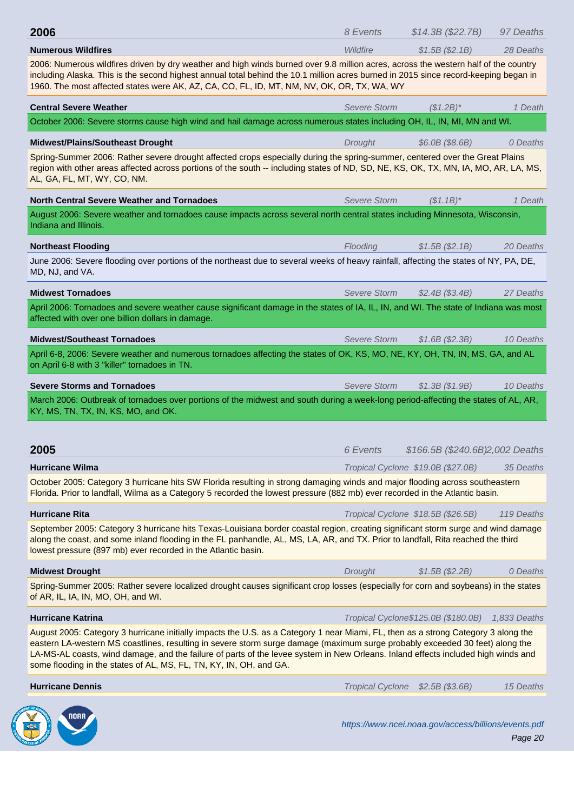| <b>Numerous Wildfires</b>                                                                                                                                                                                                                                                                                                                                                                                                                                                     | Wildtire                | $$1.5B$ ( $$2.1B$ )                 | 28 Deaths                                                                     |
|-------------------------------------------------------------------------------------------------------------------------------------------------------------------------------------------------------------------------------------------------------------------------------------------------------------------------------------------------------------------------------------------------------------------------------------------------------------------------------|-------------------------|-------------------------------------|-------------------------------------------------------------------------------|
| 2006: Numerous wildfires driven by dry weather and high winds burned over 9.8 million acres, across the western half of the country<br>including Alaska. This is the second highest annual total behind the 10.1 million acres burned in 2015 since record-keeping began in<br>1960. The most affected states were AK, AZ, CA, CO, FL, ID, MT, NM, NV, OK, OR, TX, WA, WY                                                                                                     |                         |                                     |                                                                               |
| <b>Central Severe Weather</b>                                                                                                                                                                                                                                                                                                                                                                                                                                                 | <b>Severe Storm</b>     | $(S1.2B)^*$                         | 1 Death                                                                       |
| October 2006: Severe storms cause high wind and hail damage across numerous states including OH, IL, IN, MI, MN and WI.                                                                                                                                                                                                                                                                                                                                                       |                         |                                     |                                                                               |
| <b>Midwest/Plains/Southeast Drought</b>                                                                                                                                                                                                                                                                                                                                                                                                                                       | Drought                 | $$6.0B$ (\$8.6B)                    | 0 Deaths                                                                      |
| Spring-Summer 2006: Rather severe drought affected crops especially during the spring-summer, centered over the Great Plains<br>region with other areas affected across portions of the south -- including states of ND, SD, NE, KS, OK, TX, MN, IA, MO, AR, LA, MS,<br>AL, GA, FL, MT, WY, CO, NM.                                                                                                                                                                           |                         |                                     |                                                                               |
| <b>North Central Severe Weather and Tornadoes</b>                                                                                                                                                                                                                                                                                                                                                                                                                             | Severe Storm            | $(S1.1B)^*$                         | 1 Death                                                                       |
| August 2006: Severe weather and tornadoes cause impacts across several north central states including Minnesota, Wisconsin,<br>Indiana and Illinois.                                                                                                                                                                                                                                                                                                                          |                         |                                     |                                                                               |
| <b>Northeast Flooding</b>                                                                                                                                                                                                                                                                                                                                                                                                                                                     | Flooding                | \$1.5B(S2.1B)                       | 20 Deaths                                                                     |
| June 2006: Severe flooding over portions of the northeast due to several weeks of heavy rainfall, affecting the states of NY, PA, DE,<br>MD, NJ, and VA.                                                                                                                                                                                                                                                                                                                      |                         |                                     |                                                                               |
| <b>Midwest Tornadoes</b>                                                                                                                                                                                                                                                                                                                                                                                                                                                      | Severe Storm            | \$2.4B (\$3.4B)                     | 27 Deaths                                                                     |
| April 2006: Tornadoes and severe weather cause significant damage in the states of IA, IL, IN, and WI. The state of Indiana was most<br>affected with over one billion dollars in damage.                                                                                                                                                                                                                                                                                     |                         |                                     |                                                                               |
| <b>Midwest/Southeast Tornadoes</b>                                                                                                                                                                                                                                                                                                                                                                                                                                            | Severe Storm            | \$1.6B(S2.3B)                       | 10 Deaths                                                                     |
|                                                                                                                                                                                                                                                                                                                                                                                                                                                                               |                         |                                     |                                                                               |
| April 6-8, 2006: Severe weather and numerous tornadoes affecting the states of OK, KS, MO, NE, KY, OH, TN, IN, MS, GA, and AL<br>on April 6-8 with 3 "killer" tornadoes in TN.                                                                                                                                                                                                                                                                                                |                         |                                     |                                                                               |
| <b>Severe Storms and Tornadoes</b>                                                                                                                                                                                                                                                                                                                                                                                                                                            | Severe Storm            | \$1.3B (\$1.9B)                     |                                                                               |
| March 2006: Outbreak of tornadoes over portions of the midwest and south during a week-long period-affecting the states of AL, AR,<br>KY, MS, TN, TX, IN, KS, MO, and OK.                                                                                                                                                                                                                                                                                                     |                         |                                     |                                                                               |
| 2005                                                                                                                                                                                                                                                                                                                                                                                                                                                                          | 6 Events                | \$166.5B (\$240.6B)2,002 Deaths     |                                                                               |
| <b>Hurricane Wilma</b><br>October 2005: Category 3 hurricane hits SW Florida resulting in strong damaging winds and major flooding across southeastern<br>Florida. Prior to landfall, Wilma as a Category 5 recorded the lowest pressure (882 mb) ever recorded in the Atlantic basin.                                                                                                                                                                                        |                         | Tropical Cyclone \$19.0B (\$27.0B)  |                                                                               |
| <b>Hurricane Rita</b>                                                                                                                                                                                                                                                                                                                                                                                                                                                         |                         | Tropical Cyclone \$18.5B (\$26.5B)  |                                                                               |
| September 2005: Category 3 hurricane hits Texas-Louisiana border coastal region, creating significant storm surge and wind damage<br>along the coast, and some inland flooding in the FL panhandle, AL, MS, LA, AR, and TX. Prior to landfall, Rita reached the third<br>lowest pressure (897 mb) ever recorded in the Atlantic basin.                                                                                                                                        |                         |                                     |                                                                               |
| <b>Midwest Drought</b>                                                                                                                                                                                                                                                                                                                                                                                                                                                        | Drought                 | \$1.5B (\$2.2B)                     |                                                                               |
| Spring-Summer 2005: Rather severe localized drought causes significant crop losses (especially for corn and soybeans) in the states<br>of AR, IL, IA, IN, MO, OH, and WI.                                                                                                                                                                                                                                                                                                     |                         |                                     |                                                                               |
| <b>Hurricane Katrina</b>                                                                                                                                                                                                                                                                                                                                                                                                                                                      |                         | Tropical Cyclone\$125.0B (\$180.0B) |                                                                               |
| August 2005: Category 3 hurricane initially impacts the U.S. as a Category 1 near Miami, FL, then as a strong Category 3 along the<br>eastern LA-western MS coastlines, resulting in severe storm surge damage (maximum surge probably exceeded 30 feet) along the<br>LA-MS-AL coasts, wind damage, and the failure of parts of the levee system in New Orleans. Inland effects included high winds and<br>some flooding in the states of AL, MS, FL, TN, KY, IN, OH, and GA. |                         |                                     |                                                                               |
| <b>Hurricane Dennis</b>                                                                                                                                                                                                                                                                                                                                                                                                                                                       | <b>Tropical Cyclone</b> | \$2.5B (\$3.6B)                     | 10 Deaths<br>35 Deaths<br>119 Deaths<br>0 Deaths<br>1,833 Deaths<br>15 Deaths |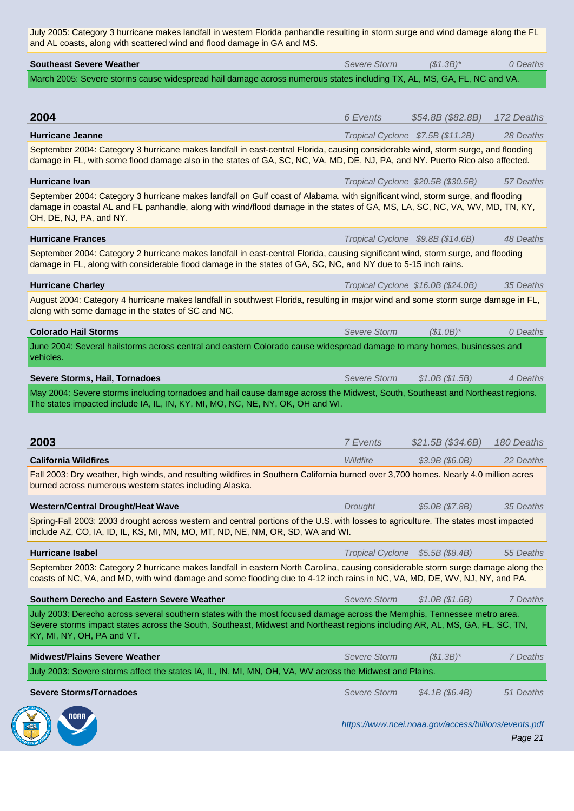| <b>Southeast Severe Weather</b>                                                                                                                                                                                                                                                           | Severe Storm            | $($1.3B)^*$                                          | 0 Deaths   |
|-------------------------------------------------------------------------------------------------------------------------------------------------------------------------------------------------------------------------------------------------------------------------------------------|-------------------------|------------------------------------------------------|------------|
| March 2005: Severe storms cause widespread hail damage across numerous states including TX, AL, MS, GA, FL, NC and VA.                                                                                                                                                                    |                         |                                                      |            |
|                                                                                                                                                                                                                                                                                           |                         |                                                      |            |
| 2004                                                                                                                                                                                                                                                                                      | 6 Events                | \$54.8B (\$82.8B)                                    | 172 Deaths |
| <b>Hurricane Jeanne</b>                                                                                                                                                                                                                                                                   |                         | Tropical Cyclone \$7.5B (\$11.2B)                    | 28 Deaths  |
| September 2004: Category 3 hurricane makes landfall in east-central Florida, causing considerable wind, storm surge, and flooding<br>damage in FL, with some flood damage also in the states of GA, SC, NC, VA, MD, DE, NJ, PA, and NY. Puerto Rico also affected.                        |                         |                                                      |            |
| <b>Hurricane Ivan</b>                                                                                                                                                                                                                                                                     |                         | Tropical Cyclone \$20.5B (\$30.5B)                   | 57 Deaths  |
| September 2004: Category 3 hurricane makes landfall on Gulf coast of Alabama, with significant wind, storm surge, and flooding<br>damage in coastal AL and FL panhandle, along with wind/flood damage in the states of GA, MS, LA, SC, NC, VA, WV, MD, TN, KY,<br>OH, DE, NJ, PA, and NY. |                         |                                                      |            |
| <b>Hurricane Frances</b>                                                                                                                                                                                                                                                                  |                         | Tropical Cyclone \$9.8B (\$14.6B)                    | 48 Deaths  |
| September 2004: Category 2 hurricane makes landfall in east-central Florida, causing significant wind, storm surge, and flooding<br>damage in FL, along with considerable flood damage in the states of GA, SC, NC, and NY due to 5-15 inch rains.                                        |                         |                                                      |            |
| <b>Hurricane Charley</b>                                                                                                                                                                                                                                                                  |                         | Tropical Cyclone \$16.0B (\$24.0B)                   | 35 Deaths  |
| August 2004: Category 4 hurricane makes landfall in southwest Florida, resulting in major wind and some storm surge damage in FL,<br>along with some damage in the states of SC and NC.                                                                                                   |                         |                                                      |            |
| <b>Colorado Hail Storms</b>                                                                                                                                                                                                                                                               | Severe Storm            | $($1.0B)^*$                                          | 0 Deaths   |
| June 2004: Several hailstorms across central and eastern Colorado cause widespread damage to many homes, businesses and<br>vehicles.                                                                                                                                                      |                         |                                                      |            |
| Severe Storms, Hail, Tornadoes                                                                                                                                                                                                                                                            | Severe Storm            | \$1.0B (\$1.5B)                                      | 4 Deaths   |
| May 2004: Severe storms including tornadoes and hail cause damage across the Midwest, South, Southeast and Northeast regions.<br>The states impacted include IA, IL, IN, KY, MI, MO, NC, NE, NY, OK, OH and WI.                                                                           |                         |                                                      |            |
|                                                                                                                                                                                                                                                                                           |                         |                                                      |            |
| 2003                                                                                                                                                                                                                                                                                      | 7 Events                | \$21.5B (\$34.6B)                                    | 180 Deaths |
| <b>California Wildfires</b>                                                                                                                                                                                                                                                               | Wildfire                | $$3.9B$ (\$6.0B)                                     | 22 Deaths  |
| Fall 2003: Dry weather, high winds, and resulting wildfires in Southern California burned over 3,700 homes. Nearly 4.0 million acres<br>burned across numerous western states including Alaska.                                                                                           |                         |                                                      |            |
| <b>Western/Central Drought/Heat Wave</b>                                                                                                                                                                                                                                                  | Drought                 | \$5.0B (\$7.8B)                                      | 35 Deaths  |
| Spring-Fall 2003: 2003 drought across western and central portions of the U.S. with losses to agriculture. The states most impacted<br>include AZ, CO, IA, ID, IL, KS, MI, MN, MO, MT, ND, NE, NM, OR, SD, WA and WI.                                                                     |                         |                                                      |            |
| <b>Hurricane Isabel</b>                                                                                                                                                                                                                                                                   | <b>Tropical Cyclone</b> | \$5.5B (\$8.4B)                                      | 55 Deaths  |
| September 2003: Category 2 hurricane makes landfall in eastern North Carolina, causing considerable storm surge damage along the<br>coasts of NC, VA, and MD, with wind damage and some flooding due to 4-12 inch rains in NC, VA, MD, DE, WV, NJ, NY, and PA.                            |                         |                                                      |            |
| Southern Derecho and Eastern Severe Weather                                                                                                                                                                                                                                               | <b>Severe Storm</b>     | \$1.0B (\$1.6B)                                      | 7 Deaths   |
| July 2003: Derecho across several southern states with the most focused damage across the Memphis, Tennessee metro area.<br>Severe storms impact states across the South, Southeast, Midwest and Northeast regions including AR, AL, MS, GA, FL, SC, TN,<br>KY, MI, NY, OH, PA and VT.    |                         |                                                      |            |
| <b>Midwest/Plains Severe Weather</b>                                                                                                                                                                                                                                                      | <b>Severe Storm</b>     | $($1.3B)^*$                                          | 7 Deaths   |
| July 2003: Severe storms affect the states IA, IL, IN, MI, MN, OH, VA, WV across the Midwest and Plains.                                                                                                                                                                                  |                         |                                                      |            |
| <b>Severe Storms/Tornadoes</b>                                                                                                                                                                                                                                                            | <b>Severe Storm</b>     | \$4.1B (\$6.4B)                                      | 51 Deaths  |
|                                                                                                                                                                                                                                                                                           |                         | https://www.ncei.noaa.gov/access/billions/events.pdf | Page 21    |

**CONTROLLED BY**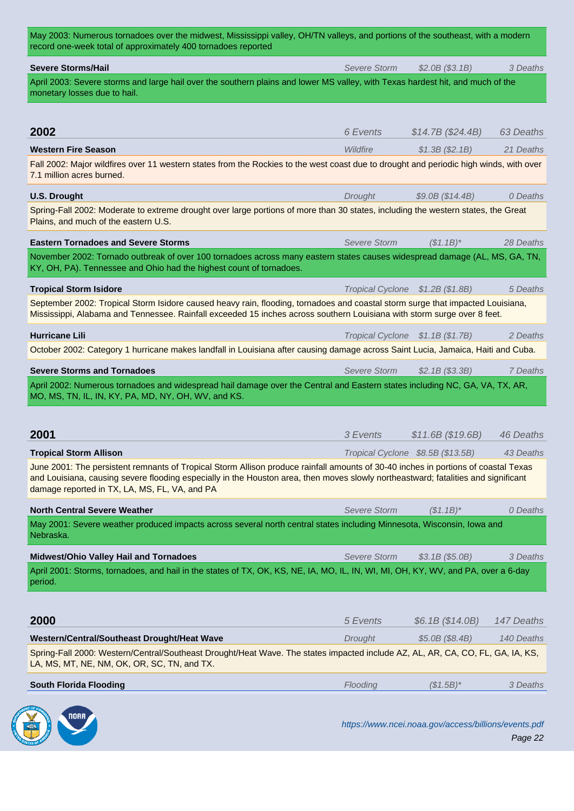| ווטטול נטנערטו מאוויוט טיד איט נטווועטטעט וטאטונט                                                                                                                                                                                                                                                                         |                                  |                                   |            |
|---------------------------------------------------------------------------------------------------------------------------------------------------------------------------------------------------------------------------------------------------------------------------------------------------------------------------|----------------------------------|-----------------------------------|------------|
| <b>Severe Storms/Hail</b>                                                                                                                                                                                                                                                                                                 | <b>Severe Storm</b>              | \$2.0B (\$3.1B)                   | 3 Deaths   |
| April 2003: Severe storms and large hail over the southern plains and lower MS valley, with Texas hardest hit, and much of the<br>monetary losses due to hail.                                                                                                                                                            |                                  |                                   |            |
|                                                                                                                                                                                                                                                                                                                           |                                  |                                   |            |
|                                                                                                                                                                                                                                                                                                                           |                                  |                                   |            |
| 2002                                                                                                                                                                                                                                                                                                                      | 6 Events                         | \$14.7B (\$24.4B)                 | 63 Deaths  |
| <b>Western Fire Season</b>                                                                                                                                                                                                                                                                                                | Wildfire                         | \$1.3B (\$2.1B)                   | 21 Deaths  |
| Fall 2002: Major wildfires over 11 western states from the Rockies to the west coast due to drought and periodic high winds, with over<br>7.1 million acres burned.                                                                                                                                                       |                                  |                                   |            |
| <b>U.S. Drought</b>                                                                                                                                                                                                                                                                                                       | Drought                          | \$9.0B (\$14.4B)                  | 0 Deaths   |
| Spring-Fall 2002: Moderate to extreme drought over large portions of more than 30 states, including the western states, the Great<br>Plains, and much of the eastern U.S.                                                                                                                                                 |                                  |                                   |            |
| <b>Eastern Tornadoes and Severe Storms</b>                                                                                                                                                                                                                                                                                | <b>Severe Storm</b>              | $(S1.1B)^*$                       | 28 Deaths  |
| November 2002: Tornado outbreak of over 100 tornadoes across many eastern states causes widespread damage (AL, MS, GA, TN,<br>KY, OH, PA). Tennessee and Ohio had the highest count of tornadoes.                                                                                                                         |                                  |                                   |            |
| <b>Tropical Storm Isidore</b>                                                                                                                                                                                                                                                                                             | Tropical Cyclone \$1.2B (\$1.8B) |                                   | 5 Deaths   |
| September 2002: Tropical Storm Isidore caused heavy rain, flooding, tornadoes and coastal storm surge that impacted Louisiana,<br>Mississippi, Alabama and Tennessee. Rainfall exceeded 15 inches across southern Louisiana with storm surge over 8 feet.                                                                 |                                  |                                   |            |
| <b>Hurricane Lili</b>                                                                                                                                                                                                                                                                                                     | Tropical Cyclone \$1.1B (\$1.7B) |                                   | 2 Deaths   |
| October 2002: Category 1 hurricane makes landfall in Louisiana after causing damage across Saint Lucia, Jamaica, Haiti and Cuba.                                                                                                                                                                                          |                                  |                                   |            |
| <b>Severe Storms and Tornadoes</b>                                                                                                                                                                                                                                                                                        | <b>Severe Storm</b>              | \$2.1B (\$3.3B)                   | 7 Deaths   |
| April 2002: Numerous tornadoes and widespread hail damage over the Central and Eastern states including NC, GA, VA, TX, AR,<br>MO, MS, TN, IL, IN, KY, PA, MD, NY, OH, WV, and KS.                                                                                                                                        |                                  |                                   |            |
|                                                                                                                                                                                                                                                                                                                           |                                  |                                   |            |
| 2001                                                                                                                                                                                                                                                                                                                      | 3 Events                         | \$11.6B (\$19.6B)                 | 46 Deaths  |
| <b>Tropical Storm Allison</b>                                                                                                                                                                                                                                                                                             |                                  | Tropical Cyclone \$8.5B (\$13.5B) | 43 Deaths  |
| June 2001: The persistent remnants of Tropical Storm Allison produce rainfall amounts of 30-40 inches in portions of coastal Texas<br>and Louisiana, causing severe flooding especially in the Houston area, then moves slowly northeastward; fatalities and significant<br>damage reported in TX, LA, MS, FL, VA, and PA |                                  |                                   |            |
| <b>North Central Severe Weather</b>                                                                                                                                                                                                                                                                                       | <b>Severe Storm</b>              | $($1.1B)^*$                       | 0 Deaths   |
| May 2001: Severe weather produced impacts across several north central states including Minnesota, Wisconsin, Iowa and<br>Nebraska.                                                                                                                                                                                       |                                  |                                   |            |
| <b>Midwest/Ohio Valley Hail and Tornadoes</b>                                                                                                                                                                                                                                                                             | <b>Severe Storm</b>              | \$3.1B (\$5.0B)                   | 3 Deaths   |
| April 2001: Storms, tornadoes, and hail in the states of TX, OK, KS, NE, IA, MO, IL, IN, WI, MI, OH, KY, WV, and PA, over a 6-day<br>period.                                                                                                                                                                              |                                  |                                   |            |
|                                                                                                                                                                                                                                                                                                                           |                                  |                                   |            |
| 2000                                                                                                                                                                                                                                                                                                                      | 5 Events                         | \$6.1B (\$14.0B)                  | 147 Deaths |
| Western/Central/Southeast Drought/Heat Wave                                                                                                                                                                                                                                                                               | Drought                          | \$5.0B (\$8.4B)                   | 140 Deaths |
| Spring-Fall 2000: Western/Central/Southeast Drought/Heat Wave. The states impacted include AZ, AL, AR, CA, CO, FL, GA, IA, KS,<br>LA, MS, MT, NE, NM, OK, OR, SC, TN, and TX.                                                                                                                                             |                                  |                                   |            |
| <b>South Florida Flooding</b>                                                                                                                                                                                                                                                                                             | Flooding                         | $($1.5B)^*$                       | 3 Deaths   |
|                                                                                                                                                                                                                                                                                                                           |                                  |                                   |            |

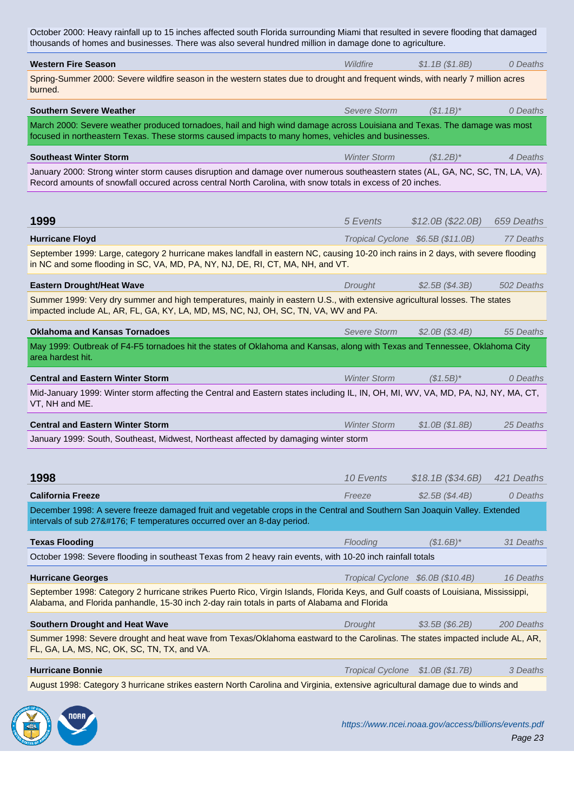| <b>Western Fire Season</b>                                                                                                                                                                                                                   | Wildfire            | \$1.1B (\$1.8B)                   | 0 Deaths   |
|----------------------------------------------------------------------------------------------------------------------------------------------------------------------------------------------------------------------------------------------|---------------------|-----------------------------------|------------|
| Spring-Summer 2000: Severe wildfire season in the western states due to drought and frequent winds, with nearly 7 million acres<br>burned.                                                                                                   |                     |                                   |            |
| <b>Southern Severe Weather</b>                                                                                                                                                                                                               | Severe Storm        | $(S1.1B)^*$                       | 0 Deaths   |
| March 2000: Severe weather produced tornadoes, hail and high wind damage across Louisiana and Texas. The damage was most<br>focused in northeastern Texas. These storms caused impacts to many homes, vehicles and businesses.               |                     |                                   |            |
| <b>Southeast Winter Storm</b>                                                                                                                                                                                                                | <b>Winter Storm</b> | $($1.2B)^*$                       | 4 Deaths   |
| January 2000: Strong winter storm causes disruption and damage over numerous southeastern states (AL, GA, NC, SC, TN, LA, VA).<br>Record amounts of snowfall occured across central North Carolina, with snow totals in excess of 20 inches. |                     |                                   |            |
|                                                                                                                                                                                                                                              |                     |                                   |            |
| 1999                                                                                                                                                                                                                                         | 5 Events            | \$12.0B (\$22.0B)                 | 659 Deaths |
| <b>Hurricane Floyd</b>                                                                                                                                                                                                                       |                     | Tropical Cyclone \$6.5B (\$11.0B) | 77 Deaths  |
| September 1999: Large, category 2 hurricane makes landfall in eastern NC, causing 10-20 inch rains in 2 days, with severe flooding<br>in NC and some flooding in SC, VA, MD, PA, NY, NJ, DE, RI, CT, MA, NH, and VT.                         |                     |                                   |            |
| <b>Eastern Drought/Heat Wave</b>                                                                                                                                                                                                             | Drought             | \$2.5B (\$4.3B)                   | 502 Deaths |
| Summer 1999: Very dry summer and high temperatures, mainly in eastern U.S., with extensive agricultural losses. The states<br>impacted include AL, AR, FL, GA, KY, LA, MD, MS, NC, NJ, OH, SC, TN, VA, WV and PA.                            |                     |                                   |            |
| <b>Oklahoma and Kansas Tornadoes</b>                                                                                                                                                                                                         | Severe Storm        | \$2.0B (\$3.4B)                   | 55 Deaths  |
| May 1999: Outbreak of F4-F5 tornadoes hit the states of Oklahoma and Kansas, along with Texas and Tennessee, Oklahoma City<br>area hardest hit.                                                                                              |                     |                                   |            |
| <b>Central and Eastern Winter Storm</b>                                                                                                                                                                                                      | <b>Winter Storm</b> | $($1.5B)^*$                       | 0 Deaths   |
| Mid-January 1999: Winter storm affecting the Central and Eastern states including IL, IN, OH, MI, WV, VA, MD, PA, NJ, NY, MA, CT,<br>VT, NH and ME.                                                                                          |                     |                                   |            |
| <b>Central and Eastern Winter Storm</b>                                                                                                                                                                                                      | <b>Winter Storm</b> | \$1.0B (\$1.8B)                   | 25 Deaths  |
| January 1999: South, Southeast, Midwest, Northeast affected by damaging winter storm                                                                                                                                                         |                     |                                   |            |
|                                                                                                                                                                                                                                              |                     |                                   |            |
| 1998                                                                                                                                                                                                                                         | 10 Events           | \$18.1B (\$34.6B)                 | 421 Deaths |
| <b>California Freeze</b>                                                                                                                                                                                                                     | Freeze              | \$2.5B (\$4.4B)                   | 0 Deaths   |
| December 1998: A severe freeze damaged fruit and vegetable crops in the Central and Southern San Joaquin Valley. Extended<br>intervals of sub 27° F temperatures occurred over an 8-day period.                                              |                     |                                   |            |
| <b>Texas Flooding</b>                                                                                                                                                                                                                        | Flooding            | $($1.6B)^*$                       | 31 Deaths  |
| October 1998: Severe flooding in southeast Texas from 2 heavy rain events, with 10-20 inch rainfall totals                                                                                                                                   |                     |                                   |            |
| <b>Hurricane Georges</b>                                                                                                                                                                                                                     |                     | Tropical Cyclone \$6.0B (\$10.4B) | 16 Deaths  |
| September 1998: Category 2 hurricane strikes Puerto Rico, Virgin Islands, Florida Keys, and Gulf coasts of Louisiana, Mississippi,<br>Alabama, and Florida panhandle, 15-30 inch 2-day rain totals in parts of Alabama and Florida           |                     |                                   |            |
| <b>Southern Drought and Heat Wave</b>                                                                                                                                                                                                        | Drought             | \$3.5B (\$6.2B)                   | 200 Deaths |
| Summer 1998: Severe drought and heat wave from Texas/Oklahoma eastward to the Carolinas. The states impacted include AL, AR,<br>FL, GA, LA, MS, NC, OK, SC, TN, TX, and VA.                                                                  |                     |                                   |            |
| <b>Hurricane Bonnie</b>                                                                                                                                                                                                                      |                     | Tropical Cyclone \$1.0B (\$1.7B)  | 3 Deaths   |
| August 1998: Category 3 hurricane strikes eastern North Carolina and Virginia, extensive agricultural damage due to winds and                                                                                                                |                     |                                   |            |
|                                                                                                                                                                                                                                              |                     |                                   |            |

ED VIDAR **CONTROL**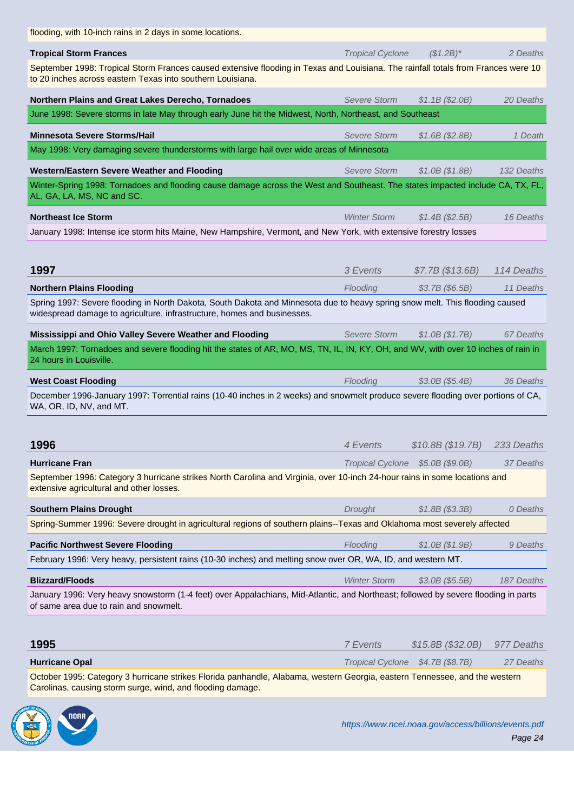| <b>Tropical Storm Frances</b>                                                                                                                                                                           | <b>Tropical Cyclone</b> | $($1.2B)^*$                      | 2 Deaths   |
|---------------------------------------------------------------------------------------------------------------------------------------------------------------------------------------------------------|-------------------------|----------------------------------|------------|
| September 1998: Tropical Storm Frances caused extensive flooding in Texas and Louisiana. The rainfall totals from Frances were 10<br>to 20 inches across eastern Texas into southern Louisiana.         |                         |                                  |            |
| Northern Plains and Great Lakes Derecho, Tornadoes                                                                                                                                                      | <b>Severe Storm</b>     | \$1.1B (\$2.0B)                  | 20 Deaths  |
| June 1998: Severe storms in late May through early June hit the Midwest, North, Northeast, and Southeast                                                                                                |                         |                                  |            |
| <b>Minnesota Severe Storms/Hail</b>                                                                                                                                                                     | <b>Severe Storm</b>     | \$1.6B (\$2.8B)                  | 1 Death    |
| May 1998: Very damaging severe thunderstorms with large hail over wide areas of Minnesota                                                                                                               |                         |                                  |            |
| <b>Western/Eastern Severe Weather and Flooding</b>                                                                                                                                                      | Severe Storm            | \$1.0B (\$1.8B)                  | 132 Deaths |
| Winter-Spring 1998: Tornadoes and flooding cause damage across the West and Southeast. The states impacted include CA, TX, FL,<br>AL, GA, LA, MS, NC and SC.                                            |                         |                                  |            |
| <b>Northeast Ice Storm</b>                                                                                                                                                                              | <b>Winter Storm</b>     | \$1.4B(S2.5B)                    | 16 Deaths  |
| January 1998: Intense ice storm hits Maine, New Hampshire, Vermont, and New York, with extensive forestry losses                                                                                        |                         |                                  |            |
| 1997                                                                                                                                                                                                    | 3 Events                | \$7.7B (\$13.6B)                 | 114 Deaths |
| <b>Northern Plains Flooding</b>                                                                                                                                                                         | Flooding                | \$3.7B (\$6.5B)                  | 11 Deaths  |
| Spring 1997: Severe flooding in North Dakota, South Dakota and Minnesota due to heavy spring snow melt. This flooding caused<br>widespread damage to agriculture, infrastructure, homes and businesses. |                         |                                  |            |
| Mississippi and Ohio Valley Severe Weather and Flooding                                                                                                                                                 | <b>Severe Storm</b>     | \$1.0B (\$1.7B)                  | 67 Deaths  |
| March 1997: Tornadoes and severe flooding hit the states of AR, MO, MS, TN, IL, IN, KY, OH, and WV, with over 10 inches of rain in<br>24 hours in Louisville.                                           |                         |                                  |            |
| <b>West Coast Flooding</b>                                                                                                                                                                              | Flooding                | $$3.0B$ (\$5.4B)                 | 36 Deaths  |
| December 1996-January 1997: Torrential rains (10-40 inches in 2 weeks) and snowmelt produce severe flooding over portions of CA,<br>WA, OR, ID, NV, and MT.                                             |                         |                                  |            |
| 1996                                                                                                                                                                                                    | 4 Events                | \$10.8B (\$19.7B)                | 233 Deaths |
| <b>Hurricane Fran</b>                                                                                                                                                                                   |                         | Tropical Cyclone \$5.0B (\$9.0B) | 37 Deaths  |
| September 1996: Category 3 hurricane strikes North Carolina and Virginia, over 10-inch 24-hour rains in some locations and<br>extensive agricultural and other losses.                                  |                         |                                  |            |
| <b>Southern Plains Drought</b>                                                                                                                                                                          | Drought                 | \$1.8B (\$3.3B)                  | 0 Deaths   |
| Spring-Summer 1996: Severe drought in agricultural regions of southern plains--Texas and Oklahoma most severely affected                                                                                |                         |                                  |            |
| <b>Pacific Northwest Severe Flooding</b>                                                                                                                                                                | Flooding                | \$1.0B (\$1.9B)                  | 9 Deaths   |
| February 1996: Very heavy, persistent rains (10-30 inches) and melting snow over OR, WA, ID, and western MT.                                                                                            |                         |                                  |            |
| <b>Blizzard/Floods</b>                                                                                                                                                                                  | <b>Winter Storm</b>     | $$3.0B$ (\$5.5B)                 | 187 Deaths |
| January 1996: Very heavy snowstorm (1-4 feet) over Appalachians, Mid-Atlantic, and Northeast; followed by severe flooding in parts<br>of same area due to rain and snowmelt.                            |                         |                                  |            |
|                                                                                                                                                                                                         |                         |                                  |            |
| 1995                                                                                                                                                                                                    | <b>7</b> Events         | \$15.8B (\$32.0B)                | 977 Deaths |
| <b>Hurricane Opal</b>                                                                                                                                                                                   |                         | Tropical Cyclone \$4.7B (\$8.7B) | 27 Deaths  |
| October 1995: Category 3 hurricane strikes Florida panhandle, Alabama, western Georgia, eastern Tennessee, and the western<br>Carolinas, causing storm surge, wind, and flooding damage.                |                         |                                  |            |
|                                                                                                                                                                                                         |                         |                                  |            |

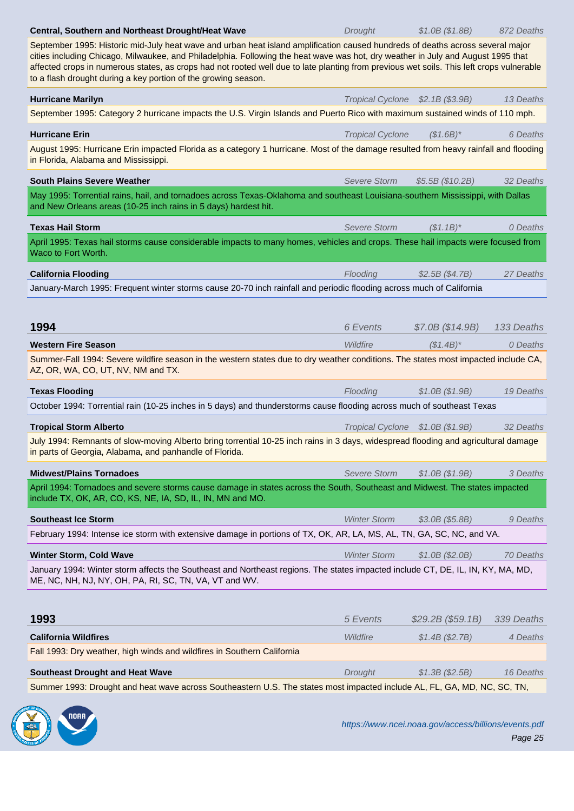| cities including Chicago, Milwaukee, and Philadelphia. Following the heat wave was hot, dry weather in July and August 1995 that<br>affected crops in numerous states, as crops had not rooted well due to late planting from previous wet soils. This left crops vulnerable<br>to a flash drought during a key portion of the growing season. |                                  |                   |            |
|------------------------------------------------------------------------------------------------------------------------------------------------------------------------------------------------------------------------------------------------------------------------------------------------------------------------------------------------|----------------------------------|-------------------|------------|
| <b>Hurricane Marilyn</b>                                                                                                                                                                                                                                                                                                                       | Tropical Cyclone \$2.1B (\$3.9B) |                   | 13 Deaths  |
| September 1995: Category 2 hurricane impacts the U.S. Virgin Islands and Puerto Rico with maximum sustained winds of 110 mph.                                                                                                                                                                                                                  |                                  |                   |            |
| <b>Hurricane Erin</b>                                                                                                                                                                                                                                                                                                                          | <b>Tropical Cyclone</b>          | $($1.6B)^*$       | 6 Deaths   |
| August 1995: Hurricane Erin impacted Florida as a category 1 hurricane. Most of the damage resulted from heavy rainfall and flooding<br>in Florida, Alabama and Mississippi.                                                                                                                                                                   |                                  |                   |            |
| <b>South Plains Severe Weather</b>                                                                                                                                                                                                                                                                                                             | Severe Storm                     | \$5.5B (\$10.2B)  | 32 Deaths  |
| May 1995: Torrential rains, hail, and tornadoes across Texas-Oklahoma and southeast Louisiana-southern Mississippi, with Dallas<br>and New Orleans areas (10-25 inch rains in 5 days) hardest hit.                                                                                                                                             |                                  |                   |            |
| <b>Texas Hail Storm</b>                                                                                                                                                                                                                                                                                                                        | Severe Storm                     | $($1.1B)^*$       | 0 Deaths   |
| April 1995: Texas hail storms cause considerable impacts to many homes, vehicles and crops. These hail impacts were focused from<br>Waco to Fort Worth.                                                                                                                                                                                        |                                  |                   |            |
| <b>California Flooding</b>                                                                                                                                                                                                                                                                                                                     | Flooding                         | \$2.5B (\$4.7B)   | 27 Deaths  |
| January-March 1995: Frequent winter storms cause 20-70 inch rainfall and periodic flooding across much of California                                                                                                                                                                                                                           |                                  |                   |            |
|                                                                                                                                                                                                                                                                                                                                                |                                  |                   |            |
| 1994                                                                                                                                                                                                                                                                                                                                           | 6 Events                         | \$7.0B (\$14.9B)  | 133 Deaths |
| <b>Western Fire Season</b>                                                                                                                                                                                                                                                                                                                     | Wildfire                         | $($1.4B)^*$       | 0 Deaths   |
| Summer-Fall 1994: Severe wildfire season in the western states due to dry weather conditions. The states most impacted include CA,<br>AZ, OR, WA, CO, UT, NV, NM and TX.                                                                                                                                                                       |                                  |                   |            |
| <b>Texas Flooding</b>                                                                                                                                                                                                                                                                                                                          | Flooding                         | \$1.0B (\$1.9B)   | 19 Deaths  |
| October 1994: Torrential rain (10-25 inches in 5 days) and thunderstorms cause flooding across much of southeast Texas                                                                                                                                                                                                                         |                                  |                   |            |
| <b>Tropical Storm Alberto</b>                                                                                                                                                                                                                                                                                                                  | Tropical Cyclone \$1.0B (\$1.9B) |                   | 32 Deaths  |
| July 1994: Remnants of slow-moving Alberto bring torrential 10-25 inch rains in 3 days, widespread flooding and agricultural damage<br>in parts of Georgia, Alabama, and panhandle of Florida.                                                                                                                                                 |                                  |                   |            |
| <b>Midwest/Plains Tornadoes</b>                                                                                                                                                                                                                                                                                                                | Severe Storm                     | \$1.0B (\$1.9B)   | 3 Deaths   |
| April 1994: Tornadoes and severe storms cause damage in states across the South, Southeast and Midwest. The states impacted<br>include TX, OK, AR, CO, KS, NE, IA, SD, IL, IN, MN and MO.                                                                                                                                                      |                                  |                   |            |
| <b>Southeast Ice Storm</b>                                                                                                                                                                                                                                                                                                                     | <b>Winter Storm</b>              | \$3.0B (\$5.8B)   | 9 Deaths   |
| February 1994: Intense ice storm with extensive damage in portions of TX, OK, AR, LA, MS, AL, TN, GA, SC, NC, and VA.                                                                                                                                                                                                                          |                                  |                   |            |
| <b>Winter Storm, Cold Wave</b>                                                                                                                                                                                                                                                                                                                 | <b>Winter Storm</b>              | \$1.0B (\$2.0B)   | 70 Deaths  |
| January 1994: Winter storm affects the Southeast and Northeast regions. The states impacted include CT, DE, IL, IN, KY, MA, MD,<br>ME, NC, NH, NJ, NY, OH, PA, RI, SC, TN, VA, VT and WV.                                                                                                                                                      |                                  |                   |            |
| 1993                                                                                                                                                                                                                                                                                                                                           | 5 Events                         | \$29.2B (\$59.1B) | 339 Deaths |
| <b>California Wildfires</b>                                                                                                                                                                                                                                                                                                                    | Wildfire                         | \$1.4B (\$2.7B)   | 4 Deaths   |
| Fall 1993: Dry weather, high winds and wildfires in Southern California                                                                                                                                                                                                                                                                        |                                  |                   |            |
| <b>Southeast Drought and Heat Wave</b>                                                                                                                                                                                                                                                                                                         | Drought                          | \$1.3B (\$2.5B)   | 16 Deaths  |

Summer 1993: Drought and heat wave across Southeastern U.S. The states most impacted include AL, FL, GA, MD, NC, SC, TN,

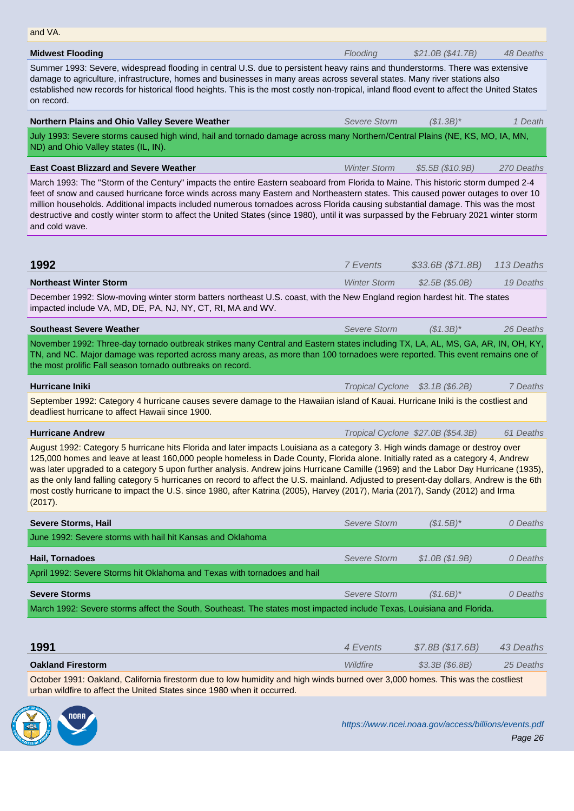| <b>Midwest Flooding</b>                                                                                                                                                                                                                                                                                                                                                                                                                                                                                                                                                                                                                                                                         | Flooding            | \$21.0B (\$41.7B)                  | 48 Deaths  |  |
|-------------------------------------------------------------------------------------------------------------------------------------------------------------------------------------------------------------------------------------------------------------------------------------------------------------------------------------------------------------------------------------------------------------------------------------------------------------------------------------------------------------------------------------------------------------------------------------------------------------------------------------------------------------------------------------------------|---------------------|------------------------------------|------------|--|
| Summer 1993: Severe, widespread flooding in central U.S. due to persistent heavy rains and thunderstorms. There was extensive<br>damage to agriculture, infrastructure, homes and businesses in many areas across several states. Many river stations also<br>established new records for historical flood heights. This is the most costly non-tropical, inland flood event to affect the United States<br>on record.                                                                                                                                                                                                                                                                          |                     |                                    |            |  |
| Northern Plains and Ohio Valley Severe Weather                                                                                                                                                                                                                                                                                                                                                                                                                                                                                                                                                                                                                                                  | <b>Severe Storm</b> | $($1.3B)^*$                        | 1 Death    |  |
| July 1993: Severe storms caused high wind, hail and tornado damage across many Northern/Central Plains (NE, KS, MO, IA, MN,<br>ND) and Ohio Valley states (IL, IN).                                                                                                                                                                                                                                                                                                                                                                                                                                                                                                                             |                     |                                    |            |  |
| <b>East Coast Blizzard and Severe Weather</b>                                                                                                                                                                                                                                                                                                                                                                                                                                                                                                                                                                                                                                                   | <b>Winter Storm</b> | \$5.5B (\$10.9B)                   | 270 Deaths |  |
| March 1993: The "Storm of the Century" impacts the entire Eastern seaboard from Florida to Maine. This historic storm dumped 2-4<br>feet of snow and caused hurricane force winds across many Eastern and Northeastern states. This caused power outages to over 10<br>million households. Additional impacts included numerous tornadoes across Florida causing substantial damage. This was the most<br>destructive and costly winter storm to affect the United States (since 1980), until it was surpassed by the February 2021 winter storm<br>and cold wave.                                                                                                                              |                     |                                    |            |  |
| 1992                                                                                                                                                                                                                                                                                                                                                                                                                                                                                                                                                                                                                                                                                            | 7 Events            | \$33.6B (\$71.8B)                  | 113 Deaths |  |
| Northeast Winter Storm                                                                                                                                                                                                                                                                                                                                                                                                                                                                                                                                                                                                                                                                          | <b>Winter Storm</b> | \$2.5B (\$5.0B)                    | 19 Deaths  |  |
| December 1992: Slow-moving winter storm batters northeast U.S. coast, with the New England region hardest hit. The states<br>impacted include VA, MD, DE, PA, NJ, NY, CT, RI, MA and WV.                                                                                                                                                                                                                                                                                                                                                                                                                                                                                                        |                     |                                    |            |  |
| <b>Southeast Severe Weather</b>                                                                                                                                                                                                                                                                                                                                                                                                                                                                                                                                                                                                                                                                 | <b>Severe Storm</b> | $($1.3B)^*$                        | 26 Deaths  |  |
| November 1992: Three-day tornado outbreak strikes many Central and Eastern states including TX, LA, AL, MS, GA, AR, IN, OH, KY,<br>TN, and NC. Major damage was reported across many areas, as more than 100 tornadoes were reported. This event remains one of<br>the most prolific Fall season tornado outbreaks on record.                                                                                                                                                                                                                                                                                                                                                                   |                     |                                    |            |  |
| <b>Hurricane Iniki</b>                                                                                                                                                                                                                                                                                                                                                                                                                                                                                                                                                                                                                                                                          |                     | Tropical Cyclone \$3.1B (\$6.2B)   | 7 Deaths   |  |
| September 1992: Category 4 hurricane causes severe damage to the Hawaiian island of Kauai. Hurricane Iniki is the costliest and<br>deadliest hurricane to affect Hawaii since 1900.                                                                                                                                                                                                                                                                                                                                                                                                                                                                                                             |                     |                                    |            |  |
| <b>Hurricane Andrew</b>                                                                                                                                                                                                                                                                                                                                                                                                                                                                                                                                                                                                                                                                         |                     | Tropical Cyclone \$27.0B (\$54.3B) | 61 Deaths  |  |
| August 1992: Category 5 hurricane hits Florida and later impacts Louisiana as a category 3. High winds damage or destroy over<br>125,000 homes and leave at least 160,000 people homeless in Dade County, Florida alone. Initially rated as a category 4, Andrew<br>was later upgraded to a category 5 upon further analysis. Andrew joins Hurricane Camille (1969) and the Labor Day Hurricane (1935),<br>as the only land falling category 5 hurricanes on record to affect the U.S. mainland. Adjusted to present-day dollars, Andrew is the 6th<br>most costly hurricane to impact the U.S. since 1980, after Katrina (2005), Harvey (2017), Maria (2017), Sandy (2012) and Irma<br>(2017). |                     |                                    |            |  |
| <b>Severe Storms, Hail</b>                                                                                                                                                                                                                                                                                                                                                                                                                                                                                                                                                                                                                                                                      | Severe Storm        | $($1.5B)^*$                        | 0 Deaths   |  |
| June 1992: Severe storms with hail hit Kansas and Oklahoma                                                                                                                                                                                                                                                                                                                                                                                                                                                                                                                                                                                                                                      |                     |                                    |            |  |
| Hail, Tornadoes                                                                                                                                                                                                                                                                                                                                                                                                                                                                                                                                                                                                                                                                                 | Severe Storm        | \$1.0B (\$1.9B)                    | 0 Deaths   |  |
| April 1992: Severe Storms hit Oklahoma and Texas with tornadoes and hail                                                                                                                                                                                                                                                                                                                                                                                                                                                                                                                                                                                                                        |                     |                                    |            |  |
| <b>Severe Storms</b>                                                                                                                                                                                                                                                                                                                                                                                                                                                                                                                                                                                                                                                                            | Severe Storm        | $($1.6B)^*$                        | 0 Deaths   |  |
| March 1992: Severe storms affect the South, Southeast. The states most impacted include Texas, Louisiana and Florida.                                                                                                                                                                                                                                                                                                                                                                                                                                                                                                                                                                           |                     |                                    |            |  |
|                                                                                                                                                                                                                                                                                                                                                                                                                                                                                                                                                                                                                                                                                                 |                     |                                    |            |  |
| 1991                                                                                                                                                                                                                                                                                                                                                                                                                                                                                                                                                                                                                                                                                            | 4 Events            | \$7.8B (\$17.6B)                   | 43 Deaths  |  |
| <b>Oakland Firestorm</b>                                                                                                                                                                                                                                                                                                                                                                                                                                                                                                                                                                                                                                                                        | Wildfire            | $$3.3B$ (\$6.8B)                   | 25 Deaths  |  |
| October 1991: Oakland, California firestorm due to low humidity and high winds burned over 3,000 homes. This was the costliest<br>urban wildfire to affect the United States since 1980 when it occurred.                                                                                                                                                                                                                                                                                                                                                                                                                                                                                       |                     |                                    |            |  |
|                                                                                                                                                                                                                                                                                                                                                                                                                                                                                                                                                                                                                                                                                                 |                     |                                    |            |  |

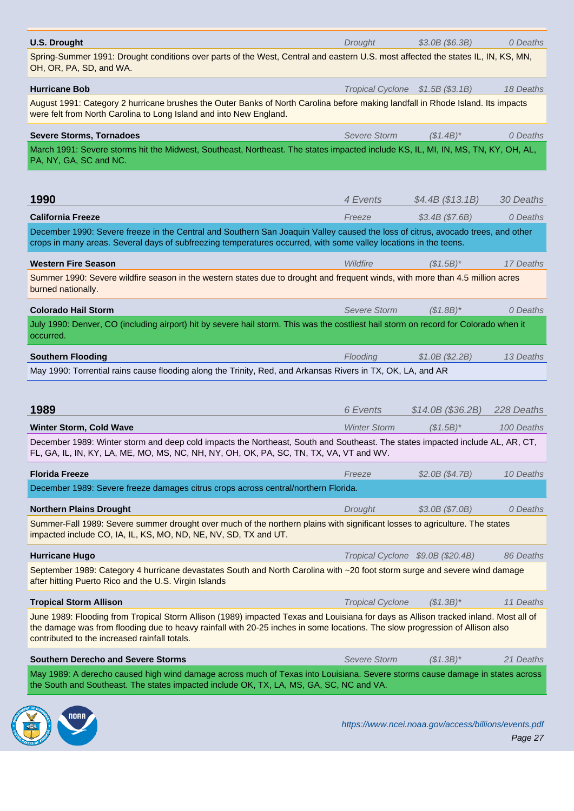Spring-Summer 1991: Drought conditions over parts of the West, Central and eastern U.S. most affected the states IL, IN, KS, MN, OH, OR, PA, SD, and WA.

| UH, UN, FA, JD, and WA.                                                                                                                                                                                                                                                                                              |                                  |                                   |            |
|----------------------------------------------------------------------------------------------------------------------------------------------------------------------------------------------------------------------------------------------------------------------------------------------------------------------|----------------------------------|-----------------------------------|------------|
| <b>Hurricane Bob</b>                                                                                                                                                                                                                                                                                                 | Tropical Cyclone \$1.5B (\$3.1B) |                                   | 18 Deaths  |
| August 1991: Category 2 hurricane brushes the Outer Banks of North Carolina before making landfall in Rhode Island. Its impacts<br>were felt from North Carolina to Long Island and into New England.                                                                                                                |                                  |                                   |            |
| <b>Severe Storms, Tornadoes</b>                                                                                                                                                                                                                                                                                      | <b>Severe Storm</b>              | $($1.4B)^*$                       | 0 Deaths   |
| March 1991: Severe storms hit the Midwest, Southeast, Northeast. The states impacted include KS, IL, MI, IN, MS, TN, KY, OH, AL,<br>PA, NY, GA, SC and NC.                                                                                                                                                           |                                  |                                   |            |
| 1990                                                                                                                                                                                                                                                                                                                 | 4 Events                         | \$4.4B (\$13.1B)                  | 30 Deaths  |
| <b>California Freeze</b>                                                                                                                                                                                                                                                                                             | Freeze                           | \$3.4B (\$7.6B)                   | 0 Deaths   |
| December 1990: Severe freeze in the Central and Southern San Joaquin Valley caused the loss of citrus, avocado trees, and other<br>crops in many areas. Several days of subfreezing temperatures occurred, with some valley locations in the teens.                                                                  |                                  |                                   |            |
| <b>Western Fire Season</b>                                                                                                                                                                                                                                                                                           | Wildfire                         | $($1.5B)^*$                       | 17 Deaths  |
| Summer 1990: Severe wildfire season in the western states due to drought and frequent winds, with more than 4.5 million acres<br>burned nationally.                                                                                                                                                                  |                                  |                                   |            |
| <b>Colorado Hail Storm</b>                                                                                                                                                                                                                                                                                           | Severe Storm                     | $($1.8B)^*$                       | 0 Deaths   |
| July 1990: Denver, CO (including airport) hit by severe hail storm. This was the costliest hail storm on record for Colorado when it<br>occurred.                                                                                                                                                                    |                                  |                                   |            |
| <b>Southern Flooding</b>                                                                                                                                                                                                                                                                                             | Flooding                         | \$1.0B (\$2.2B)                   | 13 Deaths  |
| May 1990: Torrential rains cause flooding along the Trinity, Red, and Arkansas Rivers in TX, OK, LA, and AR                                                                                                                                                                                                          |                                  |                                   |            |
|                                                                                                                                                                                                                                                                                                                      |                                  |                                   |            |
| 1989                                                                                                                                                                                                                                                                                                                 | 6 Events                         | \$14.0B (\$36.2B)                 | 228 Deaths |
| <b>Winter Storm, Cold Wave</b>                                                                                                                                                                                                                                                                                       | <b>Winter Storm</b>              | $($1.5B)^*$                       | 100 Deaths |
| December 1989: Winter storm and deep cold impacts the Northeast, South and Southeast. The states impacted include AL, AR, CT,<br>FL, GA, IL, IN, KY, LA, ME, MO, MS, NC, NH, NY, OH, OK, PA, SC, TN, TX, VA, VT and WV.                                                                                              |                                  |                                   |            |
| <b>Florida Freeze</b>                                                                                                                                                                                                                                                                                                | Freeze                           | \$2.0B (\$4.7B)                   | 10 Deaths  |
| December 1989: Severe freeze damages citrus crops across central/northern Florida.                                                                                                                                                                                                                                   |                                  |                                   |            |
| <b>Northern Plains Drought</b>                                                                                                                                                                                                                                                                                       | Drought                          | \$3.0B (\$7.0B)                   | 0 Deaths   |
| Summer-Fall 1989: Severe summer drought over much of the northern plains with significant losses to agriculture. The states<br>impacted include CO, IA, IL, KS, MO, ND, NE, NV, SD, TX and UT.                                                                                                                       |                                  |                                   |            |
| <b>Hurricane Hugo</b>                                                                                                                                                                                                                                                                                                |                                  | Tropical Cyclone \$9.0B (\$20.4B) | 86 Deaths  |
| September 1989: Category 4 hurricane devastates South and North Carolina with ~20 foot storm surge and severe wind damage<br>after hitting Puerto Rico and the U.S. Virgin Islands                                                                                                                                   |                                  |                                   |            |
| <b>Tropical Storm Allison</b>                                                                                                                                                                                                                                                                                        | <b>Tropical Cyclone</b>          | $($1.3B)^*$                       | 11 Deaths  |
| June 1989: Flooding from Tropical Storm Allison (1989) impacted Texas and Louisiana for days as Allison tracked inland. Most all of<br>the damage was from flooding due to heavy rainfall with 20-25 inches in some locations. The slow progression of Allison also<br>contributed to the increased rainfall totals. |                                  |                                   |            |
| <b>Southern Derecho and Severe Storms</b>                                                                                                                                                                                                                                                                            | <b>Severe Storm</b>              | $($1.3B)^*$                       | 21 Deaths  |
| May 1989: A derecho caused high wind damage across much of Texas into Louisiana. Severe storms cause damage in states across<br>the South and Southeast. The states impacted include OK, TX, LA, MS, GA, SC, NC and VA.                                                                                              |                                  |                                   |            |
|                                                                                                                                                                                                                                                                                                                      |                                  |                                   |            |

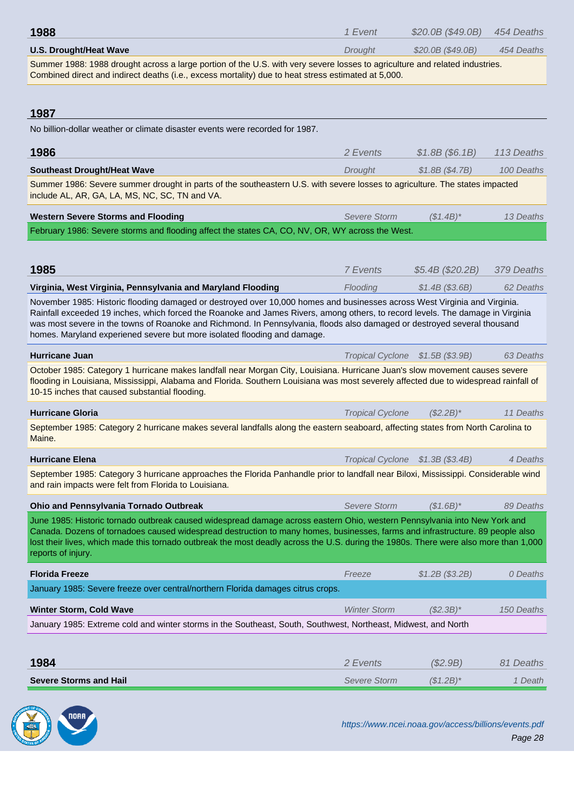| U.S. Drought/Heat Wave                                                                                                                                                                                                                                                                                                                                                                                                   | Drought                          | $$20.0B$$ ( $$49.0B$ ) | 454 Deaths |
|--------------------------------------------------------------------------------------------------------------------------------------------------------------------------------------------------------------------------------------------------------------------------------------------------------------------------------------------------------------------------------------------------------------------------|----------------------------------|------------------------|------------|
| Summer 1988: 1988 drought across a large portion of the U.S. with very severe losses to agriculture and related industries.<br>Combined direct and indirect deaths (i.e., excess mortality) due to heat stress estimated at 5,000.                                                                                                                                                                                       |                                  |                        |            |
|                                                                                                                                                                                                                                                                                                                                                                                                                          |                                  |                        |            |
| 1987                                                                                                                                                                                                                                                                                                                                                                                                                     |                                  |                        |            |
| No billion-dollar weather or climate disaster events were recorded for 1987.                                                                                                                                                                                                                                                                                                                                             |                                  |                        |            |
| 1986                                                                                                                                                                                                                                                                                                                                                                                                                     | 2 Events                         | \$1.8B (\$6.1B)        | 113 Deaths |
| <b>Southeast Drought/Heat Wave</b>                                                                                                                                                                                                                                                                                                                                                                                       | Drought                          | \$1.8B (\$4.7B)        | 100 Deaths |
| Summer 1986: Severe summer drought in parts of the southeastern U.S. with severe losses to agriculture. The states impacted<br>include AL, AR, GA, LA, MS, NC, SC, TN and VA.                                                                                                                                                                                                                                            |                                  |                        |            |
| <b>Western Severe Storms and Flooding</b>                                                                                                                                                                                                                                                                                                                                                                                | Severe Storm                     | $(S1.4B)^*$            | 13 Deaths  |
| February 1986: Severe storms and flooding affect the states CA, CO, NV, OR, WY across the West.                                                                                                                                                                                                                                                                                                                          |                                  |                        |            |
|                                                                                                                                                                                                                                                                                                                                                                                                                          |                                  |                        |            |
| 1985                                                                                                                                                                                                                                                                                                                                                                                                                     | 7 Events                         | \$5.4B (\$20.2B)       | 379 Deaths |
| Virginia, West Virginia, Pennsylvania and Maryland Flooding                                                                                                                                                                                                                                                                                                                                                              | Flooding                         | \$1.4B (\$3.6B)        | 62 Deaths  |
| November 1985: Historic flooding damaged or destroyed over 10,000 homes and businesses across West Virginia and Virginia.                                                                                                                                                                                                                                                                                                |                                  |                        |            |
| Rainfall exceeded 19 inches, which forced the Roanoke and James Rivers, among others, to record levels. The damage in Virginia<br>was most severe in the towns of Roanoke and Richmond. In Pennsylvania, floods also damaged or destroyed several thousand<br>homes. Maryland experiened severe but more isolated flooding and damage.                                                                                   |                                  |                        |            |
| <b>Hurricane Juan</b>                                                                                                                                                                                                                                                                                                                                                                                                    | <b>Tropical Cyclone</b>          | \$1.5B (\$3.9B)        | 63 Deaths  |
| October 1985: Category 1 hurricane makes landfall near Morgan City, Louisiana. Hurricane Juan's slow movement causes severe<br>flooding in Louisiana, Mississippi, Alabama and Florida. Southern Louisiana was most severely affected due to widespread rainfall of<br>10-15 inches that caused substantial flooding.                                                                                                    |                                  |                        |            |
| <b>Hurricane Gloria</b>                                                                                                                                                                                                                                                                                                                                                                                                  | <b>Tropical Cyclone</b>          | $(S2.2B)^*$            | 11 Deaths  |
| September 1985: Category 2 hurricane makes several landfalls along the eastern seaboard, affecting states from North Carolina to<br>Maine.                                                                                                                                                                                                                                                                               |                                  |                        |            |
| <b>Hurricane Elena</b>                                                                                                                                                                                                                                                                                                                                                                                                   | Tropical Cyclone \$1.3B (\$3.4B) |                        | 4 Deaths   |
| September 1985: Category 3 hurricane approaches the Florida Panhandle prior to landfall near Biloxi, Mississippi. Considerable wind<br>and rain impacts were felt from Florida to Louisiana.                                                                                                                                                                                                                             |                                  |                        |            |
| Ohio and Pennsylvania Tornado Outbreak                                                                                                                                                                                                                                                                                                                                                                                   | <b>Severe Storm</b>              | $($1.6B)^*$            | 89 Deaths  |
| June 1985: Historic tornado outbreak caused widespread damage across eastern Ohio, western Pennsylvania into New York and<br>Canada. Dozens of tornadoes caused widespread destruction to many homes, businesses, farms and infrastructure. 89 people also<br>lost their lives, which made this tornado outbreak the most deadly across the U.S. during the 1980s. There were also more than 1,000<br>reports of injury. |                                  |                        |            |
| <b>Florida Freeze</b>                                                                                                                                                                                                                                                                                                                                                                                                    | Freeze                           | \$1.2B (\$3.2B)        | 0 Deaths   |
| January 1985: Severe freeze over central/northern Florida damages citrus crops.                                                                                                                                                                                                                                                                                                                                          |                                  |                        |            |
| <b>Winter Storm, Cold Wave</b>                                                                                                                                                                                                                                                                                                                                                                                           | <b>Winter Storm</b>              | $($2.3B)*$             | 150 Deaths |
| January 1985: Extreme cold and winter storms in the Southeast, South, Southwest, Northeast, Midwest, and North                                                                                                                                                                                                                                                                                                           |                                  |                        |            |
|                                                                                                                                                                                                                                                                                                                                                                                                                          |                                  |                        |            |
| 1984                                                                                                                                                                                                                                                                                                                                                                                                                     | 2 Events                         | (\$2.9B)               | 81 Deaths  |
| <b>Severe Storms and Hail</b>                                                                                                                                                                                                                                                                                                                                                                                            | <b>Severe Storm</b>              | $($1.2B)^*$            | 1 Death    |
|                                                                                                                                                                                                                                                                                                                                                                                                                          |                                  |                        |            |
|                                                                                                                                                                                                                                                                                                                                                                                                                          |                                  |                        |            |

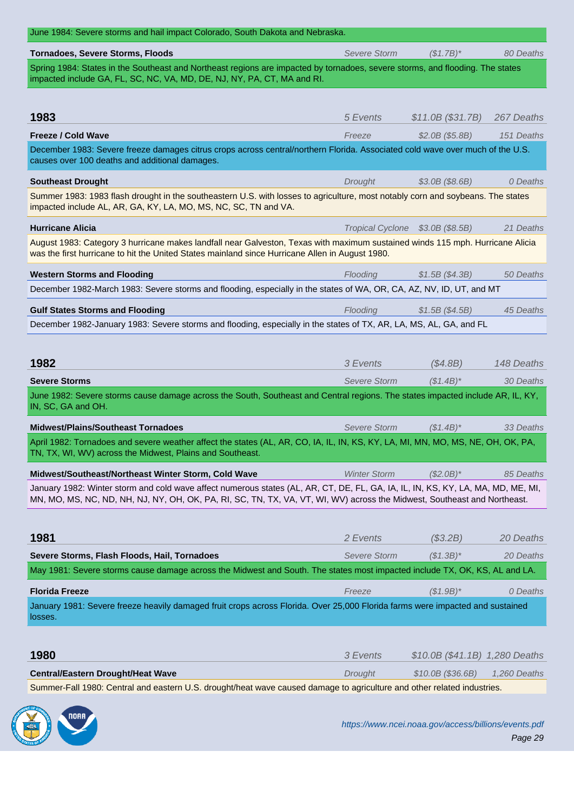| <b>Tornadoes, Severe Storms, Floods</b>                                                                                                                                                                                                                      | <b>Severe Storm</b> | $($1.7B)^*$                      | 80 Deaths    |  |
|--------------------------------------------------------------------------------------------------------------------------------------------------------------------------------------------------------------------------------------------------------------|---------------------|----------------------------------|--------------|--|
| Spring 1984: States in the Southeast and Northeast regions are impacted by tornadoes, severe storms, and flooding. The states<br>impacted include GA, FL, SC, NC, VA, MD, DE, NJ, NY, PA, CT, MA and RI.                                                     |                     |                                  |              |  |
|                                                                                                                                                                                                                                                              |                     |                                  |              |  |
| 1983                                                                                                                                                                                                                                                         | 5 Events            | \$11.0B (\$31.7B)                | 267 Deaths   |  |
| <b>Freeze / Cold Wave</b>                                                                                                                                                                                                                                    | Freeze              | \$2.0B (\$5.8B)                  | 151 Deaths   |  |
| December 1983: Severe freeze damages citrus crops across central/northern Florida. Associated cold wave over much of the U.S.<br>causes over 100 deaths and additional damages.                                                                              |                     |                                  |              |  |
| <b>Southeast Drought</b>                                                                                                                                                                                                                                     | Drought             | $$3.0B$ (\$8.6B)                 | 0 Deaths     |  |
| Summer 1983: 1983 flash drought in the southeastern U.S. with losses to agriculture, most notably corn and soybeans. The states<br>impacted include AL, AR, GA, KY, LA, MO, MS, NC, SC, TN and VA.                                                           |                     |                                  |              |  |
| <b>Hurricane Alicia</b>                                                                                                                                                                                                                                      |                     | Tropical Cyclone \$3.0B (\$8.5B) | 21 Deaths    |  |
| August 1983: Category 3 hurricane makes landfall near Galveston, Texas with maximum sustained winds 115 mph. Hurricane Alicia<br>was the first hurricane to hit the United States mainland since Hurricane Allen in August 1980.                             |                     |                                  |              |  |
| <b>Western Storms and Flooding</b>                                                                                                                                                                                                                           | Flooding            | \$1.5B (\$4.3B)                  | 50 Deaths    |  |
| December 1982-March 1983: Severe storms and flooding, especially in the states of WA, OR, CA, AZ, NV, ID, UT, and MT                                                                                                                                         |                     |                                  |              |  |
| <b>Gulf States Storms and Flooding</b>                                                                                                                                                                                                                       | Flooding            | \$1.5B(S4.5B)                    | 45 Deaths    |  |
| December 1982-January 1983: Severe storms and flooding, especially in the states of TX, AR, LA, MS, AL, GA, and FL                                                                                                                                           |                     |                                  |              |  |
|                                                                                                                                                                                                                                                              |                     |                                  |              |  |
| 1982                                                                                                                                                                                                                                                         | 3 Events            | (\$4.8B)                         | 148 Deaths   |  |
| <b>Severe Storms</b>                                                                                                                                                                                                                                         | <b>Severe Storm</b> | $($1.4B)^*$                      | 30 Deaths    |  |
| June 1982: Severe storms cause damage across the South, Southeast and Central regions. The states impacted include AR, IL, KY,                                                                                                                               |                     |                                  |              |  |
| IN, SC, GA and OH.                                                                                                                                                                                                                                           |                     |                                  |              |  |
| <b>Midwest/Plains/Southeast Tornadoes</b>                                                                                                                                                                                                                    | <b>Severe Storm</b> | $($1.4B)^*$                      | 33 Deaths    |  |
| April 1982: Tornadoes and severe weather affect the states (AL, AR, CO, IA, IL, IN, KS, KY, LA, MI, MN, MO, MS, NE, OH, OK, PA,<br>TN, TX, WI, WV) across the Midwest, Plains and Southeast.                                                                 |                     |                                  |              |  |
| Midwest/Southeast/Northeast Winter Storm, Cold Wave                                                                                                                                                                                                          | <b>Winter Storm</b> | $($2.0B)*$                       | 85 Deaths    |  |
| January 1982: Winter storm and cold wave affect numerous states (AL, AR, CT, DE, FL, GA, IA, IL, IN, KS, KY, LA, MA, MD, ME, MI,<br>MN, MO, MS, NC, ND, NH, NJ, NY, OH, OK, PA, RI, SC, TN, TX, VA, VT, WI, WV) across the Midwest, Southeast and Northeast. |                     |                                  |              |  |
|                                                                                                                                                                                                                                                              |                     |                                  |              |  |
| 1981                                                                                                                                                                                                                                                         | 2 Events            | (\$3.2B)                         | 20 Deaths    |  |
| Severe Storms, Flash Floods, Hail, Tornadoes                                                                                                                                                                                                                 | <b>Severe Storm</b> | $($1.3B)^*$                      | 20 Deaths    |  |
| May 1981: Severe storms cause damage across the Midwest and South. The states most impacted include TX, OK, KS, AL and LA.                                                                                                                                   |                     |                                  |              |  |
| <b>Florida Freeze</b>                                                                                                                                                                                                                                        | Freeze              | $($1.9B)^*$                      | 0 Deaths     |  |
| January 1981: Severe freeze heavily damaged fruit crops across Florida. Over 25,000 Florida farms were impacted and sustained<br>losses.                                                                                                                     |                     |                                  |              |  |
|                                                                                                                                                                                                                                                              |                     |                                  |              |  |
| 1980                                                                                                                                                                                                                                                         | 3 Events            | $$10.0B ($41.1B)$ 1,280 Deaths   |              |  |
| <b>Central/Eastern Drought/Heat Wave</b>                                                                                                                                                                                                                     | Drought             | \$10.0B (\$36.6B)                | 1,260 Deaths |  |

Summer-Fall 1980: Central and eastern U.S. drought/heat wave caused damage to agriculture and other related industries.